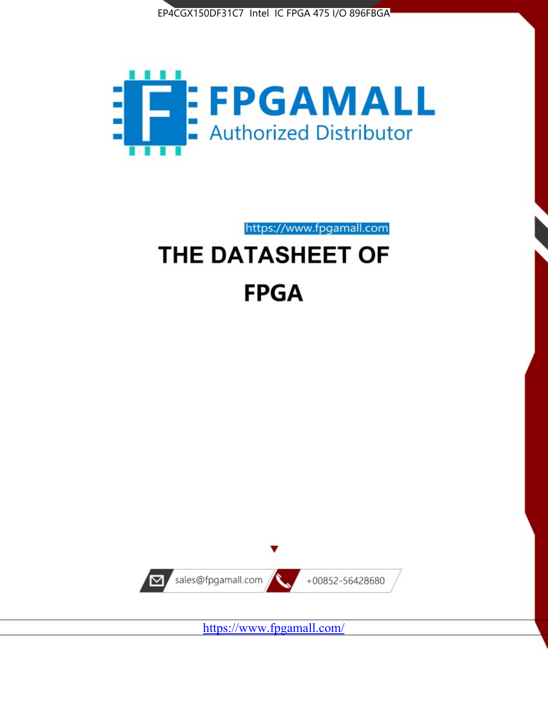



https://www.fpgamall.com

# THE DATASHEET OF **FPGA**



<https://www.fpgamall.com/>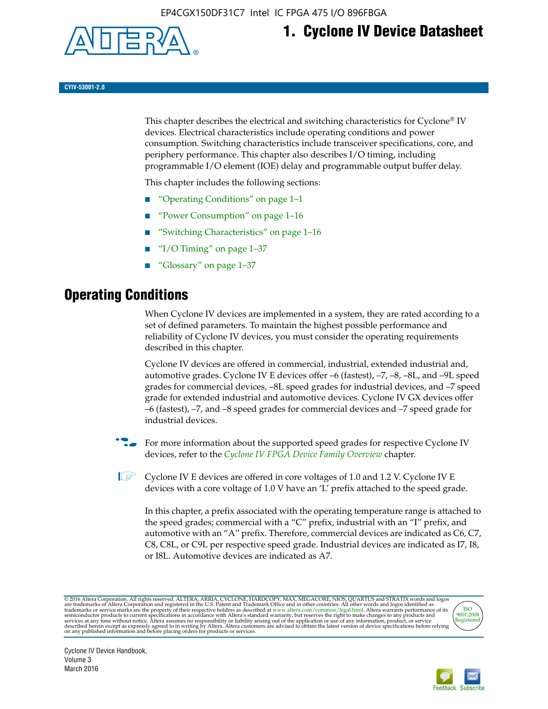

# **1. Cyclone IV Device Datasheet**

**CYIV-53001-2.0**

This chapter describes the electrical and switching characteristics for Cyclone<sup>®</sup> IV devices. Electrical characteristics include operating conditions and power consumption. Switching characteristics include transceiver specifications, core, and periphery performance. This chapter also describes I/O timing, including programmable I/O element (IOE) delay and programmable output buffer delay.

This chapter includes the following sections:

- "Operating Conditions" on page 1–1
- "Power Consumption" on page 1–16
- "Switching Characteristics" on page 1–16
- " $I/O$  Timing" on page  $1-37$
- "Glossary" on page 1–37

# **Operating Conditions**

When Cyclone IV devices are implemented in a system, they are rated according to a set of defined parameters. To maintain the highest possible performance and reliability of Cyclone IV devices, you must consider the operating requirements described in this chapter.

Cyclone IV devices are offered in commercial, industrial, extended industrial and, automotive grades. Cyclone IV E devices offer –6 (fastest), –7, –8, –8L, and –9L speed grades for commercial devices, –8L speed grades for industrial devices, and –7 speed grade for extended industrial and automotive devices. Cyclone IV GX devices offer –6 (fastest), –7, and –8 speed grades for commercial devices and –7 speed grade for industrial devices.

**For more information about the supported speed grades for respective Cyclone IV** devices, refer to the *[Cyclone IV FPGA Device Family Overview](http://www.altera.com/literature/hb/cyclone-iv/cyiv-51001.pdf)* chapter.

**1** Cyclone IV E devices are offered in core voltages of 1.0 and 1.2 V. Cyclone IV E devices with a core voltage of 1.0 V have an 'L' prefix attached to the speed grade.

In this chapter, a prefix associated with the operating temperature range is attached to the speed grades; commercial with a "C" prefix, industrial with an "I" prefix, and automotive with an "A" prefix. Therefore, commercial devices are indicated as C6, C7, C8, C8L, or C9L per respective speed grade. Industrial devices are indicated as I7, I8, or I8L. Automotive devices are indicated as A7.

@2016 Altera Corporation. All rights reserved. ALTERA, ARRIA, CYCLONE, HARDCOPY, MAX, MEGACORE, NIOS, QUARTUS and STRATIX words and logos are trademarks of Altera Corporation and registered in the U.S. Patent and Trademark



Cyclone IV Device Handbook, Volume 3 March 2016

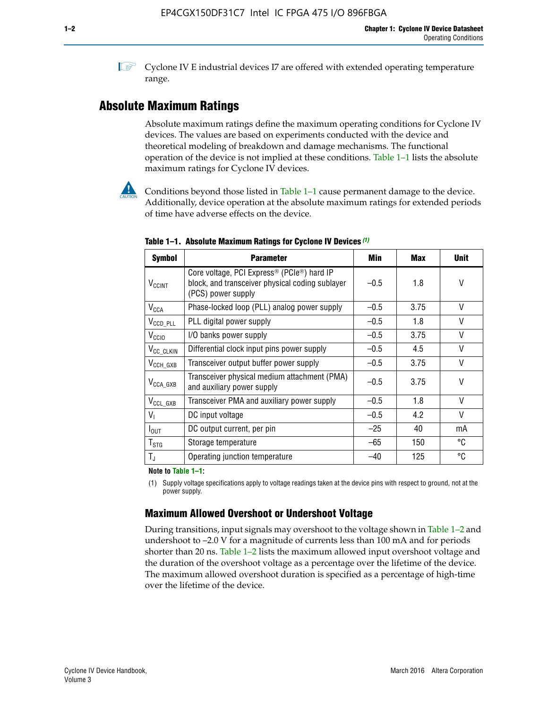**1 Cyclone IV E industrial devices I7 are offered with extended operating temperature** range.

### **Absolute Maximum Ratings**

Absolute maximum ratings define the maximum operating conditions for Cyclone IV devices. The values are based on experiments conducted with the device and theoretical modeling of breakdown and damage mechanisms. The functional operation of the device is not implied at these conditions. Table 1–1 lists the absolute maximum ratings for Cyclone IV devices.



Conditions beyond those listed in Table  $1-1$  cause permanent damage to the device. Additionally, device operation at the absolute maximum ratings for extended periods of time have adverse effects on the device.

| <b>Symbol</b>            | <b>Parameter</b>                                                                                                                             | Min    | <b>Max</b> | <b>Unit</b> |
|--------------------------|----------------------------------------------------------------------------------------------------------------------------------------------|--------|------------|-------------|
| <b>V<sub>CCINT</sub></b> | Core voltage, PCI Express <sup>®</sup> (PCIe <sup>®</sup> ) hard IP<br>block, and transceiver physical coding sublayer<br>(PCS) power supply | $-0.5$ | 1.8        | V           |
| $V_{CCA}$                | Phase-locked loop (PLL) analog power supply                                                                                                  | $-0.5$ | 3.75       | V           |
| $V_{CCD\_PLL}$           | PLL digital power supply                                                                                                                     | $-0.5$ | 1.8        | V           |
| V <sub>CCIO</sub>        | I/O banks power supply                                                                                                                       | $-0.5$ | 3.75       | V           |
| V <sub>CC_CLKIN</sub>    | Differential clock input pins power supply                                                                                                   | $-0.5$ | 4.5        | V           |
| $V_{\text{CCH_GXB}}$     | Transceiver output buffer power supply                                                                                                       | $-0.5$ | 3.75       | V           |
| $V_{\text{CCA\_GXB}}$    | Transceiver physical medium attachment (PMA)<br>and auxiliary power supply                                                                   | $-0.5$ | 3.75       | V           |
| $V_{CCL_GXB}$            | Transceiver PMA and auxiliary power supply                                                                                                   | $-0.5$ | 1.8        | V           |
| $V_{1}$                  | DC input voltage                                                                                                                             | $-0.5$ | 4.2        | V           |
| $I_{\text{OUT}}$         | DC output current, per pin                                                                                                                   | $-25$  | 40         | mA          |
| $T_{\mathtt{STG}}$       | Storage temperature                                                                                                                          | -65    | 150        | °C          |
| $T_{\rm J}$              | Operating junction temperature                                                                                                               | $-40$  | 125        | °C          |

**Table 1–1. Absolute Maximum Ratings for Cyclone IV Devices** *(1)*

**Note to Table 1–1:**

(1) Supply voltage specifications apply to voltage readings taken at the device pins with respect to ground, not at the power supply.

### **Maximum Allowed Overshoot or Undershoot Voltage**

During transitions, input signals may overshoot to the voltage shown in Table 1–2 and undershoot to –2.0 V for a magnitude of currents less than 100 mA and for periods shorter than 20 ns. Table 1–2 lists the maximum allowed input overshoot voltage and the duration of the overshoot voltage as a percentage over the lifetime of the device. The maximum allowed overshoot duration is specified as a percentage of high-time over the lifetime of the device.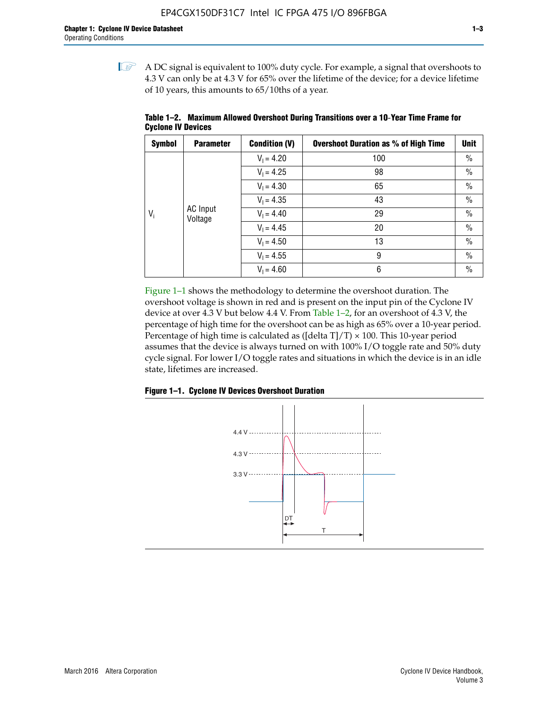$\mathbb{I}$  A DC signal is equivalent to 100% duty cycle. For example, a signal that overshoots to 4.3 V can only be at 4.3 V for 65% over the lifetime of the device; for a device lifetime of 10 years, this amounts to 65/10ths of a year.

| <b>Symbol</b> | <b>Parameter</b>           | <b>Condition (V)</b> | <b>Overshoot Duration as % of High Time</b> | <b>Unit</b>   |
|---------------|----------------------------|----------------------|---------------------------------------------|---------------|
|               |                            | $V_1 = 4.20$         | 100                                         | $\%$          |
|               |                            | $V_1 = 4.25$         | 98                                          | $\%$          |
|               |                            | $V_1 = 4.30$         | 65                                          | $\%$          |
|               |                            | $V_1 = 4.35$         | 43                                          | $\%$          |
| $V_i$         | <b>AC</b> Input<br>Voltage | $V_1 = 4.40$         | 29                                          | $\frac{0}{0}$ |
|               |                            | $V_1 = 4.45$         | 20                                          | $\%$          |
|               |                            | $V_1 = 4.50$         | 13                                          | $\%$          |
|               |                            | $V_1 = 4.55$         | 9                                           | $\frac{0}{0}$ |
|               |                            | $V_1 = 4.60$         | 6                                           | $\frac{0}{0}$ |

**Table 1–2. Maximum Allowed Overshoot During Transitions over a 10**-**Year Time Frame for Cyclone IV Devices**

Figure 1–1 shows the methodology to determine the overshoot duration. The overshoot voltage is shown in red and is present on the input pin of the Cyclone IV device at over 4.3 V but below 4.4 V. From Table 1–2, for an overshoot of 4.3 V, the percentage of high time for the overshoot can be as high as 65% over a 10-year period. Percentage of high time is calculated as ([delta  $T$ ]/T)  $\times$  100. This 10-year period assumes that the device is always turned on with 100% I/O toggle rate and 50% duty cycle signal. For lower I/O toggle rates and situations in which the device is in an idle state, lifetimes are increased.



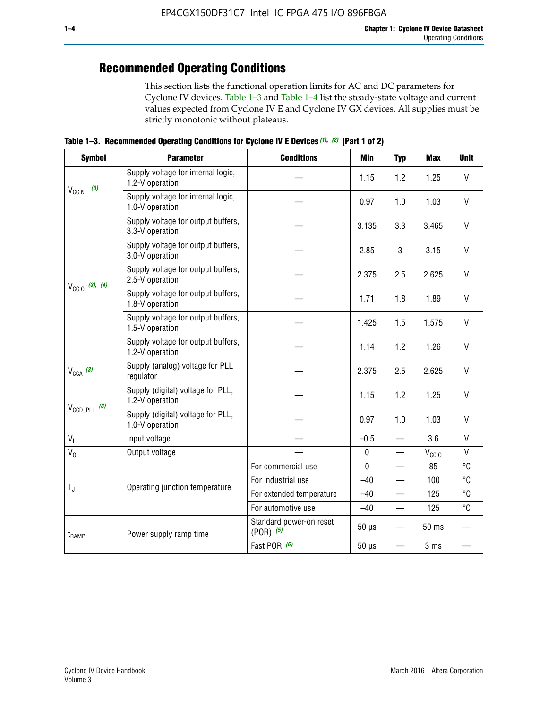# **Recommended Operating Conditions**

This section lists the functional operation limits for AC and DC parameters for Cyclone IV devices. Table 1–3 and Table 1–4 list the steady-state voltage and current values expected from Cyclone IV E and Cyclone IV GX devices. All supplies must be strictly monotonic without plateaus.

**Table 1–3. Recommended Operating Conditions for Cyclone IV E Devices** *(1)***,** *(2)* **(Part 1 of 2)**

| <b>Symbol</b>                                                                                                                  | <b>Parameter</b>                                                                                                                                                                                                                                                                                                                                                                                                                                                                                                                                                                                                                                                                                                                                                                                                                                                                                                      | <b>Conditions</b> | <b>Min</b> | <b>Typ</b>                                                   | <b>Max</b> | <b>Unit</b>  |
|--------------------------------------------------------------------------------------------------------------------------------|-----------------------------------------------------------------------------------------------------------------------------------------------------------------------------------------------------------------------------------------------------------------------------------------------------------------------------------------------------------------------------------------------------------------------------------------------------------------------------------------------------------------------------------------------------------------------------------------------------------------------------------------------------------------------------------------------------------------------------------------------------------------------------------------------------------------------------------------------------------------------------------------------------------------------|-------------------|------------|--------------------------------------------------------------|------------|--------------|
| $V_{CClNT}$ (3)<br>$V_{\text{CCIO}}$ (3), (4)<br>$V_{CCA}$ (3)<br>$V_{\text{CCD\_PLL}}$ (3)<br>$V_{I}$<br>$V_0$<br>$T_{\rm J}$ | Supply voltage for internal logic,<br>1.2-V operation                                                                                                                                                                                                                                                                                                                                                                                                                                                                                                                                                                                                                                                                                                                                                                                                                                                                 |                   | 1.15       | 1.2                                                          | 1.25       | V            |
|                                                                                                                                | Supply voltage for internal logic,<br>1.0-V operation                                                                                                                                                                                                                                                                                                                                                                                                                                                                                                                                                                                                                                                                                                                                                                                                                                                                 |                   | 0.97       | 1.0                                                          | 1.03       | $\mathsf{V}$ |
| $t_{\rm{RAMP}}$                                                                                                                | Supply voltage for output buffers,<br>3.3-V operation                                                                                                                                                                                                                                                                                                                                                                                                                                                                                                                                                                                                                                                                                                                                                                                                                                                                 |                   | 3.135      | 3.3                                                          | 3.465      | $\vee$       |
|                                                                                                                                | Supply voltage for output buffers,<br>3.0-V operation                                                                                                                                                                                                                                                                                                                                                                                                                                                                                                                                                                                                                                                                                                                                                                                                                                                                 |                   | 2.85       | 3                                                            | 3.15       | V            |
|                                                                                                                                | Supply voltage for output buffers,<br>2.375<br>2.5<br>2.5-V operation<br>Supply voltage for output buffers,<br>1.8<br>1.71<br>1.8-V operation<br>Supply voltage for output buffers,<br>1.425<br>1.5<br>1.5-V operation<br>Supply voltage for output buffers,<br>1.14<br>1.2<br>1.2-V operation<br>Supply (analog) voltage for PLL<br>2.375<br>2.5<br>regulator<br>Supply (digital) voltage for PLL,<br>1.15<br>1.2<br>1.2-V operation<br>Supply (digital) voltage for PLL,<br>0.97<br>1.0<br>1.0-V operation<br>3.6<br>Input voltage<br>$-0.5$<br>$\equiv$<br>$\pmb{0}$<br>Output voltage<br>$\mathbf 0$<br>85<br>For commercial use<br>For industrial use<br>$-40$<br>Operating junction temperature<br>For extended temperature<br>$-40$<br>For automotive use<br>$-40$<br>Standard power-on reset<br>$50 \mu s$<br>$(POR)$ (5)<br>Power supply ramp time<br>Fast POR (6)<br>$50 \mu s$<br>$\overline{\phantom{0}}$ | 2.625             | $\vee$     |                                                              |            |              |
|                                                                                                                                |                                                                                                                                                                                                                                                                                                                                                                                                                                                                                                                                                                                                                                                                                                                                                                                                                                                                                                                       |                   |            |                                                              | 1.89       | $\mathsf{V}$ |
|                                                                                                                                |                                                                                                                                                                                                                                                                                                                                                                                                                                                                                                                                                                                                                                                                                                                                                                                                                                                                                                                       |                   |            |                                                              | 1.575      | V            |
|                                                                                                                                |                                                                                                                                                                                                                                                                                                                                                                                                                                                                                                                                                                                                                                                                                                                                                                                                                                                                                                                       |                   |            |                                                              | 1.26       | V            |
|                                                                                                                                |                                                                                                                                                                                                                                                                                                                                                                                                                                                                                                                                                                                                                                                                                                                                                                                                                                                                                                                       |                   |            |                                                              | 2.625      | $\vee$       |
|                                                                                                                                |                                                                                                                                                                                                                                                                                                                                                                                                                                                                                                                                                                                                                                                                                                                                                                                                                                                                                                                       |                   |            |                                                              | 1.25       | V            |
|                                                                                                                                |                                                                                                                                                                                                                                                                                                                                                                                                                                                                                                                                                                                                                                                                                                                                                                                                                                                                                                                       |                   |            | 1.03<br>$V_{\rm CClO}$<br>100<br>125<br>125<br>50 ms<br>3 ms | $\vee$     |              |
|                                                                                                                                |                                                                                                                                                                                                                                                                                                                                                                                                                                                                                                                                                                                                                                                                                                                                                                                                                                                                                                                       |                   |            |                                                              |            | $\mathsf{V}$ |
|                                                                                                                                |                                                                                                                                                                                                                                                                                                                                                                                                                                                                                                                                                                                                                                                                                                                                                                                                                                                                                                                       |                   |            |                                                              |            | V            |
|                                                                                                                                |                                                                                                                                                                                                                                                                                                                                                                                                                                                                                                                                                                                                                                                                                                                                                                                                                                                                                                                       |                   |            |                                                              |            | °C           |
|                                                                                                                                |                                                                                                                                                                                                                                                                                                                                                                                                                                                                                                                                                                                                                                                                                                                                                                                                                                                                                                                       |                   |            |                                                              |            | °C           |
|                                                                                                                                |                                                                                                                                                                                                                                                                                                                                                                                                                                                                                                                                                                                                                                                                                                                                                                                                                                                                                                                       |                   |            |                                                              |            | °C           |
|                                                                                                                                |                                                                                                                                                                                                                                                                                                                                                                                                                                                                                                                                                                                                                                                                                                                                                                                                                                                                                                                       |                   |            |                                                              |            | °C           |
|                                                                                                                                |                                                                                                                                                                                                                                                                                                                                                                                                                                                                                                                                                                                                                                                                                                                                                                                                                                                                                                                       |                   |            |                                                              |            |              |
|                                                                                                                                |                                                                                                                                                                                                                                                                                                                                                                                                                                                                                                                                                                                                                                                                                                                                                                                                                                                                                                                       |                   |            |                                                              |            |              |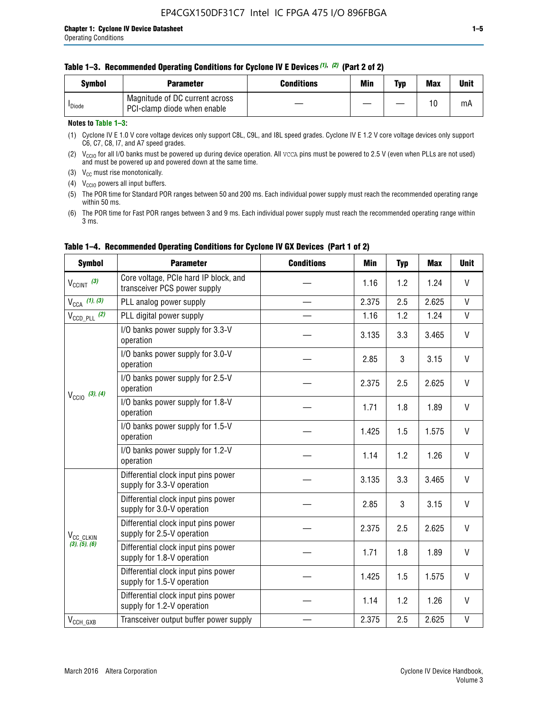#### **Table 1–3. Recommended Operating Conditions for Cyclone IV E Devices** *(1)***,** *(2)* **(Part 2 of 2)**

| Svmbol             | <b>Parameter</b>                                              | <b>Conditions</b> | Min | Typ | <b>Max</b> | Unit |
|--------------------|---------------------------------------------------------------|-------------------|-----|-----|------------|------|
| <sup>I</sup> Diode | Magnitude of DC current across<br>PCI-clamp diode when enable |                   |     |     | 10         | mA   |

#### **Notes to Table 1–3:**

(1) Cyclone IV E 1.0 V core voltage devices only support C8L, C9L, and I8L speed grades. Cyclone IV E 1.2 V core voltage devices only support C6, C7, C8, I7, and A7 speed grades.

(2)  $V_{CCIO}$  for all I/O banks must be powered up during device operation. All vcca pins must be powered to 2.5 V (even when PLLs are not used) and must be powered up and powered down at the same time.

(3)  $V_{CC}$  must rise monotonically.

(4)  $V_{\text{CCIO}}$  powers all input buffers.

(5) The POR time for Standard POR ranges between 50 and 200 ms. Each individual power supply must reach the recommended operating range within 50 ms.

(6) The POR time for Fast POR ranges between 3 and 9 ms. Each individual power supply must reach the recommended operating range within 3 ms.

| <b>Symbol</b>                                                        | <b>Parameter</b>                                                      | <b>Conditions</b> | <b>Min</b> | <b>Typ</b> | <b>Max</b> | <b>Unit</b>  |
|----------------------------------------------------------------------|-----------------------------------------------------------------------|-------------------|------------|------------|------------|--------------|
| $V_{\text{CCINT}}$ (3)                                               | Core voltage, PCIe hard IP block, and<br>transceiver PCS power supply |                   | 1.16       | 1.2        | 1.24       | V            |
| $V_{CCA}$ (1), (3)                                                   | PLL analog power supply                                               |                   | 2.375      | 2.5        | 2.625      | V            |
| $V_{\text{CCD\_PLL}}$ (2)                                            | PLL digital power supply                                              |                   | 1.16       | 1.2        | 1.24       | V            |
|                                                                      | I/O banks power supply for 3.3-V<br>operation                         |                   | 3.135      | 3.3        | 3.465      | $\mathsf{V}$ |
| $V_{\text{CC10}}$ (3), (4)<br>V <sub>CC_CLKIN</sub><br>(3), (5), (6) | I/O banks power supply for 3.0-V<br>operation                         |                   | 2.85       | 3          | 3.15       | V            |
|                                                                      | I/O banks power supply for 2.5-V<br>operation                         |                   | 2.375      | 2.5        | 2.625      | V            |
|                                                                      | I/O banks power supply for 1.8-V<br>operation                         |                   | 1.71       | 1.8        | 1.89       | V            |
|                                                                      | I/O banks power supply for 1.5-V<br>operation                         |                   | 1.425      | 1.5        | 1.575      | V            |
|                                                                      | I/O banks power supply for 1.2-V<br>operation                         |                   | 1.14       | 1.2        | 1.26       | V            |
| $V_{CCH_GXB}$                                                        | Differential clock input pins power<br>supply for 3.3-V operation     |                   | 3.135      | 3.3        | 3.465      | V            |
|                                                                      | Differential clock input pins power<br>supply for 3.0-V operation     |                   | 2.85       | 3          | 3.15       | $\mathsf{V}$ |
|                                                                      | Differential clock input pins power<br>supply for 2.5-V operation     |                   | 2.375      | 2.5        | 2.625      | V            |
|                                                                      | Differential clock input pins power<br>supply for 1.8-V operation     |                   | 1.71       | 1.8        | 1.89       | $\mathsf{V}$ |
|                                                                      | Differential clock input pins power<br>supply for 1.5-V operation     |                   | 1.425      | 1.5        | 1.575      | V            |
|                                                                      | Differential clock input pins power<br>supply for 1.2-V operation     |                   | 1.14       | 1.2        | 1.26       | V            |
|                                                                      | Transceiver output buffer power supply                                |                   | 2.375      | 2.5        | 2.625      | V            |

#### **Table 1–4. Recommended Operating Conditions for Cyclone IV GX Devices (Part 1 of 2)**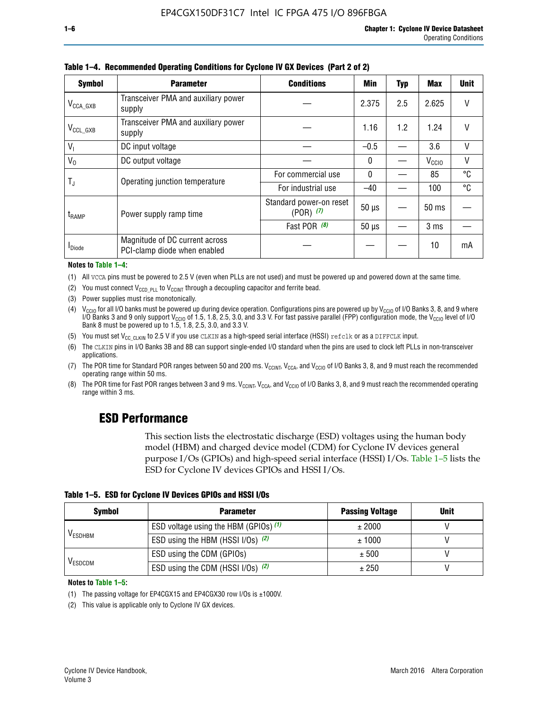| <b>Symbol</b>         | <b>Parameter</b>                                               | <b>Conditions</b>                        | <b>Min</b> | <b>Typ</b> | Max               | <b>Unit</b> |
|-----------------------|----------------------------------------------------------------|------------------------------------------|------------|------------|-------------------|-------------|
| $V_{\text{CCA\_GXB}}$ | Transceiver PMA and auxiliary power<br>supply                  |                                          | 2.375      | 2.5        | 2.625             |             |
| $V_{CCL_GXB}$         | Transceiver PMA and auxiliary power<br>supply                  |                                          | 1.16       | 1.2        | 1.24              | V           |
| $V_{1}$               | DC input voltage                                               |                                          | $-0.5$     |            | 3.6               | $\vee$      |
| $V_0$                 | DC output voltage                                              |                                          | 0          |            | V <sub>CCIO</sub> | V           |
| T,                    | Operating junction temperature                                 | For commercial use                       | 0          |            | 85                | °C          |
|                       |                                                                | For industrial use                       | $-40$      |            | 100               | °C          |
| $t_{\sf{RAMP}}$       | Power supply ramp time                                         | Standard power-on reset<br>$(POR)$ $(7)$ | $50 \mu s$ |            | $50 \text{ ms}$   |             |
|                       |                                                                | Fast POR (8)                             | $50 \mu s$ |            | 3 <sub>ms</sub>   |             |
| <b>I</b> Diode        | Magnitude of DC current across<br>PCI-clamp diode when enabled |                                          |            |            | 10                | mA          |

**Table 1–4. Recommended Operating Conditions for Cyclone IV GX Devices (Part 2 of 2)**

**Notes to Table 1–4:**

- (1) All VCCA pins must be powered to 2.5 V (even when PLLs are not used) and must be powered up and powered down at the same time.
- (2) You must connect  $V_{CCD-PLL}$  to  $V_{CCINT}$  through a decoupling capacitor and ferrite bead.
- (3) Power supplies must rise monotonically.
- (4)  $V_{\text{CCIO}}$  for all I/O banks must be powered up during device operation. Configurations pins are powered up by V<sub>CCIO</sub> of I/O Banks 3, 8, and 9 where I/O Banks 3 and 9 only support V<sub>CCIO</sub> of 1.5, 1.8, 2.5, 3.0, and 3.3 V. For fast passive parallel (FPP) configuration mode, the V<sub>CCIO</sub> level of I/O<br>Bank 8 must be powered up to 1.5, 1.8, 2.5, 3.0, and 3.3 V.
- (5) You must set  $V_{CC_CCLKIN}$  to 2.5 V if you use CLKIN as a high-speed serial interface (HSSI) refclk or as a DIFFCLK input.
- (6) The CLKIN pins in I/O Banks 3B and 8B can support single-ended I/O standard when the pins are used to clock left PLLs in non-transceiver applications.
- (7) The POR time for Standard POR ranges between 50 and 200 ms.  $V_{\text{CCIA}}$ ,  $V_{\text{CCIA}}$ , and  $V_{\text{CCIO}}$  of I/O Banks 3, 8, and 9 must reach the recommended operating range within 50 ms.
- (8) The POR time for Fast POR ranges between 3 and 9 ms.  $V_{\text{CCH},T}$ ,  $V_{\text{CCA}}$ , and  $V_{\text{CCI}}$  of I/O Banks 3, 8, and 9 must reach the recommended operating range within 3 ms.

### **ESD Performance**

This section lists the electrostatic discharge (ESD) voltages using the human body model (HBM) and charged device model (CDM) for Cyclone IV devices general purpose I/Os (GPIOs) and high-speed serial interface (HSSI) I/Os. Table 1–5 lists the ESD for Cyclone IV devices GPIOs and HSSI I/Os.

|  |  |  | Table 1–5. ESD for Cyclone IV Devices GPIOs and HSSI I/Os |  |  |
|--|--|--|-----------------------------------------------------------|--|--|
|  |  |  |                                                           |  |  |

| <b>Symbol</b>  | <b>Parameter</b>                      | <b>Passing Voltage</b> | <b>Unit</b> |
|----------------|---------------------------------------|------------------------|-------------|
|                | ESD voltage using the HBM (GPIOs) (1) | ± 2000                 |             |
| <b>VESDHBM</b> | ESD using the HBM (HSSI I/Os) (2)     | ± 1000                 |             |
|                | ESD using the CDM (GPIOs)             | ± 500                  |             |
| <b>VESDCDM</b> | ESD using the CDM (HSSI I/Os) (2)     | ± 250                  |             |

#### **Notes to Table 1–5:**

(1) The passing voltage for EP4CGX15 and EP4CGX30 row I/Os is ±1000V.

(2) This value is applicable only to Cyclone IV GX devices.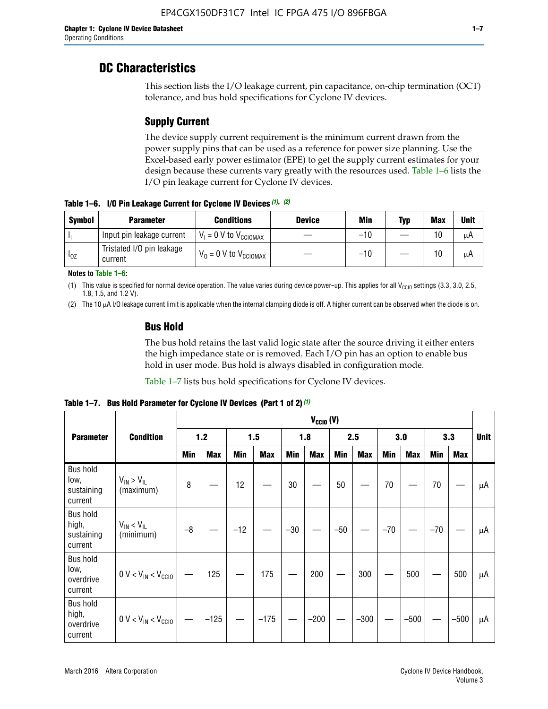### **DC Characteristics**

This section lists the I/O leakage current, pin capacitance, on-chip termination (OCT) tolerance, and bus hold specifications for Cyclone IV devices.

### **Supply Current**

The device supply current requirement is the minimum current drawn from the power supply pins that can be used as a reference for power size planning. Use the Excel-based early power estimator (EPE) to get the supply current estimates for your design because these currents vary greatly with the resources used. Table 1–6 lists the I/O pin leakage current for Cyclone IV devices.

**Table 1–6. I/O Pin Leakage Current for Cyclone IV Devices** *(1)***,** *(2)*

| <b>Symbol</b> | <b>Parameter</b>                     | <b>Conditions</b>                   | <b>Device</b> | Min   | Typ | <b>Max</b> | <b>Unit</b> |
|---------------|--------------------------------------|-------------------------------------|---------------|-------|-----|------------|-------------|
| -lı           | Input pin leakage current            | $V_1 = 0$ V to $V_{\text{CCIOMAX}}$ |               | $-10$ |     | 10         | μA          |
| $I_{0Z}$      | Tristated I/O pin leakage<br>current | $V_0 = 0$ V to $V_{\text{CCIOMAX}}$ |               | $-10$ |     | 10         | μA          |

**Notes to Table 1–6:**

(1) This value is specified for normal device operation. The value varies during device power-up. This applies for all V<sub>CCIO</sub> settings (3.3, 3.0, 2.5, 1.8, 1.5, and 1.2 V).

(2) The 10 µA I/O leakage current limit is applicable when the internal clamping diode is off. A higher current can be observed when the diode is on.

#### **Bus Hold**

The bus hold retains the last valid logic state after the source driving it either enters the high impedance state or is removed. Each I/O pin has an option to enable bus hold in user mode. Bus hold is always disabled in configuration mode.

Table 1–7 lists bus hold specifications for Cyclone IV devices.

|                                                   |                                  | $V_{CCIO} (V)$ |            |       |            |            |            |            |            |       |            |       |            |    |
|---------------------------------------------------|----------------------------------|----------------|------------|-------|------------|------------|------------|------------|------------|-------|------------|-------|------------|----|
| <b>Parameter</b>                                  | <b>Condition</b>                 | $1.2$          |            |       | 1.5        |            | 1.8        |            | 2.5        |       | 3.0        |       | 3.3        |    |
|                                                   |                                  | <b>Min</b>     | <b>Max</b> | Min   | <b>Max</b> | <b>Min</b> | <b>Max</b> | <b>Min</b> | <b>Max</b> | Min   | <b>Max</b> | Min   | <b>Max</b> |    |
| <b>Bus hold</b><br>low,<br>sustaining<br>current  | $V_{IN}$ > $V_{IL}$<br>(maximum) | 8              |            | 12    |            | 30         |            | 50         |            | 70    |            | 70    |            | μA |
| <b>Bus hold</b><br>high,<br>sustaining<br>current | $V_{IN}$ < $V_{IL}$<br>(minimum) | $-8$           |            | $-12$ |            | $-30$      |            | $-50$      |            | $-70$ |            | $-70$ |            | μA |
| <b>Bus hold</b><br>low,<br>overdrive<br>current   | $0 V < V_{IN} < V_{CG10}$        |                | 125        |       | 175        |            | 200        |            | 300        |       | 500        |       | 500        | μA |
| <b>Bus hold</b><br>high,<br>overdrive<br>current  | $0 V < V_{IN} < V_{CG10}$        |                | $-125$     |       | $-175$     |            | $-200$     |            | $-300$     |       | $-500$     |       | $-500$     | μA |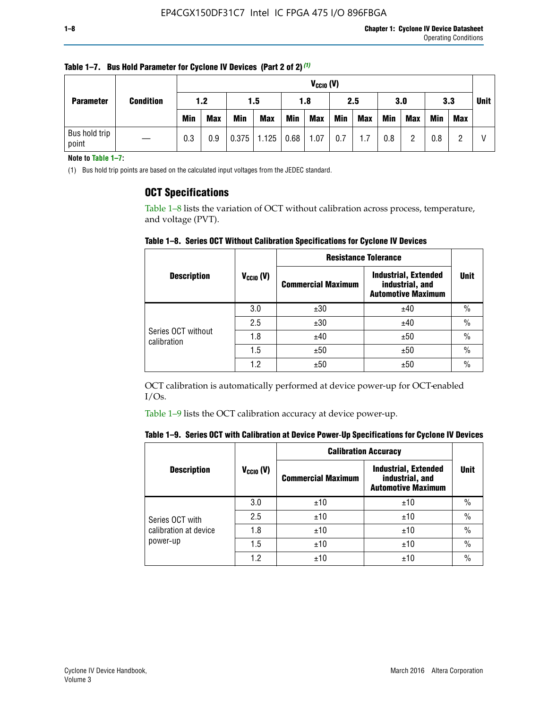| <b>Parameter</b>       | <b>Condition</b> |            | $V_{CClO}$ (V) |            |                        |     |            |     |     |     |            |             |            |  |
|------------------------|------------------|------------|----------------|------------|------------------------|-----|------------|-----|-----|-----|------------|-------------|------------|--|
|                        |                  | 1.2<br>1.5 |                | 1.8        |                        | 2.5 |            | 3.0 |     | 3.3 |            | <b>Unit</b> |            |  |
|                        |                  | <b>Min</b> | <b>Max</b>     | <b>Min</b> | <b>Max</b>             | Min | <b>Max</b> | Min | Max | Min | <b>Max</b> | <b>Min</b>  | <b>Max</b> |  |
| Bus hold trip<br>point |                  | 0.3        | 0.9            |            | $0.375$   1.125   0.68 |     | 1.07       | 0.7 | 1.7 | 0.8 | ŋ          | 0.8         |            |  |

**Table 1–7. Bus Hold Parameter for Cyclone IV Devices (Part 2 of 2)** *(1)*

**Note to Table 1–7:**

(1) Bus hold trip points are based on the calculated input voltages from the JEDEC standard.

#### **OCT Specifications**

Table 1–8 lists the variation of OCT without calibration across process, temperature, and voltage (PVT).

**Table 1–8. Series OCT Without Calibration Specifications for Cyclone IV Devices**

|                                   |                      | <b>Resistance Tolerance</b> |                                                                             |               |
|-----------------------------------|----------------------|-----------------------------|-----------------------------------------------------------------------------|---------------|
| <b>Description</b>                | $V_{\text{CCIO}}(V)$ | <b>Commercial Maximum</b>   | <b>Industrial, Extended</b><br>industrial, and<br><b>Automotive Maximum</b> | <b>Unit</b>   |
|                                   | 3.0                  | ±30                         | ±40                                                                         | $\frac{0}{0}$ |
|                                   | 2.5                  | ±30                         | ±40                                                                         | $\frac{0}{0}$ |
| Series OCT without<br>calibration | 1.8                  | ±40                         | ±50                                                                         | $\frac{0}{0}$ |
|                                   | 1.5                  | ±50                         | ±50                                                                         | $\frac{0}{0}$ |
|                                   | 1.2                  | ±50                         | ±50                                                                         | $\frac{0}{0}$ |

OCT calibration is automatically performed at device power-up for OCT-enabled I/Os.

Table 1–9 lists the OCT calibration accuracy at device power-up.

|  | Table 1–9.  Series OCT with Calibration at Device Power-Up Specifications for Cyclone IV Devices |  |  |  |
|--|--------------------------------------------------------------------------------------------------|--|--|--|
|--|--------------------------------------------------------------------------------------------------|--|--|--|

|                                   |                | <b>Calibration Accuracy</b> |                                                                             |               |
|-----------------------------------|----------------|-----------------------------|-----------------------------------------------------------------------------|---------------|
| <b>Description</b>                | $V_{CGI0} (V)$ | <b>Commercial Maximum</b>   | <b>Industrial, Extended</b><br>industrial, and<br><b>Automotive Maximum</b> | Unit          |
|                                   | 3.0            | ±10                         | ±10                                                                         | $\%$          |
| Series OCT with                   | 2.5            | ±10                         | ±10                                                                         | $\%$          |
| calibration at device<br>power-up | 1.8            | ±10                         | ±10                                                                         | $\frac{0}{0}$ |
|                                   | 1.5            | ±10                         | ±10                                                                         | $\frac{0}{0}$ |
|                                   | 1.2            | ±10                         | ±10                                                                         | $\frac{0}{0}$ |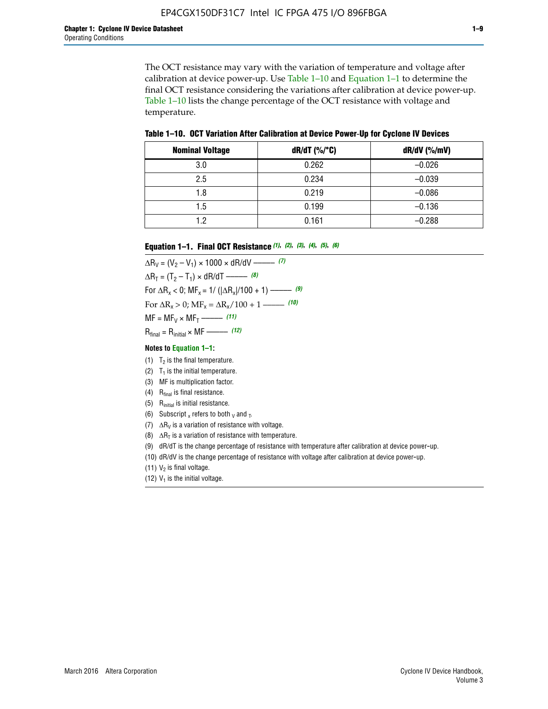The OCT resistance may vary with the variation of temperature and voltage after calibration at device power-up. Use Table 1–10 and Equation 1–1 to determine the final OCT resistance considering the variations after calibration at device power-up. Table 1–10 lists the change percentage of the OCT resistance with voltage and temperature.

**Table 1–10. OCT Variation After Calibration at Device Power**-**Up for Cyclone IV Devices**

| <b>Nominal Voltage</b> | dR/dT (%/°C) | $dR/dV$ (%/mV) |
|------------------------|--------------|----------------|
| 3.0                    | 0.262        | $-0.026$       |
| 2.5                    | 0.234        | $-0.039$       |
| 1.8                    | 0.219        | $-0.086$       |
| 1.5                    | 0.199        | $-0.136$       |
| 1.2                    | 0.161        | $-0.288$       |

#### **Equation 1–1. Final OCT Resistance** *(1)***,** *(2)***,** *(3)***,** *(4)***,** *(5)***,** *(6)*

 $\Delta R_V = (V_2 - V_1) \times 1000 \times dR/dV$  ––––––––––––(7)  $\Delta R_T = (T_2 - T_1) \times dR/dT$  ––––––– (8) For  $\Delta R_x < 0$ ; MF<sub>x</sub> = 1/ ( $|\Delta R_x|/100 + 1$ ) –––––– (9) For  $\Delta R_x > 0$ ;  $\text{MF}_x = \Delta R_x / 100 + 1$  ——– (10)  $MF = MF_V \times MF_T$  –––––––––––(11) Rfinal = Rinitial × MF ––––– *(12)*

#### **Notes to Equation 1–1:**

- (1)  $T_2$  is the final temperature.
- (2)  $T_1$  is the initial temperature.
- (3) MF is multiplication factor.
- (4)  $R<sub>final</sub>$  is final resistance.
- (5) Rinitial is initial resistance.
- (6) Subscript x refers to both  $\sqrt{v}$  and  $\sqrt{v}$ .
- (7)  $\Delta R_V$  is a variation of resistance with voltage.
- (8)  $\Delta R_T$  is a variation of resistance with temperature.
- (9) dR/dT is the change percentage of resistance with temperature after calibration at device power-up.
- (10) dR/dV is the change percentage of resistance with voltage after calibration at device power-up.
- (11)  $V_2$  is final voltage.
- (12)  $V_1$  is the initial voltage.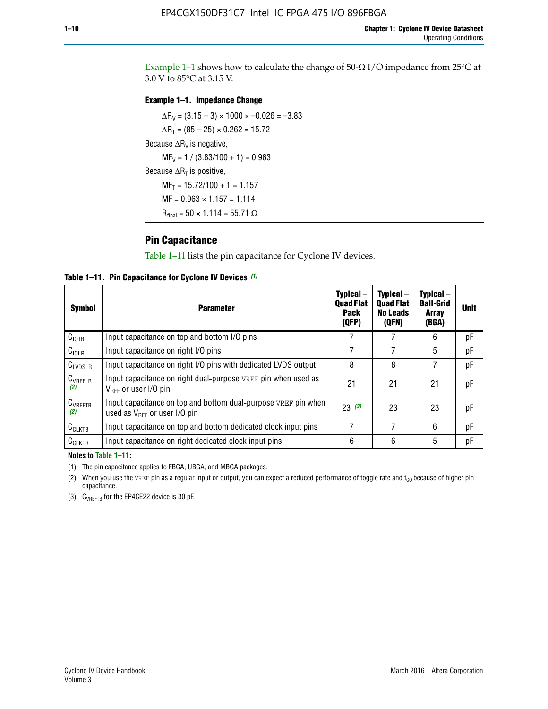Example 1-1 shows how to calculate the change of  $50$ - $\Omega$  I/O impedance from 25°C at 3.0 V to 85°C at 3.15 V.

#### **Example 1–1. Impedance Change**

 $\Delta R_V = (3.15 - 3) \times 1000 \times -0.026 = -3.83$  $\Delta R_T = (85 - 25) \times 0.262 = 15.72$ Because  $\Delta R_V$  is negative,  $MF_V = 1 / (3.83/100 + 1) = 0.963$ Because  $\Delta R_T$  is positive,  $MF_T = 15.72/100 + 1 = 1.157$  $MF = 0.963 \times 1.157 = 1.114$  $R_{final} = 50 \times 1.114 = 55.71 \Omega$ 

#### **Pin Capacitance**

Table 1–11 lists the pin capacitance for Cyclone IV devices.

**Table 1–11. Pin Capacitance for Cyclone IV Devices** *(1)*

| Symbol              | <b>Parameter</b>                                                                                           | Typical-<br><b>Quad Flat</b><br><b>Pack</b><br>(QFP) | Typical-<br><b>Quad Flat</b><br><b>No Leads</b><br>(QFN) | Typical-<br><b>Ball-Grid</b><br><b>Array</b><br>(BGA) | <b>Unit</b> |
|---------------------|------------------------------------------------------------------------------------------------------------|------------------------------------------------------|----------------------------------------------------------|-------------------------------------------------------|-------------|
| C <sub>IOTB</sub>   | Input capacitance on top and bottom I/O pins                                                               |                                                      |                                                          | 6                                                     | рF          |
| $C_{IOLR}$          | Input capacitance on right I/O pins                                                                        |                                                      |                                                          | 5                                                     | рF          |
| $C_{LVDSLR}$        | Input capacitance on right I/O pins with dedicated LVDS output                                             | 8                                                    | 8                                                        |                                                       | рF          |
| $C_{VREFLR}$<br>(2) | Input capacitance on right dual-purpose VREF pin when used as<br>$V_{BFE}$ or user I/O pin                 | 21                                                   | 21                                                       | 21                                                    | pF          |
| $C_{VREFTB}$<br>(2) | Input capacitance on top and bottom dual-purpose VREF pin when<br>used as $V_{\text{RFF}}$ or user I/O pin | 23(3)                                                | 23                                                       | 23                                                    | pF          |
| $C_{CLKTB}$         | Input capacitance on top and bottom dedicated clock input pins                                             | 7                                                    | 7                                                        | 6                                                     | pF          |
| $C_{CLKLR}$         | Input capacitance on right dedicated clock input pins                                                      | 6                                                    | 6                                                        | 5                                                     | рF          |

#### **Notes to Table 1–11:**

(1) The pin capacitance applies to FBGA, UBGA, and MBGA packages.

(2) When you use the VREF pin as a regular input or output, you can expect a reduced performance of toggle rate and  $t_{\rm CO}$  because of higher pin capacitance.

(3) CVREFTB for the EP4CE22 device is 30 pF.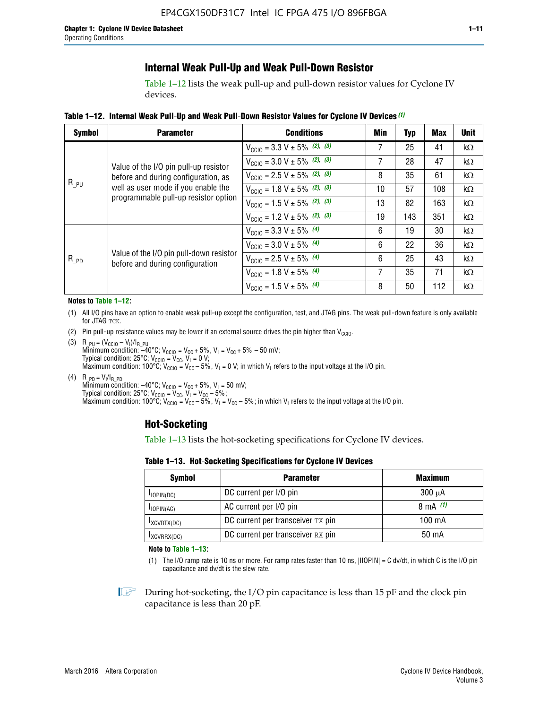### **Internal Weak Pull-Up and Weak Pull-Down Resistor**

Table 1–12 lists the weak pull-up and pull-down resistor values for Cyclone IV devices.

**Table 1–12. Internal Weak Pull**-**Up and Weak Pull**-**Down Resistor Values for Cyclone IV Devices** *(1)*

| <b>Symbol</b> | <b>Parameter</b>                                                            | <b>Conditions</b>                                  | Min | Typ | <b>Max</b> | <b>Unit</b> |
|---------------|-----------------------------------------------------------------------------|----------------------------------------------------|-----|-----|------------|-------------|
|               |                                                                             | $V_{\text{CC10}} = 3.3 \text{ V} \pm 5\%$ (2), (3) | 7   | 25  | 41         | kΩ          |
|               | Value of the I/O pin pull-up resistor                                       | $V_{\text{CC10}} = 3.0 \text{ V} \pm 5\%$ (2), (3) | 7   | 28  | 47         | kΩ          |
|               | before and during configuration, as                                         | $V_{\text{CC10}} = 2.5 V \pm 5\%$ (2), (3)         | 8   | 35  | 61         | kΩ          |
| $R_{PU}$      | well as user mode if you enable the<br>programmable pull-up resistor option | $V_{\text{CC10}} = 1.8 V \pm 5\%$ (2), (3)         | 10  | 57  | 108        | kΩ          |
|               |                                                                             | $V_{\text{CC10}} = 1.5 V \pm 5\%$ (2), (3)         | 13  | 82  | 163        | kΩ          |
|               |                                                                             | $V_{\text{CC10}} = 1.2 \text{ V} \pm 5\%$ (2), (3) | 19  | 143 | 351        | kΩ          |
|               |                                                                             | $V_{\text{CC10}} = 3.3 V \pm 5\%$ (4)              | 6   | 19  | 30         | kΩ          |
|               |                                                                             | $V_{\text{CC10}} = 3.0 V \pm 5\%$ (4)              | 6   | 22  | 36         | $k\Omega$   |
| $R_{p0}$      | Value of the I/O pin pull-down resistor<br>before and during configuration  | $V_{\text{CC10}} = 2.5 V \pm 5\%$ (4)              | 6   | 25  | 43         | kΩ          |
|               |                                                                             | $V_{\text{CC10}} = 1.8 \text{ V} \pm 5\%$ (4)      | 7   | 35  | 71         | kΩ          |
|               |                                                                             | $V_{\text{CC10}} = 1.5 V \pm 5\%$ (4)              | 8   | 50  | 112        | kΩ          |

#### **Notes to Table 1–12:**

- (1) All I/O pins have an option to enable weak pull-up except the configuration, test, and JTAG pins. The weak pull-down feature is only available for JTAG TCK.
- (2) Pin pull-up resistance values may be lower if an external source drives the pin higher than  $V_{\text{CCIO}}$ .
- (3)  $R_{PU} = (V_{CC10} V_1)/I_{R_PU}$ Minimum condition: –40°C; V<sub>CCIO</sub> = V<sub>CC</sub> + 5%, V<sub>I</sub> = V<sub>CC</sub> + 5% – 50 mV; Typical condition: 25°C; V<sub>CCIO</sub> = V<sub>CC</sub>, V<sub>I</sub> = 0 V; Maximum condition: 100°C;  $V_{\text{CCIO}} = V_{\text{CC}} - 5\%$ ,  $V_1 = 0$  V; in which V<sub>I</sub> refers to the input voltage at the I/O pin.
- (4)  $R_{PD} = V_I/I_{R_PD}$ Minimum condition:  $-40^{\circ}$ C; V<sub>CCIO</sub> = V<sub>CC</sub> + 5%, V<sub>I</sub> = 50 mV; Typical condition: 25°C;  $V_{\text{CCIO}} = V_{\text{CC}}$ ,  $V_{\text{I}} = V_{\text{CC}} - 5\%$ ; Maximum condition: 100°C; V<sub>CClO</sub> = V<sub>CC</sub> – 5%, V<sub>I</sub> = V<sub>CC</sub> – 5%; in which V<sub>I</sub> refers to the input voltage at the I/O pin.

#### **Hot-Socketing**

Table 1–13 lists the hot-socketing specifications for Cyclone IV devices.

**Table 1–13. Hot**-**Socketing Specifications for Cyclone IV Devices**

| <b>Symbol</b> | <b>Maximum</b>                    |             |
|---------------|-----------------------------------|-------------|
| $I$ IOPIN(DC) | DC current per I/O pin            | $300 \mu A$ |
| $I$ IOPIN(AC) | AC current per I/O pin            | 8 mA $(1)$  |
| IXCVRTX(DC)   | DC current per transceiver TX pin | 100 mA      |
| IXCVRRX(DC)   | DC current per transceiver RX pin | 50 mA       |

**Note to Table 1–13:**

(1) The I/O ramp rate is 10 ns or more. For ramp rates faster than 10 ns, |IIOPIN| = C dv/dt, in which C is the I/O pin capacitance and dv/dt is the slew rate.

 $\mathbb{I} \rightarrow \mathbb{I}$  During hot-socketing, the I/O pin capacitance is less than 15 pF and the clock pin capacitance is less than 20 pF.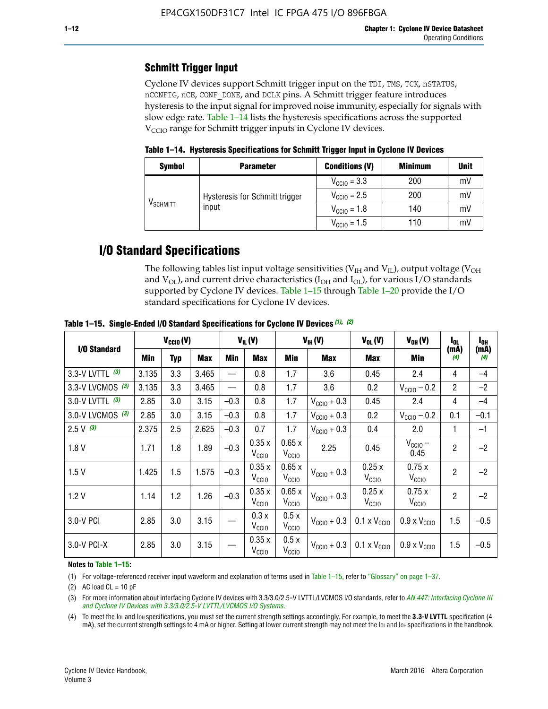### **Schmitt Trigger Input**

Cyclone IV devices support Schmitt trigger input on the TDI, TMS, TCK, nSTATUS, nCONFIG, nCE, CONF\_DONE, and DCLK pins. A Schmitt trigger feature introduces hysteresis to the input signal for improved noise immunity, especially for signals with slow edge rate. Table 1–14 lists the hysteresis specifications across the supported  $V<sub>CCIO</sub>$  range for Schmitt trigger inputs in Cyclone IV devices.

**Table 1–14. Hysteresis Specifications for Schmitt Trigger Input in Cyclone IV Devices**

| <b>Symbol</b>        | <b>Parameter</b>               | <b>Conditions (V)</b>   | <b>Minimum</b> | <b>Unit</b> |
|----------------------|--------------------------------|-------------------------|----------------|-------------|
|                      |                                | $V_{\text{CCIO}} = 3.3$ | 200            | mV          |
|                      | Hysteresis for Schmitt trigger | $V_{\text{CGI0}} = 2.5$ | 200            | mV          |
| V <sub>SCHMITT</sub> | input                          | $V_{\text{CCIO}} = 1.8$ | 140            | mV          |
|                      |                                | $V_{\text{CCIO}} = 1.5$ | 110            | mV          |

### **I/O Standard Specifications**

The following tables list input voltage sensitivities ( $V<sub>IH</sub>$  and  $V<sub>II</sub>$ ), output voltage ( $V<sub>OH</sub>$ and  $V_{OL}$ ), and current drive characteristics ( $I_{OH}$  and  $I_{OL}$ ), for various I/O standards supported by Cyclone IV devices. Table 1–15 through Table 1–20 provide the I/O standard specifications for Cyclone IV devices.

|                   | $V_{CCl0}(V)$ |     | $V_{IL}(V)$ |        |                            | $V_{IH} (V)$               | $V_{OL}(V)$             | $V_{OH} (V)$                 | I <sub>OL</sub>              | l <sub>oh</sub> |             |
|-------------------|---------------|-----|-------------|--------|----------------------------|----------------------------|-------------------------|------------------------------|------------------------------|-----------------|-------------|
| I/O Standard      | <b>Min</b>    | Typ | <b>Max</b>  | Min    | <b>Max</b>                 | Min                        | <b>Max</b>              | Max                          | Min                          | (mA)<br>(4)     | (mA)<br>(4) |
| 3.3-V LVTTL (3)   | 3.135         | 3.3 | 3.465       |        | 0.8                        | 1.7                        | 3.6                     | 0.45                         | 2.4                          | 4               | $-4$        |
| 3.3-V LVCMOS (3)  | 3.135         | 3.3 | 3.465       |        | 0.8                        | 1.7                        | 3.6                     | 0.2                          | $V_{\text{CCIO}} - 0.2$      | $\overline{2}$  | $-2$        |
| 3.0-V LVTTL $(3)$ | 2.85          | 3.0 | 3.15        | $-0.3$ | 0.8                        | 1.7                        | $V_{\text{CC10}} + 0.3$ | 0.45                         | 2.4                          | 4               | $-4$        |
| 3.0-V LVCMOS (3)  | 2.85          | 3.0 | 3.15        | $-0.3$ | 0.8                        | 1.7                        | $V_{\text{CC10}} + 0.3$ | 0.2                          | $V_{\text{CC10}} - 0.2$      | 0.1             | $-0.1$      |
| $2.5 V$ (3)       | 2.375         | 2.5 | 2.625       | $-0.3$ | 0.7                        | 1.7                        | $V_{\text{CC10}} + 0.3$ | 0.4                          | 2.0                          | 1               | $-1$        |
| 1.8V              | 1.71          | 1.8 | 1.89        | $-0.3$ | 0.35x<br>V <sub>CCIO</sub> | 0.65x<br>V <sub>CCIO</sub> | 2.25                    | 0.45                         | $V_{CGIO}$ –<br>0.45         | $\overline{2}$  | $-2$        |
| 1.5V              | 1.425         | 1.5 | 1.575       | $-0.3$ | 0.35x<br>V <sub>CCIO</sub> | 0.65x<br>V <sub>CCIO</sub> | $V_{\text{CC10}} + 0.3$ | 0.25x<br>V <sub>CCIO</sub>   | 0.75x<br>V <sub>CCIO</sub>   | $\overline{2}$  | $-2$        |
| 1.2V              | 1.14          | 1.2 | 1.26        | $-0.3$ | 0.35x<br>V <sub>CCIO</sub> | 0.65x<br>V <sub>CCIO</sub> | $V_{\text{CC10}} + 0.3$ | 0.25x<br>V <sub>CCIO</sub>   | 0.75x<br>V <sub>CCIO</sub>   | $\overline{2}$  | $-2$        |
| 3.0-V PCI         | 2.85          | 3.0 | 3.15        |        | 0.3x<br>V <sub>CCIO</sub>  | 0.5x<br>V <sub>CCIO</sub>  | $V_{\text{CCI}0}$ + 0.3 | $0.1 \times V_{CC10}$        | $0.9 \times V_{\text{CC10}}$ | 1.5             | $-0.5$      |
| 3.0-V PCI-X       | 2.85          | 3.0 | 3.15        |        | 0.35x<br>V <sub>CCIO</sub> | 0.5x<br>V <sub>CCIO</sub>  | $V_{\text{CC10}} + 0.3$ | $0.1 \times V_{\text{CCIO}}$ | $0.9 \times V_{\text{CC10}}$ | 1.5             | $-0.5$      |

**Table 1–15. Single**-**Ended I/O Standard Specifications for Cyclone IV Devices** *(1)***,** *(2)*

#### **Notes to Table 1–15:**

(1) For voltage-referenced receiver input waveform and explanation of terms used in Table 1–15, refer to "Glossary" on page 1–37.

(2) AC load  $CL = 10$  pF

(3) For more information about interfacing Cyclone IV devices with 3.3/3.0/2.5-V LVTTL/LVCMOS I/O standards, refer to *[AN 447: Interfacing Cyclone III](http://www.altera.com/literature/an/an447.pdf)  [and Cyclone IV Devices with 3.3/3.0/2.5-V LVTTL/LVCMOS I/O Systems](http://www.altera.com/literature/an/an447.pdf)*.

(4) To meet the IOL and IOH specifications, you must set the current strength settings accordingly. For example, to meet the **3.3-V LVTTL** specification (4 mA), set the current strength settings to 4 mA or higher. Setting at lower current strength may not meet the lou and lon specifications in the handbook.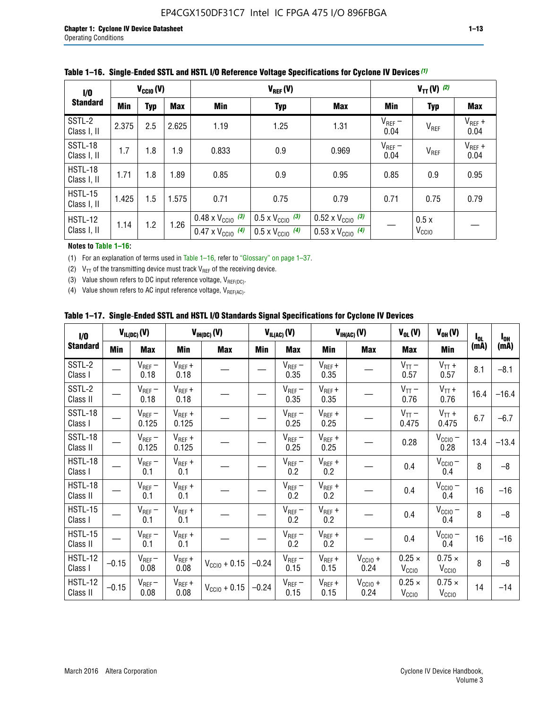| 1/0                           | $V_{CGI0}(V)$ |            |       |                                                                        | $V_{REF}(V)$                                                         |                                                                        |                     |                           | $V_{TT}(V)^{(2)}$   |  |  |  |
|-------------------------------|---------------|------------|-------|------------------------------------------------------------------------|----------------------------------------------------------------------|------------------------------------------------------------------------|---------------------|---------------------------|---------------------|--|--|--|
| <b>Standard</b>               | Min           | <b>Typ</b> | Max   | Min                                                                    | <b>Typ</b>                                                           | <b>Max</b>                                                             | Min                 | <b>Typ</b>                | Max                 |  |  |  |
| SSTL-2<br>Class I, II         | 2.375         | 2.5        | 2.625 | 1.19                                                                   | 1.25                                                                 | 1.31                                                                   | $V_{REF}$ –<br>0.04 | V <sub>REF</sub>          | $V_{REF}$ +<br>0.04 |  |  |  |
| SSTL-18<br>Class I, II        | 1.7           | 1.8        | 1.9   | 0.833                                                                  | 0.9                                                                  | 0.969                                                                  | $V_{REF}$ –<br>0.04 | V <sub>REF</sub>          | $V_{REF}$ +<br>0.04 |  |  |  |
| HSTL-18<br>Class I, II        | 1.71          | 1.8        | .89   | 0.85                                                                   | 0.9                                                                  | 0.95                                                                   | 0.85                | 0.9                       | 0.95                |  |  |  |
| <b>HSTL-15</b><br>Class I, II | 1.425         | 1.5        | 1.575 | 0.71                                                                   | 0.75                                                                 | 0.79                                                                   | 0.71                | 0.75                      | 0.79                |  |  |  |
| HSTL-12<br>Class I, II        | 1.14          | 1.2        | 1.26  | $0.48 \times V_{\text{CC10}}$ (3)<br>$0.47 \times V_{\text{CC10}}$ (4) | $0.5 \times V_{\text{CC10}}$ (3)<br>$0.5 \times V_{\text{CC10}}$ (4) | $0.52 \times V_{\text{CC10}}$ (3)<br>$0.53 \times V_{\text{CC10}}$ (4) |                     | 0.5x<br>V <sub>CCIO</sub> |                     |  |  |  |

|  |  |  |  | Table 1–16. Single-Ended SSTL and HSTL I/O Reference Voltage Specifications for Cyclone IV Devices (1) |
|--|--|--|--|--------------------------------------------------------------------------------------------------------|
|--|--|--|--|--------------------------------------------------------------------------------------------------------|

#### **Notes to Table 1–16:**

(1) For an explanation of terms used in Table 1–16, refer to "Glossary" on page 1–37.

(2)  $V_{TT}$  of the transmitting device must track  $V_{REF}$  of the receiving device.

(3) Value shown refers to DC input reference voltage,  $V_{REF(DC)}$ .

(4) Value shown refers to AC input reference voltage,  $V_{REF(AC)}$ .

|  | Table 1–17.  Single-Ended SSTL and HSTL I/O Standards Signal Specifications for Cyclone IV Devices |  |  |  |  |  |
|--|----------------------------------------------------------------------------------------------------|--|--|--|--|--|
|--|----------------------------------------------------------------------------------------------------|--|--|--|--|--|

| $\mathbf{I}/\mathbf{0}$    |            | $V_{IL(DC)}(V)$      |                      | $V_{IH(DC)}(V)$   |         | $V_{IL(AC)}(V)$     |                     | $V_{IH(AC)}(V)$      | $V_{OL}(V)$                        | $V_{OH} (V)$                       | $I_{0L}$ | $I_{0H}$ |
|----------------------------|------------|----------------------|----------------------|-------------------|---------|---------------------|---------------------|----------------------|------------------------------------|------------------------------------|----------|----------|
| <b>Standard</b>            | <b>Min</b> | <b>Max</b>           | <b>Min</b>           | <b>Max</b>        | Min     | <b>Max</b>          | Min                 | <b>Max</b>           | <b>Max</b>                         | Min                                | (mA)     | (mA)     |
| SSTL-2<br>Class I          |            | $V_{REF}$ –<br>0.18  | $V_{REF} +$<br>0.18  |                   |         | $V_{REF}$ –<br>0.35 | $V_{REF} +$<br>0.35 |                      | $V_{TT}$ –<br>0.57                 | $V_{TT}$ +<br>0.57                 | 8.1      | $-8.1$   |
| SSTL-2<br>Class II         |            | $V_{REF}$ –<br>0.18  | $V_{REF} +$<br>0.18  |                   |         | $V_{REF}$ –<br>0.35 | $V_{REF} +$<br>0.35 |                      | $V_{TT}$ –<br>0.76                 | $V_{TT}$ +<br>0.76                 | 16.4     | $-16.4$  |
| SSTL-18<br>Class I         |            | $V_{REF}-$<br>0.125  | $V_{REF}$ +<br>0.125 |                   |         | $V_{REF}$ –<br>0.25 | $V_{REF}$ +<br>0.25 |                      | $V_{TT}$ –<br>0.475                | $V_{TT}$ +<br>0.475                | 6.7      | $-6.7$   |
| SSTL-18<br>Class II        |            | $V_{REF}$ –<br>0.125 | $V_{REF}$ +<br>0.125 |                   |         | $V_{REF}$ –<br>0.25 | $V_{REF}$ +<br>0.25 |                      | 0.28                               | $V_{CC10}$ –<br>0.28               | 13.4     | $-13.4$  |
| <b>HSTL-18</b><br>Class I  |            | $V_{REF}$ –<br>0.1   | $V_{REF}$ +<br>0.1   |                   |         | $V_{REF}$ –<br>0.2  | $V_{REF}$ +<br>0.2  |                      | 0.4                                | $V_{CCIO}$ –<br>0.4                | 8        | $-8$     |
| HSTL-18<br>Class II        |            | $V_{REF}$ –<br>0.1   | $V_{REF}$ +<br>0.1   |                   |         | $V_{REF}$ –<br>0.2  | $V_{REF}$ +<br>0.2  |                      | 0.4                                | $V_{CC10} -$<br>0.4                | 16       | $-16$    |
| HSTL-15<br>Class I         |            | $V_{REF}$ –<br>0.1   | $V_{REF}$ +<br>0.1   |                   |         | $V_{REF}$ –<br>0.2  | $V_{REF}$ +<br>0.2  |                      | 0.4                                | $V_{CC10}$ –<br>0.4                | 8        | $-8$     |
| HSTL-15<br>Class II        |            | $V_{REF}$ –<br>0.1   | $V_{REF}$ +<br>0.1   |                   |         | $V_{REF}$ –<br>0.2  | $V_{REF} +$<br>0.2  |                      | 0.4                                | $V_{\text{CCIO}} -$<br>0.4         | 16       | $-16$    |
| <b>HSTL-12</b><br>Class I  | $-0.15$    | $V_{REF}-$<br>0.08   | $V_{REF} +$<br>0.08  | $V_{CGI0} + 0.15$ | $-0.24$ | $V_{REF}$ –<br>0.15 | $V_{REF} +$<br>0.15 | $V_{CClO}$ +<br>0.24 | $0.25 \times$<br>V <sub>CCIO</sub> | $0.75 \times$<br>V <sub>CCIO</sub> | 8        | $-8$     |
| <b>HSTL-12</b><br>Class II | $-0.15$    | $V_{REF}-$<br>0.08   | $V_{REF} +$<br>0.08  | $V_{CGI0} + 0.15$ | $-0.24$ | $V_{REF}$ –<br>0.15 | $V_{REF} +$<br>0.15 | $V_{CCIO}$ +<br>0.24 | $0.25 \times$<br>V <sub>CCIO</sub> | $0.75 \times$<br>V <sub>CCIO</sub> | 14       | $-14$    |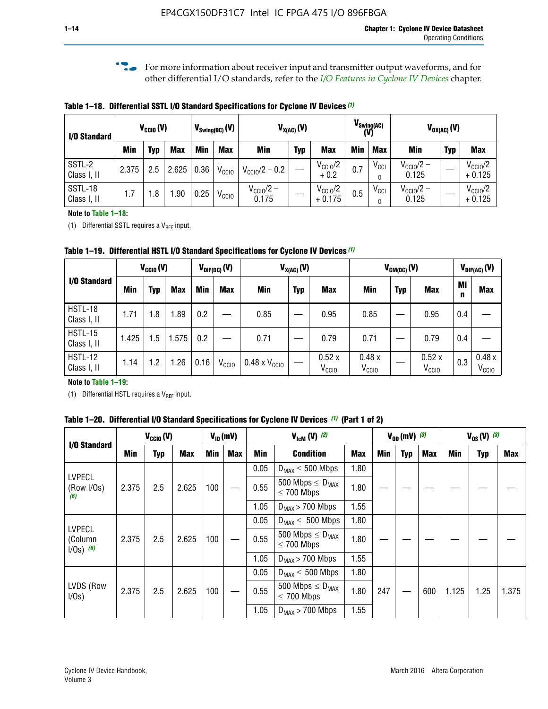**f For more information about receiver input and transmitter output waveforms, and for** other differential I/O standards, refer to the *[I/O Features in Cyclone IV Devices](http://www.altera.com/literature/hb/cyclone-iv/cyiv-51006.pdf)* chapter*.*

**Table 1–18. Differential SSTL I/O Standard Specifications for Cyclone IV Devices** *(1)*

| I/O Standard           |       | $V_{CCl0}(V)$ |            |      | $V_{\text{Swing(DC)}}(V)$ |                                | $V_{X(AC)}(V)$ |                                 | $V_{\text{Swing(AC)}}$<br>(V) |               | $V_{OX(AC)}(V)$                |            |                                 |
|------------------------|-------|---------------|------------|------|---------------------------|--------------------------------|----------------|---------------------------------|-------------------------------|---------------|--------------------------------|------------|---------------------------------|
|                        | Min   | Typ           | <b>Max</b> | Min  | <b>Max</b>                | <b>Min</b>                     | <b>Typ</b>     | <b>Max</b>                      | <b>Min</b>                    | <b>Max</b>    | Min                            | <b>Typ</b> | <b>Max</b>                      |
| SSTL-2<br>Class I, II  | 2.375 | 2.5           | 2.625      | 0.36 | V <sub>CCIO</sub>         | $V_{\text{CC10}}/2 - 0.2$      |                | $V_{\text{CC1O}}/2$<br>$+0.2$   | 0.7                           | $V_{\rm CCI}$ | $V_{\text{CC10}}/2 -$<br>0.125 |            | $V_{\text{CC10}}/2$<br>$+0.125$ |
| SSTL-18<br>Class I, II | 1.7   | .8            | .90        | 0.25 | V <sub>CCIO</sub>         | $V_{\text{CC10}}/2 -$<br>0.175 |                | $V_{\text{CC10}}/2$<br>$+0.175$ | 0.5                           | $V_{\rm CCI}$ | $V_{\text{CC10}}/2 -$<br>0.125 |            | $V_{\text{CC10}}/2$<br>$+0.125$ |

#### **Note to Table 1–18:**

(1) Differential SSTL requires a  $V_{REF}$  input.

**Table 1–19. Differential HSTL I/O Standard Specifications for Cyclone IV Devices** *(1)*

|                               | $V_{CClO}(V)$ |     | $V_{\text{DIF(DC)}}(V)$ |         | $V_{X(AC)}(V)$    |                               |            | $V_{CM(DC)}(V)$            |                            |            |                            | $V_{\text{DIF(AC)}}(V)$ |                            |
|-------------------------------|---------------|-----|-------------------------|---------|-------------------|-------------------------------|------------|----------------------------|----------------------------|------------|----------------------------|-------------------------|----------------------------|
| I/O Standard                  | Min           | Typ | <b>Max</b>              | Min     | <b>Max</b>        | Min                           | <b>Typ</b> | <b>Max</b>                 | Min                        | <b>Typ</b> | <b>Max</b>                 | Mi<br>n                 | <b>Max</b>                 |
| HSTL-18<br>Class I, II        | 1.71          | 1.8 | .89                     | 0.2     |                   | 0.85                          |            | 0.95                       | 0.85                       |            | 0.95                       | 0.4                     |                            |
| <b>HSTL-15</b><br>Class I, II | 1.425         | 1.5 | .575                    | $0.2\,$ |                   | 0.71                          |            | 0.79                       | 0.71                       |            | 0.79                       | 0.4                     |                            |
| <b>HSTL-12</b><br>Class I, II | 1.14          | 1.2 | 1.26                    | 0.16    | V <sub>CCIO</sub> | $0.48 \times V_{\text{CC10}}$ |            | 0.52x<br>V <sub>CCIO</sub> | 0.48x<br>V <sub>CCIO</sub> |            | 0.52x<br>V <sub>CCIO</sub> | 0.3                     | 0.48x<br>V <sub>CCIO</sub> |

#### **Note to Table 1–19:**

(1) Differential HSTL requires a  $V_{REF}$  input.

**Table 1–20. Differential I/O Standard Specifications for Cyclone IV Devices** *(1)* **(Part 1 of 2)**

| I/O Standard                            |       | $V_{CCl0} (V)$ |            |            | $V_{ID}$ (mV) |      | $V_{\text{lcm}}(V)^{(2)}$                           |            |     | $V_{0D}$ (mV) $(3)$ |     |       | $V_{0S} (V)^{(3)}$ |       |
|-----------------------------------------|-------|----------------|------------|------------|---------------|------|-----------------------------------------------------|------------|-----|---------------------|-----|-------|--------------------|-------|
|                                         | Min   | Typ            | <b>Max</b> | <b>Min</b> | <b>Max</b>    | Min  | <b>Condition</b>                                    | <b>Max</b> | Min | Typ                 | Max | Min   | <b>Typ</b>         | Max   |
|                                         |       |                |            |            |               | 0.05 | $D_{MAX} \leq 500$ Mbps                             | 1.80       |     |                     |     |       |                    |       |
| <b>LVPECL</b><br>(Row I/Os)<br>(6)      | 2.375 | 2.5            | 2.625      | 100        |               | 0.55 | 500 Mbps $\leq$ D <sub>MAX</sub><br>$\leq$ 700 Mbps | 1.80       |     |                     |     |       |                    |       |
|                                         |       |                |            |            |               | 1.05 | $D_{MAX}$ > 700 Mbps                                | 1.55       |     |                     |     |       |                    |       |
|                                         |       |                |            |            |               | 0.05 | $D_{MAX} \leq 500$ Mbps                             | 1.80       |     |                     |     |       |                    |       |
| <b>LVPECL</b><br>(Column<br>$1/Os)$ (6) | 2.375 | 2.5            | 2.625      | 100        |               | 0.55 | 500 Mbps $\leq D_{MAX}$<br>$\leq$ 700 Mbps          | 1.80       |     |                     |     |       |                    |       |
|                                         |       |                |            |            |               | 1.05 | $D_{MAX}$ > 700 Mbps                                | 1.55       |     |                     |     |       |                    |       |
|                                         |       |                |            |            |               | 0.05 | $D_{MAX} \leq 500$ Mbps                             | 1.80       |     |                     |     |       |                    |       |
| LVDS (Row<br>I/Os)                      | 2.375 | 2.5            | 2.625      | 100        |               | 0.55 | 500 Mbps $\leq D_{MAX}$<br>$\leq 700$ Mbps          | 1.80       | 247 |                     | 600 | 1.125 | 1.25               | 1.375 |
|                                         |       |                |            |            |               | 1.05 | $D_{MAX}$ > 700 Mbps                                | 1.55       |     |                     |     |       |                    |       |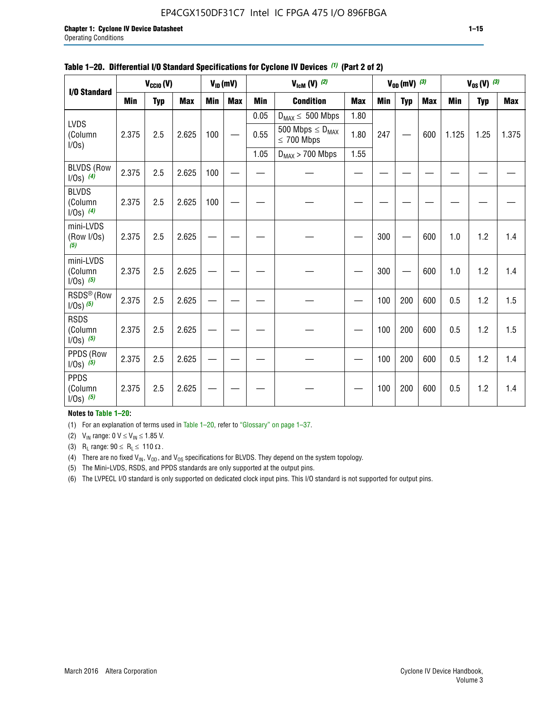#### EP4CGX150DF31C7 Intel IC FPGA 475 I/O 896FBGA

|                                          |            | $V_{\text{CCIO}}(V)$ |            |     | $V_{ID}(mV)$ |            | $V_{\text{ICM}}(V)$ (2)                    |            |     | $V_{OD}$ (mV) $(3)$ |            |            | $V_{0S} (V)$ (3) |            |
|------------------------------------------|------------|----------------------|------------|-----|--------------|------------|--------------------------------------------|------------|-----|---------------------|------------|------------|------------------|------------|
| I/O Standard                             |            |                      |            |     |              |            |                                            |            |     |                     |            |            |                  |            |
|                                          | <b>Min</b> | <b>Typ</b>           | <b>Max</b> | Min | <b>Max</b>   | <b>Min</b> | <b>Condition</b>                           | <b>Max</b> | Min | <b>Typ</b>          | <b>Max</b> | <b>Min</b> | <b>Typ</b>       | <b>Max</b> |
|                                          |            |                      |            |     |              | 0.05       | $D_{MAX} \leq 500$ Mbps                    | 1.80       |     |                     |            |            |                  |            |
| <b>LVDS</b><br>(Column<br>I/Os)          | 2.375      | 2.5                  | 2.625      | 100 |              | 0.55       | 500 Mbps $\leq D_{MAX}$<br>$\leq 700$ Mbps | 1.80       | 247 |                     | 600        | 1.125      | 1.25             | 1.375      |
|                                          |            |                      |            |     |              | 1.05       | $D_{MAX}$ > 700 Mbps                       | 1.55       |     |                     |            |            |                  |            |
| <b>BLVDS (Row</b><br>$1/0s)$ (4)         | 2.375      | 2.5                  | 2.625      | 100 |              |            |                                            |            |     |                     |            |            |                  |            |
| <b>BLVDS</b><br>(Column<br>$1/0s)$ (4)   | 2.375      | 2.5                  | 2.625      | 100 |              |            |                                            |            |     |                     |            |            |                  |            |
| mini-LVDS<br>(Row I/Os)<br>(5)           | 2.375      | 2.5                  | 2.625      |     |              |            |                                            |            | 300 |                     | 600        | 1.0        | 1.2              | 1.4        |
| mini-LVDS<br>(Column<br>$1/0s)$ (5)      | 2.375      | 2.5                  | 2.625      |     |              |            |                                            |            | 300 |                     | 600        | 1.0        | 1.2              | 1.4        |
| RSDS <sup>®</sup> (Row<br>$1/0s$ ) $(5)$ | 2.375      | 2.5                  | 2.625      |     |              |            |                                            |            | 100 | 200                 | 600        | 0.5        | 1.2              | 1.5        |
| <b>RSDS</b><br>(Column<br>$1/Os)$ (5)    | 2.375      | 2.5                  | 2.625      |     |              |            |                                            |            | 100 | 200                 | 600        | 0.5        | 1.2              | 1.5        |
| PPDS (Row<br>$1/Os)$ (5)                 | 2.375      | 2.5                  | 2.625      |     |              |            |                                            |            | 100 | 200                 | 600        | 0.5        | 1.2              | 1.4        |
| <b>PPDS</b><br>(Column<br>$1/0s)$ (5)    | 2.375      | 2.5                  | 2.625      |     |              |            |                                            |            | 100 | 200                 | 600        | 0.5        | 1.2              | 1.4        |

#### **Table 1–20. Differential I/O Standard Specifications for Cyclone IV Devices** *(1)* **(Part 2 of 2)**

#### **Notes to Table 1–20:**

(1) For an explanation of terms used in Table 1–20, refer to "Glossary" on page 1–37.

(2)  $V_{IN}$  range: 0  $V \le V_{IN} \le 1.85$  V.

(3) R<sub>L</sub> range:  $90 \le R_L \le 110 \Omega$ .

(4) There are no fixed  $V_{IN}$ ,  $V_{OD}$ , and  $V_{OS}$  specifications for BLVDS. They depend on the system topology.

(5) The Mini-LVDS, RSDS, and PPDS standards are only supported at the output pins.

(6) The LVPECL I/O standard is only supported on dedicated clock input pins. This I/O standard is not supported for output pins.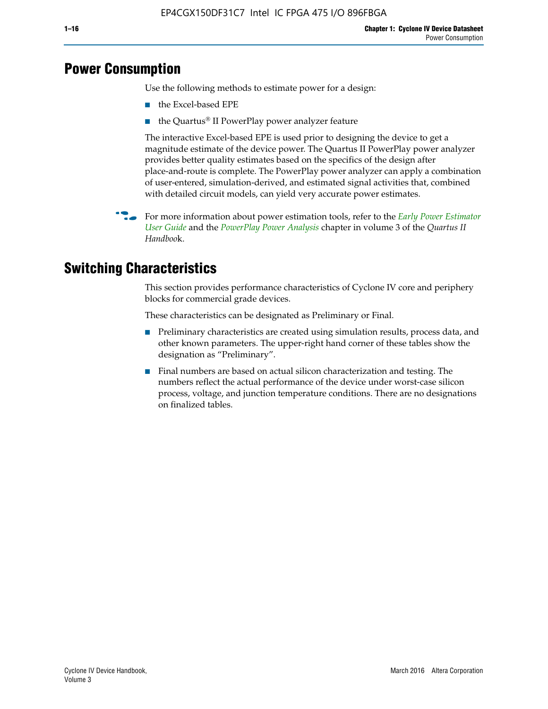## **Power Consumption**

Use the following methods to estimate power for a design:

- the Excel-based EPE
- the Quartus® II PowerPlay power analyzer feature

The interactive Excel-based EPE is used prior to designing the device to get a magnitude estimate of the device power. The Quartus II PowerPlay power analyzer provides better quality estimates based on the specifics of the design after place-and-route is complete. The PowerPlay power analyzer can apply a combination of user-entered, simulation-derived, and estimated signal activities that, combined with detailed circuit models, can yield very accurate power estimates.

f For more information about power estimation tools, refer to the *[Early Power Estimator](http://www.altera.com/literature/ug/ug_epe.pdf
)  [User Guide](http://www.altera.com/literature/ug/ug_epe.pdf
)* and the *[PowerPlay Power Analysis](http://www.altera.com/literature/hb/qts/qts_qii53013.pdf)* chapter in volume 3 of the *Quartus II Handboo*k.

# **Switching Characteristics**

This section provides performance characteristics of Cyclone IV core and periphery blocks for commercial grade devices.

These characteristics can be designated as Preliminary or Final.

- Preliminary characteristics are created using simulation results, process data, and other known parameters. The upper-right hand corner of these tables show the designation as "Preliminary".
- Final numbers are based on actual silicon characterization and testing. The numbers reflect the actual performance of the device under worst-case silicon process, voltage, and junction temperature conditions. There are no designations on finalized tables.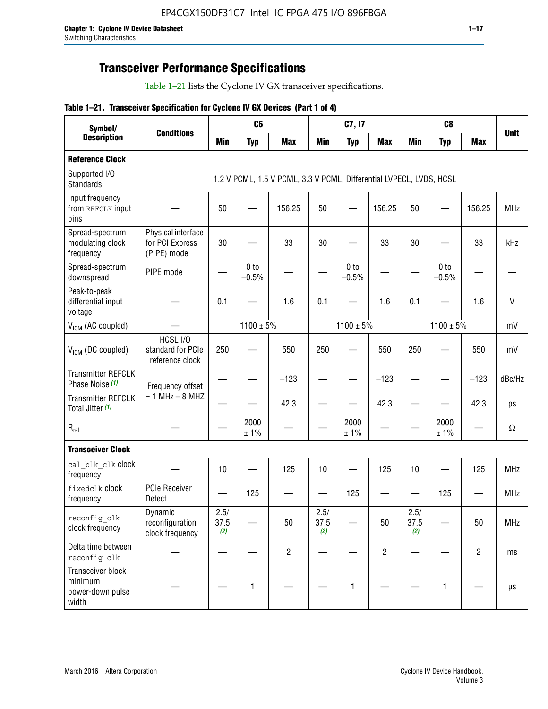# **Transceiver Performance Specifications**

Table 1–21 lists the Cyclone IV GX transceiver specifications.

|  |  | Table 1-21. Transceiver Specification for Cyclone IV GX Devices (Part 1 of 4) |  |
|--|--|-------------------------------------------------------------------------------|--|
|--|--|-------------------------------------------------------------------------------|--|

| Symbol/                                                   |                                                      |                          | C <sub>6</sub>             |                                                                     |                          | C7, I7                     |                               |                     | C <sub>8</sub>             |                |             |
|-----------------------------------------------------------|------------------------------------------------------|--------------------------|----------------------------|---------------------------------------------------------------------|--------------------------|----------------------------|-------------------------------|---------------------|----------------------------|----------------|-------------|
| <b>Description</b>                                        | <b>Conditions</b>                                    | <b>Min</b>               | <b>Typ</b>                 | <b>Max</b>                                                          | <b>Min</b>               | <b>Typ</b>                 | <b>Max</b>                    | <b>Min</b>          | <b>Typ</b>                 | <b>Max</b>     | <b>Unit</b> |
| <b>Reference Clock</b>                                    |                                                      |                          |                            |                                                                     |                          |                            |                               |                     |                            |                |             |
| Supported I/O<br><b>Standards</b>                         |                                                      |                          |                            | 1.2 V PCML, 1.5 V PCML, 3.3 V PCML, Differential LVPECL, LVDS, HCSL |                          |                            |                               |                     |                            |                |             |
| Input frequency<br>from REFCLK input<br>pins              |                                                      | 50                       |                            | 156.25                                                              | 50                       |                            | 156.25                        | 50                  |                            | 156.25         | <b>MHz</b>  |
| Spread-spectrum<br>modulating clock<br>frequency          | Physical interface<br>for PCI Express<br>(PIPE) mode | 30                       |                            | 33                                                                  | 30                       |                            | 33                            | 30                  |                            | 33             | kHz         |
| Spread-spectrum<br>downspread                             | PIPE mode                                            |                          | 0 <sub>to</sub><br>$-0.5%$ |                                                                     |                          | 0 <sub>to</sub><br>$-0.5%$ |                               |                     | 0 <sub>to</sub><br>$-0.5%$ |                |             |
| Peak-to-peak<br>differential input<br>voltage             |                                                      | 0.1                      |                            | 1.6                                                                 | 0.1                      |                            | 1.6                           | 0.1                 |                            | 1.6            | $\vee$      |
| V <sub>ICM</sub> (AC coupled)                             |                                                      |                          | $1100 \pm 5\%$             |                                                                     |                          | $1100 \pm 5\%$             |                               |                     | $1100 \pm 5\%$             |                | mV          |
| $V_{ICM}$ (DC coupled)                                    | HCSL I/O<br>standard for PCIe<br>reference clock     | 250                      |                            | 550                                                                 | 250                      |                            | 550                           | 250                 |                            | 550            | mV          |
| <b>Transmitter REFCLK</b><br>Phase Noise (1)              | Frequency offset                                     | $\overline{\phantom{0}}$ |                            | $-123$                                                              | $\overline{\phantom{0}}$ |                            | $-123$                        |                     |                            | $-123$         | dBc/Hz      |
| <b>Transmitter REFCLK</b><br>Total Jitter (1)             | $= 1$ MHz $- 8$ MHZ                                  |                          |                            | 42.3                                                                | $\overline{\phantom{0}}$ |                            | 42.3                          |                     |                            | 42.3           | ps          |
| $R_{ref}$                                                 |                                                      |                          | 2000<br>± 1%               |                                                                     |                          | 2000<br>± 1%               |                               |                     | 2000<br>± 1%               |                | Ω           |
| <b>Transceiver Clock</b>                                  |                                                      |                          |                            |                                                                     |                          |                            |                               |                     |                            |                |             |
| cal blk clk clock<br>frequency                            |                                                      | 10                       |                            | 125                                                                 | 10                       |                            | 125                           | 10                  |                            | 125            | MHz         |
| fixedclk Clock<br>frequency                               | PCIe Receiver<br>Detect                              |                          | 125                        |                                                                     | —                        | 125                        | $\overbrace{\phantom{aaaaa}}$ | —                   | 125                        |                | <b>MHz</b>  |
| reconfig_clk<br>clock frequency                           | Dynamic<br>reconfiguration<br>clock frequency        | 2.5/<br>37.5<br>(2)      |                            | 50                                                                  | 2.5/<br>37.5<br>(2)      |                            | 50                            | 2.5/<br>37.5<br>(2) |                            | 50             | <b>MHz</b>  |
| Delta time between<br>reconfig clk                        |                                                      |                          |                            | $\overline{2}$                                                      |                          |                            | $\overline{2}$                |                     |                            | $\overline{2}$ | ms          |
| Transceiver block<br>minimum<br>power-down pulse<br>width |                                                      |                          | 1                          |                                                                     |                          | 1                          |                               |                     | $\mathbf{1}$               |                | $\mu s$     |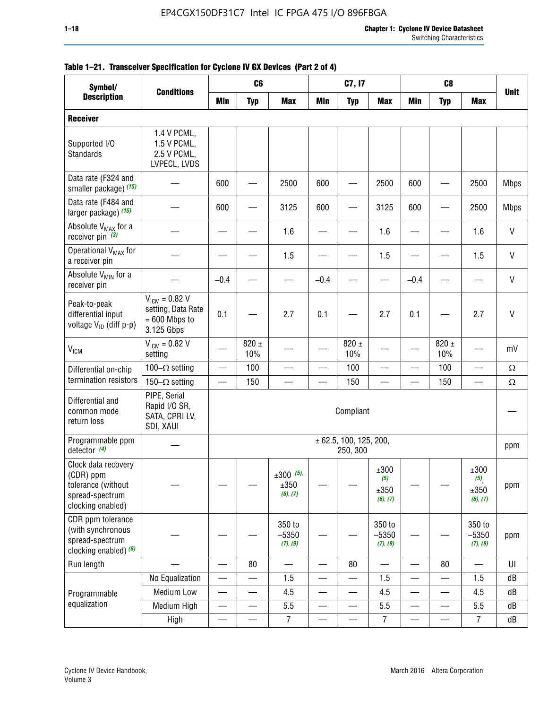| Symbol/                                                                                        |                                                                           | C <sub>8</sub><br>C <sub>6</sub><br>C7, I7 |                          |                                    |                          |                                    |                                     |                          |                          |                                                |              |
|------------------------------------------------------------------------------------------------|---------------------------------------------------------------------------|--------------------------------------------|--------------------------|------------------------------------|--------------------------|------------------------------------|-------------------------------------|--------------------------|--------------------------|------------------------------------------------|--------------|
| <b>Description</b>                                                                             | <b>Conditions</b>                                                         | <b>Min</b>                                 | <b>Typ</b>               | <b>Max</b>                         | <b>Min</b>               | <b>Typ</b>                         | <b>Max</b>                          | <b>Min</b>               | <b>Typ</b>               | <b>Max</b>                                     | <b>Unit</b>  |
| <b>Receiver</b>                                                                                |                                                                           |                                            |                          |                                    |                          |                                    |                                     |                          |                          |                                                |              |
| Supported I/O<br><b>Standards</b>                                                              | 1.4 V PCML,<br>1.5 V PCML,<br>2.5 V PCML,<br>LVPECL, LVDS                 |                                            |                          |                                    |                          |                                    |                                     |                          |                          |                                                |              |
| Data rate (F324 and<br>smaller package) (15)                                                   |                                                                           | 600                                        |                          | 2500                               | 600                      |                                    | 2500                                | 600                      |                          | 2500                                           | <b>Mbps</b>  |
| Data rate (F484 and<br>larger package) (15)                                                    |                                                                           | 600                                        |                          | 3125                               | 600                      |                                    | 3125                                | 600                      |                          | 2500                                           | <b>Mbps</b>  |
| Absolute V <sub>MAX</sub> for a<br>receiver pin $(3)$                                          |                                                                           |                                            |                          | 1.6                                |                          |                                    | 1.6                                 |                          |                          | 1.6                                            | V            |
| Operational V <sub>MAX</sub> for<br>a receiver pin                                             |                                                                           |                                            |                          | 1.5                                |                          |                                    | 1.5                                 |                          |                          | 1.5                                            | V            |
| Absolute V <sub>MIN</sub> for a<br>receiver pin                                                |                                                                           | $-0.4$                                     |                          |                                    | $-0.4$                   |                                    |                                     | $-0.4$                   |                          |                                                | V            |
| Peak-to-peak<br>differential input<br>voltage V <sub>ID</sub> (diff p-p)                       | $V_{ICM} = 0.82 V$<br>setting, Data Rate<br>$= 600$ Mbps to<br>3.125 Gbps | 0.1                                        |                          | 2.7                                | 0.1                      |                                    | 2.7                                 | 0.1                      |                          | 2.7                                            | $\mathsf{V}$ |
| <b>V<sub>ICM</sub></b>                                                                         | $V_{IGM} = 0.82 V$<br>setting                                             |                                            | $820 \pm$<br>10%         |                                    |                          | 820 $\pm$<br>10%                   |                                     |                          | $820 \pm$<br>10%         |                                                | mV           |
| Differential on-chip                                                                           | 100 $-\Omega$ setting                                                     |                                            | 100                      |                                    |                          | 100                                |                                     |                          | 100                      | —                                              | $\Omega$     |
| termination resistors                                                                          | 150 $-\Omega$ setting                                                     |                                            | 150                      |                                    |                          | 150                                |                                     |                          | 150                      |                                                | $\Omega$     |
| Differential and<br>common mode<br>return loss                                                 | PIPE, Serial<br>Rapid I/O SR,<br>SATA, CPRI LV,<br>SDI, XAUI              |                                            |                          |                                    |                          | Compliant                          |                                     |                          |                          |                                                |              |
| Programmable ppm<br>detector $(4)$                                                             |                                                                           |                                            |                          |                                    |                          | ± 62.5, 100, 125, 200,<br>250, 300 |                                     |                          |                          |                                                | ppm          |
| Clock data recovery<br>(CDR) ppm<br>tolerance (without<br>spread-spectrum<br>clocking enabled) |                                                                           |                                            |                          | $\pm 300$ (5),<br>±350<br>(6), (7) |                          |                                    | ±300<br>$(5)$ ,<br>±350<br>(6), (7) |                          |                          | ±300<br>$(5)$ <sub>,</sub><br>±350<br>(6), (7) | ppm          |
| CDR ppm tolerance<br>(with synchronous<br>spread-spectrum<br>clocking enabled) (8)             |                                                                           |                                            |                          | 350 to<br>$-5350$<br>(7), (9)      |                          |                                    | 350 to<br>$-5350$<br>(7), (9)       |                          |                          | 350 to<br>$-5350$<br>(7), (9)                  | ppm          |
| Run length                                                                                     |                                                                           | $\overline{\phantom{0}}$                   | 80                       | $\equiv$                           |                          | 80                                 |                                     |                          | 80                       |                                                | UI           |
|                                                                                                | No Equalization                                                           | —                                          |                          | 1.5                                | —                        |                                    | 1.5                                 | —<br>—                   |                          | 1.5                                            | dB           |
| Programmable                                                                                   | Medium Low                                                                | $\overline{\phantom{0}}$                   |                          | 4.5                                |                          |                                    | 4.5                                 | —                        | $\overline{\phantom{0}}$ | 4.5                                            | dB           |
| equalization                                                                                   | Medium High                                                               | $\overline{\phantom{0}}$                   | —                        | 5.5                                |                          | —                                  | 5.5                                 | $\overline{\phantom{0}}$ |                          | 5.5                                            | dB           |
|                                                                                                | High                                                                      | —                                          | $\overline{\phantom{0}}$ | $\overline{7}$                     | $\overline{\phantom{0}}$ |                                    | $\overline{7}$                      | —                        |                          | $\overline{7}$                                 | dB           |

#### **Table 1–21. Transceiver Specification for Cyclone IV GX Devices (Part 2 of 4)**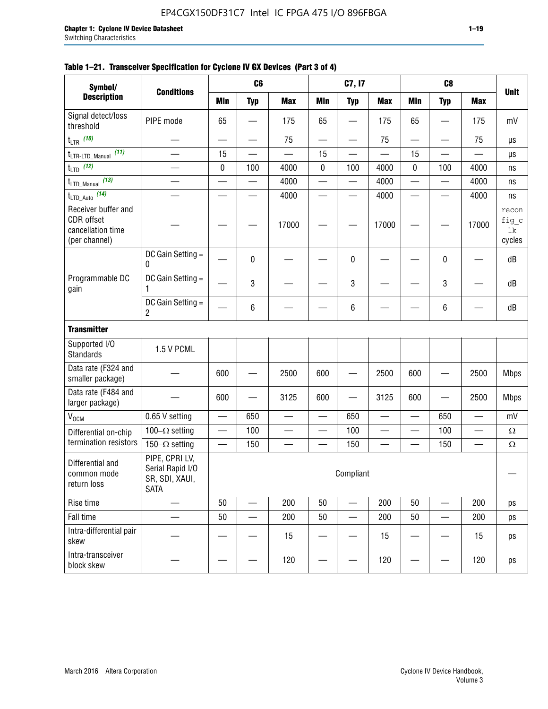#### **Table 1–21. Transceiver Specification for Cyclone IV GX Devices (Part 3 of 4)**

| Symbol/                                                                 |                                                                     |                          | C <sub>6</sub>           |                          |                          | C7, I7                        |                          |                          | C <sub>8</sub>                 |                          |                                |
|-------------------------------------------------------------------------|---------------------------------------------------------------------|--------------------------|--------------------------|--------------------------|--------------------------|-------------------------------|--------------------------|--------------------------|--------------------------------|--------------------------|--------------------------------|
| <b>Description</b>                                                      | <b>Conditions</b>                                                   | <b>Min</b>               | <b>Typ</b>               | <b>Max</b>               | <b>Min</b>               | <b>Typ</b>                    | <b>Max</b>               | <b>Min</b>               | <b>Typ</b>                     | <b>Max</b>               | <b>Unit</b>                    |
| Signal detect/loss<br>threshold                                         | PIPE mode                                                           | 65                       |                          | 175                      | 65                       |                               | 175                      | 65                       | $\overline{\phantom{0}}$       | 175                      | mV                             |
| $t_{LTR}$ (10)                                                          | $\overline{\phantom{0}}$                                            | $\overline{\phantom{0}}$ | $\overline{\phantom{0}}$ | 75                       | $\overline{\phantom{0}}$ |                               | 75                       | $\overline{\phantom{0}}$ | $\qquad \qquad$                | 75                       | μs                             |
| (11)<br>$t_{\text{LTR-LTD\_Manual}}$                                    |                                                                     | 15                       |                          |                          | 15                       |                               |                          | 15                       | $\overline{\phantom{0}}$       |                          | μs                             |
| $t_{LTD}$ (12)                                                          |                                                                     | 0                        | 100                      | 4000                     | $\mathbf 0$              | 100                           | 4000                     | 0                        | 100                            | 4000                     | ns                             |
| $t_{\text{LTD\_Manual}}$ (13)                                           | $\overline{\phantom{0}}$                                            | $\overline{\phantom{0}}$ | $\overline{\phantom{0}}$ | 4000                     | $\overline{\phantom{0}}$ |                               | 4000                     | $\overline{\phantom{0}}$ | $\qquad \qquad$                | 4000                     | ns                             |
| $t_{\text{LTD\_Auto}}$ (14)                                             |                                                                     |                          |                          | 4000                     |                          |                               | 4000                     | $\overline{\phantom{0}}$ | $\overline{\phantom{0}}$       | 4000                     | ns                             |
| Receiver buffer and<br>CDR offset<br>cancellation time<br>(per channel) |                                                                     |                          |                          | 17000                    |                          |                               | 17000                    |                          |                                | 17000                    | recon<br>fig_c<br>lk<br>cycles |
|                                                                         | DC Gain Setting =<br>0                                              |                          | 0                        |                          |                          | 0                             |                          |                          | 0                              |                          | dB                             |
| Programmable DC<br>gain                                                 | DC Gain Setting =<br>1                                              |                          | 3                        |                          |                          | 3                             |                          |                          | $\mathbf 3$                    |                          | dB                             |
|                                                                         | DC Gain Setting =<br>$\overline{2}$                                 |                          | $\,6\,$                  |                          |                          | 6                             |                          |                          | 6                              |                          | dB                             |
| <b>Transmitter</b>                                                      |                                                                     |                          |                          |                          |                          |                               |                          |                          |                                |                          |                                |
| Supported I/O<br><b>Standards</b>                                       | 1.5 V PCML                                                          |                          |                          |                          |                          |                               |                          |                          |                                |                          |                                |
| Data rate (F324 and<br>smaller package)                                 |                                                                     | 600                      |                          | 2500                     | 600                      |                               | 2500                     | 600                      | $\overline{\phantom{0}}$       | 2500                     | <b>Mbps</b>                    |
| Data rate (F484 and<br>larger package)                                  |                                                                     | 600                      | —                        | 3125                     | 600                      | —                             | 3125                     | 600                      | —                              | 2500                     | <b>Mbps</b>                    |
| $\rm V_{\rm OCM}$                                                       | 0.65 V setting                                                      |                          | 650                      | $\overline{\phantom{0}}$ | $\overline{\phantom{0}}$ | 650                           | $\overline{\phantom{0}}$ | $\overline{\phantom{0}}$ | 650                            | $\overline{\phantom{0}}$ | mV                             |
| Differential on-chip                                                    | 100 $-\Omega$ setting                                               |                          | 100                      | $\overline{\phantom{0}}$ | $\overline{\phantom{0}}$ | 100                           | $\overline{\phantom{0}}$ | $\overline{\phantom{0}}$ | 100                            | $\overline{\phantom{0}}$ | $\Omega$                       |
| termination resistors                                                   | 150 $-\Omega$ setting                                               | $\qquad \qquad -$        | 150                      | $\overline{\phantom{0}}$ | —                        | 150                           | $\overline{\phantom{0}}$ | $\qquad \qquad$          | 150                            |                          | $\Omega$                       |
| Differential and<br>common mode<br>return loss                          | PIPE, CPRI LV,<br>Serial Rapid I/O<br>SR, SDI, XAUI,<br><b>SATA</b> |                          |                          |                          |                          | Compliant                     |                          |                          |                                |                          |                                |
| Rise time                                                               | $\qquad \qquad$                                                     | 50                       | $\overline{\phantom{0}}$ | 200                      | 50                       | $\overline{\phantom{0}}$      | 200                      | 50                       | $\overline{\phantom{0}}$       | 200                      | ps                             |
| Fall time                                                               | $\overline{\phantom{0}}$                                            | 50                       | $\overline{\phantom{0}}$ | 200                      | 50                       | $\overbrace{\phantom{aaaaa}}$ | 200                      | 50                       | $\overline{\phantom{0}}$       | 200                      | ps                             |
| Intra-differential pair<br>skew                                         |                                                                     |                          |                          | 15                       |                          |                               | 15                       | —                        | $\qquad \qquad \longleftarrow$ | 15                       | ps                             |
| Intra-transceiver<br>block skew                                         |                                                                     |                          |                          | 120                      |                          |                               | 120                      |                          | —                              | 120                      | ps                             |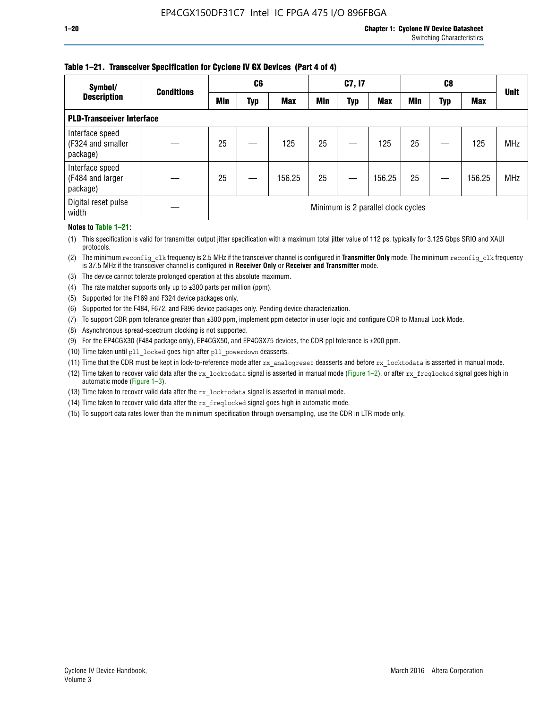#### **Table 1–21. Transceiver Specification for Cyclone IV GX Devices (Part 4 of 4)**

| Symbol/                                          | <b>Conditions</b> | C <sub>6</sub> |     |            | C7, I7     |            |                                    | C8         |     |            | <b>Unit</b> |
|--------------------------------------------------|-------------------|----------------|-----|------------|------------|------------|------------------------------------|------------|-----|------------|-------------|
| <b>Description</b>                               |                   | <b>Min</b>     | Typ | <b>Max</b> | <b>Min</b> | <b>Typ</b> | <b>Max</b>                         | <b>Min</b> | Typ | <b>Max</b> |             |
| <b>PLD-Transceiver Interface</b>                 |                   |                |     |            |            |            |                                    |            |     |            |             |
| Interface speed<br>(F324 and smaller<br>package) |                   | 25             |     | 125        | 25         |            | 125                                | 25         |     | 125        | <b>MHz</b>  |
| Interface speed<br>(F484 and larger<br>package)  |                   | 25             |     | 156.25     | 25         |            | 156.25                             | 25         |     | 156.25     | <b>MHz</b>  |
| Digital reset pulse<br>width                     |                   |                |     |            |            |            | Minimum is 2 parallel clock cycles |            |     |            |             |

#### **Notes to Table 1–21:**

(1) This specification is valid for transmitter output jitter specification with a maximum total jitter value of 112 ps, typically for 3.125 Gbps SRIO and XAUI protocols.

(2) The minimum reconfig\_clk frequency is 2.5 MHz if the transceiver channel is configured in **Transmitter Only** mode. The minimum reconfig\_clk frequency is 37.5 MHz if the transceiver channel is configured in **Receiver Only** or **Receiver and Transmitter** mode.

(3) The device cannot tolerate prolonged operation at this absolute maximum.

- (4) The rate matcher supports only up to  $\pm 300$  parts per million (ppm).
- (5) Supported for the F169 and F324 device packages only.
- (6) Supported for the F484, F672, and F896 device packages only. Pending device characterization.
- (7) To support CDR ppm tolerance greater than ±300 ppm, implement ppm detector in user logic and configure CDR to Manual Lock Mode.
- (8) Asynchronous spread-spectrum clocking is not supported.
- (9) For the EP4CGX30 (F484 package only), EP4CGX50, and EP4CGX75 devices, the CDR ppl tolerance is ±200 ppm.
- (10) Time taken until pll\_locked goes high after pll\_powerdown deasserts.
- (11) Time that the CDR must be kept in lock-to-reference mode after rx analogreset deasserts and before rx locktodata is asserted in manual mode.

(12) Time taken to recover valid data after the rx locktodata signal is asserted in manual mode (Figure 1–2), or after rx freqlocked signal goes high in automatic mode (Figure 1–3).

(13) Time taken to recover valid data after the rx locktodata signal is asserted in manual mode.

- (14) Time taken to recover valid data after the rx freqlocked signal goes high in automatic mode.
- (15) To support data rates lower than the minimum specification through oversampling, use the CDR in LTR mode only.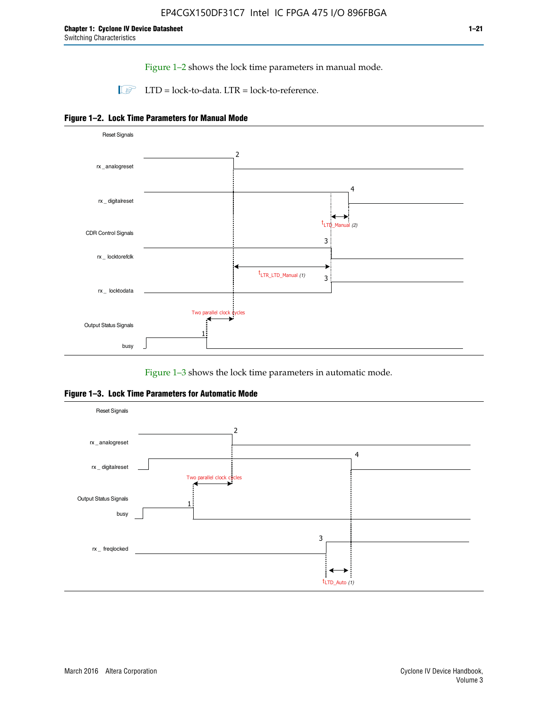Figure 1–2 shows the lock time parameters in manual mode.

 $\Box$  LTD = lock-to-data. LTR = lock-to-reference.





Figure 1–3 shows the lock time parameters in automatic mode.

**Figure 1–3. Lock Time Parameters for Automatic Mode**

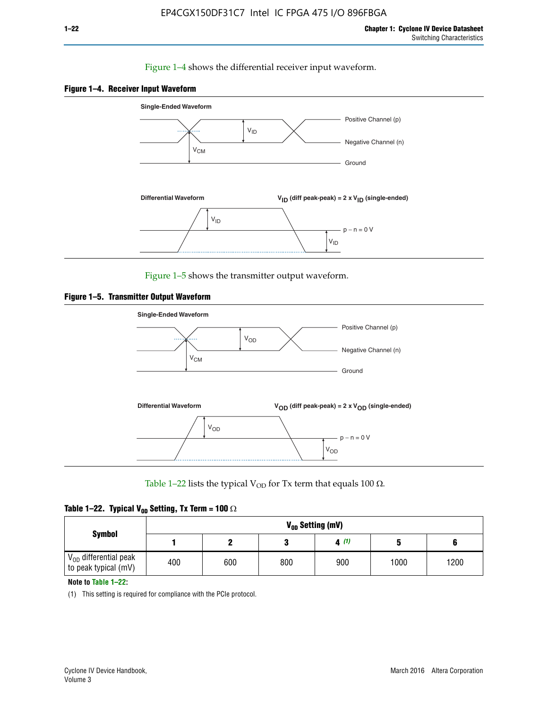#### Figure 1–4 shows the differential receiver input waveform.





Figure 1–5 shows the transmitter output waveform.





Table 1–22 lists the typical V<sub>OD</sub> for Tx term that equals 100  $\Omega$ .

| Table 1–22. Typical V <sub>0D</sub> Setting, Tx Term = 100 $\Omega$ |  |  |  |  |  |  |  |
|---------------------------------------------------------------------|--|--|--|--|--|--|--|
|---------------------------------------------------------------------|--|--|--|--|--|--|--|

|                                                        |     |     |     | V <sub>op</sub> Setting (mV) |      |      |
|--------------------------------------------------------|-----|-----|-----|------------------------------|------|------|
| <b>Symbol</b>                                          |     |     |     | 4(1)                         |      |      |
| $\rm V_{OD}$ differential peak<br>to peak typical (mV) | 400 | 600 | 800 | 900                          | 1000 | 1200 |

**Note to Table 1–22:**

(1) This setting is required for compliance with the PCIe protocol.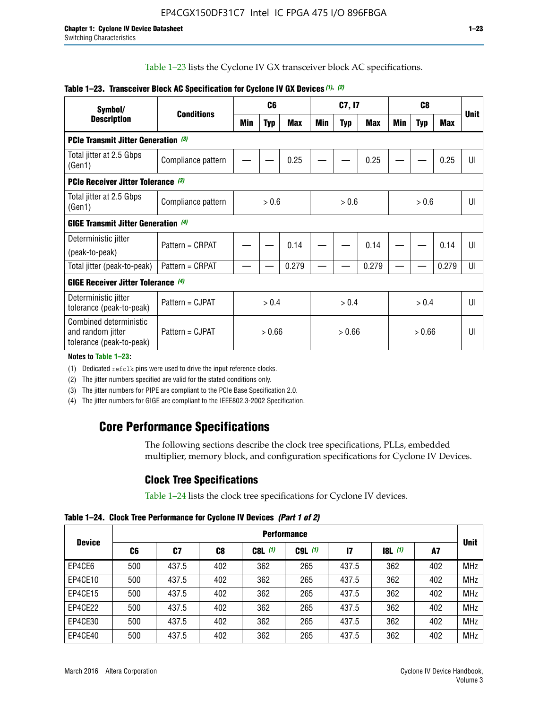Table 1–23 lists the Cyclone IV GX transceiver block AC specifications.

| Symbol/                                                                 |                    | C <sub>6</sub> |            | C7, I7     |     | C <sub>8</sub> |            |     |            |            |             |
|-------------------------------------------------------------------------|--------------------|----------------|------------|------------|-----|----------------|------------|-----|------------|------------|-------------|
| <b>Description</b>                                                      | <b>Conditions</b>  | Min            | <b>Typ</b> | <b>Max</b> | Min | <b>Typ</b>     | <b>Max</b> | Min | <b>Typ</b> | <b>Max</b> | <b>Unit</b> |
| <b>PCIe Transmit Jitter Generation</b> (3)                              |                    |                |            |            |     |                |            |     |            |            |             |
| Total jitter at 2.5 Gbps<br>(Gen1)                                      | Compliance pattern |                |            | 0.25       |     |                | 0.25       |     |            | 0.25       | UI          |
| <b>PCIe Receiver Jitter Tolerance</b> (3)                               |                    |                |            |            |     |                |            |     |            |            |             |
| Total jitter at 2.5 Gbps<br>(Gen1)                                      | Compliance pattern | > 0.6          |            | > 0.6      |     | > 0.6          |            | UI  |            |            |             |
| <b>GIGE Transmit Jitter Generation</b> (4)                              |                    |                |            |            |     |                |            |     |            |            |             |
| Deterministic jitter                                                    | Pattern = CRPAT    |                |            | 0.14       |     |                | 0.14       |     |            | 0.14       | UI          |
| (peak-to-peak)                                                          |                    |                |            |            |     |                |            |     |            |            |             |
| Total jitter (peak-to-peak)                                             | Pattern = CRPAT    |                |            | 0.279      |     |                | 0.279      |     |            | 0.279      | UI          |
| <b>GIGE Receiver Jitter Tolerance</b> (4)                               |                    |                |            |            |     |                |            |     |            |            |             |
| Deterministic jitter<br>tolerance (peak-to-peak)                        | Pattern = CJPAT    | > 0.4          |            | > 0.4      |     |                | > 0.4      |     | UI         |            |             |
| Combined deterministic<br>and random jitter<br>tolerance (peak-to-peak) | Pattern = CJPAT    | > 0.66         |            | > 0.66     |     | > 0.66         |            | UI  |            |            |             |

#### **Table 1–23. Transceiver Block AC Specification for Cyclone IV GX Devices** *(1)***,** *(2)*

**Notes to Table 1–23:**

(1) Dedicated refclk pins were used to drive the input reference clocks.

(2) The jitter numbers specified are valid for the stated conditions only.

(3) The jitter numbers for PIPE are compliant to the PCIe Base Specification 2.0.

(4) The jitter numbers for GIGE are compliant to the IEEE802.3-2002 Specification.

### **Core Performance Specifications**

The following sections describe the clock tree specifications, PLLs, embedded multiplier, memory block, and configuration specifications for Cyclone IV Devices.

### **Clock Tree Specifications**

Table 1–24 lists the clock tree specifications for Cyclone IV devices.

**Table 1–24. Clock Tree Performance for Cyclone IV Devices** *(Part 1 of 2)*

|               | <b>Performance</b> |       |     |           |             |               |                  |     |             |
|---------------|--------------------|-------|-----|-----------|-------------|---------------|------------------|-----|-------------|
| <b>Device</b> | C6                 | C7    | C8  | $C8L$ (1) | $C9L$ $(1)$ | $\mathsf{I}7$ | <b>18L</b> $(1)$ | A7  | <b>Unit</b> |
| EP4CE6        | 500                | 437.5 | 402 | 362       | 265         | 437.5         | 362              | 402 | <b>MHz</b>  |
| EP4CE10       | 500                | 437.5 | 402 | 362       | 265         | 437.5         | 362              | 402 | <b>MHz</b>  |
| EP4CE15       | 500                | 437.5 | 402 | 362       | 265         | 437.5         | 362              | 402 | <b>MHz</b>  |
| EP4CE22       | 500                | 437.5 | 402 | 362       | 265         | 437.5         | 362              | 402 | <b>MHz</b>  |
| EP4CE30       | 500                | 437.5 | 402 | 362       | 265         | 437.5         | 362              | 402 | <b>MHz</b>  |
| EP4CE40       | 500                | 437.5 | 402 | 362       | 265         | 437.5         | 362              | 402 | <b>MHz</b>  |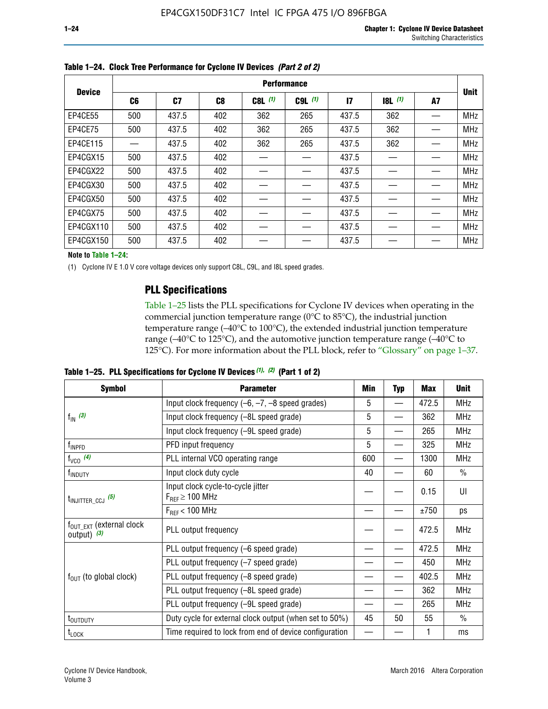| <b>Device</b> | <b>Performance</b> |       |                |           |             |                 |       |    |             |  |
|---------------|--------------------|-------|----------------|-----------|-------------|-----------------|-------|----|-------------|--|
|               | C <sub>6</sub>     | C7    | C <sub>8</sub> | $C8L$ (1) | $C9L$ $(1)$ | $\overline{17}$ | 8L(1) | A7 | <b>Unit</b> |  |
| EP4CE55       | 500                | 437.5 | 402            | 362       | 265         | 437.5           | 362   |    | <b>MHz</b>  |  |
| EP4CE75       | 500                | 437.5 | 402            | 362       | 265         | 437.5           | 362   |    | <b>MHz</b>  |  |
| EP4CE115      |                    | 437.5 | 402            | 362       | 265         | 437.5           | 362   |    | <b>MHz</b>  |  |
| EP4CGX15      | 500                | 437.5 | 402            |           |             | 437.5           |       |    | <b>MHz</b>  |  |
| EP4CGX22      | 500                | 437.5 | 402            |           |             | 437.5           |       |    | <b>MHz</b>  |  |
| EP4CGX30      | 500                | 437.5 | 402            |           |             | 437.5           |       |    | <b>MHz</b>  |  |
| EP4CGX50      | 500                | 437.5 | 402            |           |             | 437.5           |       |    | <b>MHz</b>  |  |
| EP4CGX75      | 500                | 437.5 | 402            |           |             | 437.5           |       |    | <b>MHz</b>  |  |
| EP4CGX110     | 500                | 437.5 | 402            |           |             | 437.5           |       |    | <b>MHz</b>  |  |
| EP4CGX150     | 500                | 437.5 | 402            |           |             | 437.5           |       |    | <b>MHz</b>  |  |

**Table 1–24. Clock Tree Performance for Cyclone IV Devices** *(Part 2 of 2)*

**Note to Table 1–24:**

(1) Cyclone IV E 1.0 V core voltage devices only support C8L, C9L, and I8L speed grades.

### **PLL Specifications**

Table 1–25 lists the PLL specifications for Cyclone IV devices when operating in the commercial junction temperature range (0°C to 85°C), the industrial junction temperature range (–40°C to 100°C), the extended industrial junction temperature range (–40°C to 125°C), and the automotive junction temperature range (–40°C to 125°C). For more information about the PLL block, refer to "Glossary" on page 1–37.

|  |  | Table 1–25. PLL Specifications for Cyclone IV Devices $(1)$ , $(2)$ (Part 1 of 2) |  |
|--|--|-----------------------------------------------------------------------------------|--|
|--|--|-----------------------------------------------------------------------------------|--|

| <b>Symbol</b>                                          | <b>Parameter</b>                                            | Min | <b>Typ</b>               | <b>Max</b> | <b>Unit</b>   |
|--------------------------------------------------------|-------------------------------------------------------------|-----|--------------------------|------------|---------------|
|                                                        | Input clock frequency $(-6, -7, -8)$ speed grades)          | 5   | $\qquad \qquad$          | 472.5      | <b>MHz</b>    |
| $f_{\text{IN}}(3)$                                     | Input clock frequency (-8L speed grade)                     | 5   |                          | 362        | <b>MHz</b>    |
|                                                        | Input clock frequency (-9L speed grade)                     | 5   |                          | 265        | <b>MHz</b>    |
| f <sub>INPFD</sub>                                     | PFD input frequency                                         | 5   | $\overline{\phantom{0}}$ | 325        | <b>MHz</b>    |
| $f_{VCO}$ (4)                                          | PLL internal VCO operating range                            | 600 |                          | 1300       | <b>MHz</b>    |
| f <sub>INDUTY</sub>                                    | Input clock duty cycle                                      | 40  |                          | 60         | $\frac{0}{0}$ |
| $t_{\text{INJITTER\_CCJ}}$ (5)                         | Input clock cycle-to-cycle jitter<br>$F_{REF} \geq 100$ MHz |     |                          | 0.15       | UI            |
|                                                        | $F_{RFF}$ < 100 MHz                                         |     |                          | ±750       | ps            |
| $f_{\text{OUT\_EXT}}$ (external clock<br>output) $(3)$ | PLL output frequency                                        |     |                          | 472.5      | <b>MHz</b>    |
|                                                        | PLL output frequency (-6 speed grade)                       |     |                          | 472.5      | <b>MHz</b>    |
|                                                        | PLL output frequency (-7 speed grade)                       |     |                          | 450        | <b>MHz</b>    |
| $f_{OUT}$ (to global clock)                            | PLL output frequency (-8 speed grade)                       |     |                          | 402.5      | <b>MHz</b>    |
|                                                        | PLL output frequency (-8L speed grade)                      |     |                          | 362        | <b>MHz</b>    |
|                                                        | PLL output frequency (-9L speed grade)                      |     |                          | 265        | <b>MHz</b>    |
| t <sub>outduty</sub>                                   | Duty cycle for external clock output (when set to 50%)      | 45  | 50                       | 55         | $\frac{0}{0}$ |
| $t_{\text{LOCK}}$                                      | Time required to lock from end of device configuration      |     |                          |            | ms            |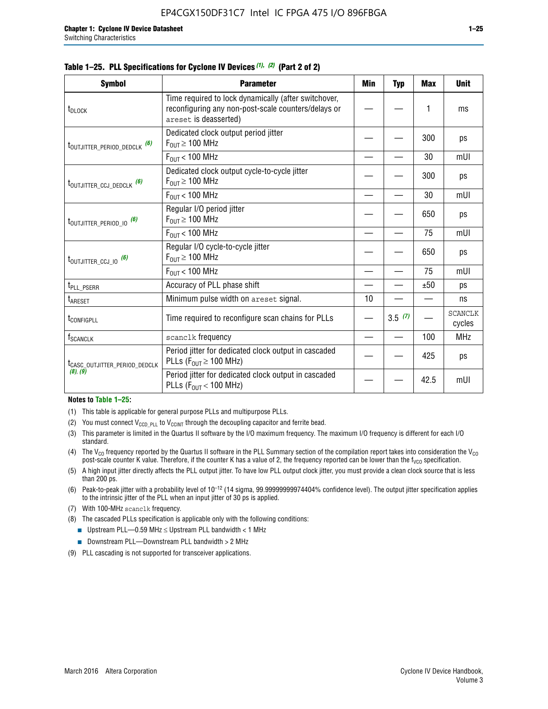|  |  | Table 1–25. PLL Specifications for Cyclone IV Devices (1), (2) (Part 2 of 2) |  |
|--|--|------------------------------------------------------------------------------|--|
|--|--|------------------------------------------------------------------------------|--|

| <b>Symbol</b>                             | <b>Parameter</b>                                                                                                                     | Min | <b>Typ</b> | <b>Max</b> | <b>Unit</b>              |
|-------------------------------------------|--------------------------------------------------------------------------------------------------------------------------------------|-----|------------|------------|--------------------------|
| t <sub>DLOCK</sub>                        | Time required to lock dynamically (after switchover,<br>reconfiguring any non-post-scale counters/delays or<br>areset is deasserted) |     |            | 1          | ms                       |
| t <sub>outjitter_period_dedclk</sub> (6)  | Dedicated clock output period jitter<br>$F_{OUT} \geq 100$ MHz                                                                       |     |            | 300        | ps                       |
|                                           | $F_{OUT}$ < 100 MHz                                                                                                                  |     |            | 30         | mUI                      |
| t <sub>outjitter_ccj_dedclk</sub> (6)     | Dedicated clock output cycle-to-cycle jitter<br>$F_{OUT} \geq 100$ MHz                                                               |     |            | 300        | ps                       |
|                                           | $F_{\text{OUT}}$ < 100 MHz                                                                                                           |     |            | 30         | mUI                      |
| t <sub>outjitter_period_io</sub> (6)      | Regular I/O period jitter<br>$F_{OUT} \geq 100$ MHz                                                                                  |     |            | 650        | ps                       |
|                                           | $F_{OUT}$ < 100 MHz                                                                                                                  |     |            | 75         | mUI                      |
| t <sub>outjitter_ccj_io</sub> (6)         | Regular I/O cycle-to-cycle jitter<br>$F_{OUT} \ge 100$ MHz                                                                           |     |            | 650        | ps                       |
|                                           | $F_{\text{OUT}}$ < 100 MHz                                                                                                           |     |            | 75         | mUI                      |
| t <sub>PLL_PSERR</sub>                    | Accuracy of PLL phase shift                                                                                                          |     |            | ±50        | ps                       |
| $t_{\sf AREF}$                            | Minimum pulse width on areset signal.                                                                                                | 10  |            |            | ns                       |
| t <sub>configpll</sub>                    | Time required to reconfigure scan chains for PLLs                                                                                    |     | 3.5(7)     |            | <b>SCANCLK</b><br>cycles |
| f <sub>SCANCLK</sub>                      | scanclk frequency                                                                                                                    |     |            | 100        | <b>MHz</b>               |
| t <sub>CASC_OUTJITTER_PERIOD_DEDCLK</sub> | Period jitter for dedicated clock output in cascaded<br>PLLs ( $F_{OUT} \ge 100$ MHz)                                                |     |            | 425        | ps                       |
| (8), (9)                                  | Period jitter for dedicated clock output in cascaded<br>PLLs ( $F_{OUT}$ < 100 MHz)                                                  |     |            | 42.5       | mUI                      |

#### **Notes to Table 1–25:**

- (1) This table is applicable for general purpose PLLs and multipurpose PLLs.
- (2) You must connect  $V_{CCD-PLL}$  to  $V_{CCINT}$  through the decoupling capacitor and ferrite bead.
- (3) This parameter is limited in the Quartus II software by the I/O maximum frequency. The maximum I/O frequency is different for each I/O standard.
- (4) The  $V_{CO}$  frequency reported by the Quartus II software in the PLL Summary section of the compilation report takes into consideration the  $V_{CO}$ post-scale counter K value. Therefore, if the counter K has a value of 2, the frequency reported can be lower than the f<sub>VCO</sub> specification.
- (5) A high input jitter directly affects the PLL output jitter. To have low PLL output clock jitter, you must provide a clean clock source that is less than 200 ps.
- (6) Peak-to-peak jitter with a probability level of 10–12 (14 sigma, 99.99999999974404% confidence level). The output jitter specification applies to the intrinsic jitter of the PLL when an input jitter of 30 ps is applied.
- (7) With 100-MHz scanclk frequency.
- (8) The cascaded PLLs specification is applicable only with the following conditions:
	- **■** Upstream PLL—0.59 MHz  $\leq$  Upstream PLL bandwidth  $<$  1 MHz
	- Downstream PLL—Downstream PLL bandwidth > 2 MHz
- (9) PLL cascading is not supported for transceiver applications.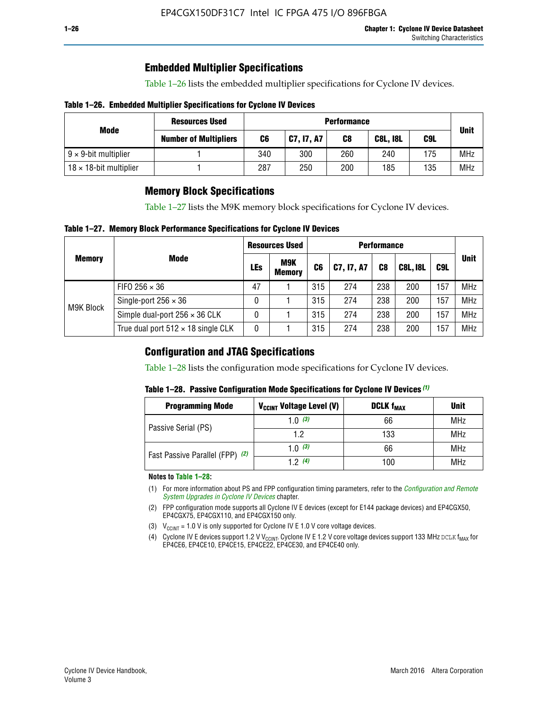### **Embedded Multiplier Specifications**

Table 1–26 lists the embedded multiplier specifications for Cyclone IV devices.

#### **Table 1–26. Embedded Multiplier Specifications for Cyclone IV Devices**

|                                | <b>Resources Used</b>        | <b>Performance</b> |            |     |                 |     |             |
|--------------------------------|------------------------------|--------------------|------------|-----|-----------------|-----|-------------|
| Mode                           | <b>Number of Multipliers</b> | C6                 | C7, I7, A7 | C8  | <b>C8L, I8L</b> | C9L | <b>Unit</b> |
| $9 \times 9$ -bit multiplier   |                              | 340                | 300        | 260 | 240             | 175 | <b>MHz</b>  |
| $18 \times 18$ -bit multiplier |                              | 287                | 250        | 200 | 185             | 135 | <b>MHz</b>  |

### **Memory Block Specifications**

Table 1–27 lists the M9K memory block specifications for Cyclone IV devices.

#### **Table 1–27. Memory Block Performance Specifications for Cyclone IV Devices**

|               |                                           | <b>Resources Used</b> |                             | <b>Performance</b> |            |                |                 |     |             |
|---------------|-------------------------------------------|-----------------------|-----------------------------|--------------------|------------|----------------|-----------------|-----|-------------|
| <b>Memory</b> | <b>Mode</b>                               | LEs                   | <b>M9K</b><br><b>Memory</b> | C <sub>6</sub>     | C7, I7, A7 | C <sub>8</sub> | <b>C8L, I8L</b> | C9L | <b>Unit</b> |
|               | FIFO 256 $\times$ 36                      | 47                    |                             | 315                | 274        | 238            | 200             | 157 | <b>MHz</b>  |
| M9K Block     | Single-port $256 \times 36$               | 0                     |                             | 315                | 274        | 238            | 200             | 157 | <b>MHz</b>  |
|               | Simple dual-port $256 \times 36$ CLK      | 0                     |                             | 315                | 274        | 238            | 200             | 157 | <b>MHz</b>  |
|               | True dual port $512 \times 18$ single CLK | 0                     |                             | 315                | 274        | 238            | 200             | 157 | <b>MHz</b>  |

### **Configuration and JTAG Specifications**

Table 1–28 lists the configuration mode specifications for Cyclone IV devices.

#### **Table 1–28. Passive Configuration Mode Specifications for Cyclone IV Devices** *(1)*

| <b>Programming Mode</b>         | V <sub>CCINT</sub> Voltage Level (V) | <b>DCLK f<sub>MAX</sub></b> | <b>Unit</b> |
|---------------------------------|--------------------------------------|-----------------------------|-------------|
| Passive Serial (PS)             | 1.0 $(3)$                            | 66                          | MHz         |
|                                 | 1.2                                  | 133                         | MHz         |
| Fast Passive Parallel (FPP) (2) | 1.0 $(3)$                            | 66                          | <b>MHz</b>  |
|                                 | 12(4)                                | 100                         | <b>MHz</b>  |

#### **Notes to Table 1–28:**

- (1) For more information about PS and FPP configuration timing parameters, refer to the *[Configuration and Remote](http://www.altera.com/literature/hb/cyclone-iv/cyiv-51008.pdf)  [System Upgrades in Cyclone IV Devices](http://www.altera.com/literature/hb/cyclone-iv/cyiv-51008.pdf)* chapter.
- (2) FPP configuration mode supports all Cyclone IV E devices (except for E144 package devices) and EP4CGX50, EP4CGX75, EP4CGX110, and EP4CGX150 only.
- (3)  $V_{CCMT}$  = 1.0 V is only supported for Cyclone IV E 1.0 V core voltage devices.
- (4) Cyclone IV E devices support 1.2 V V<sub>CCINT</sub>. Cyclone IV E 1.2 V core voltage devices support 133 MHz DCLK f<sub>MAX</sub> for EP4CE6, EP4CE10, EP4CE15, EP4CE22, EP4CE30, and EP4CE40 only.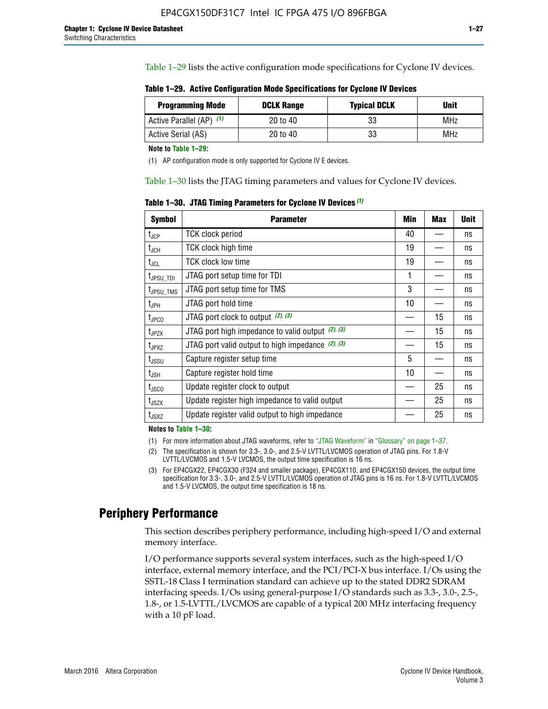Table 1–29 lists the active configuration mode specifications for Cyclone IV devices.

| Table 1–29. Active Configuration Mode Specifications for Cyclone IV Devices |  |  |  |
|-----------------------------------------------------------------------------|--|--|--|
|-----------------------------------------------------------------------------|--|--|--|

| <b>Programming Mode</b>  | <b>DCLK Range</b> | <b>Typical DCLK</b> | Unit |
|--------------------------|-------------------|---------------------|------|
| Active Parallel (AP) (1) | 20 to 40          | 33                  | MHz  |
| Active Serial (AS)       | 20 to 40          | 33                  | MHz  |

**Note to Table 1–29:**

(1) AP configuration mode is only supported for Cyclone IV E devices.

Table 1–30 lists the JTAG timing parameters and values for Cyclone IV devices.

**Table 1–30. JTAG Timing Parameters for Cyclone IV Devices** *(1)*

| <b>Symbol</b>                | <b>Parameter</b>                                       | Min | <b>Max</b> | <b>Unit</b> |
|------------------------------|--------------------------------------------------------|-----|------------|-------------|
| $t_{JCP}$                    | <b>TCK clock period</b>                                | 40  |            | ns          |
| $t_{\sf JCH}$                | TCK clock high time                                    | 19  |            | ns          |
| $t_{\sf JCL}$                | <b>TCK clock low time</b>                              | 19  |            | ns          |
| $t_{JPSU\_TDI}$              | JTAG port setup time for TDI                           | 1   |            | ns          |
| t <sub>JPSU_TMS</sub>        | JTAG port setup time for TMS                           | 3   |            | ns          |
| $t_{\sf JPH}$                | JTAG port hold time                                    | 10  |            | ns          |
| t <sub>JPCO</sub>            | JTAG port clock to output (2), (3)                     |     | 15         | ns          |
| $t_{JPZX}$                   | JTAG port high impedance to valid output $(2)$ , $(3)$ |     | 15         | ns          |
| t <sub>JPXZ</sub>            | JTAG port valid output to high impedance $(2)$ , $(3)$ |     | 15         | ns          |
| $t_{\rm JSSU}$               | Capture register setup time                            | 5   |            | ns          |
| $t_{\mathsf{JSH}}$           | Capture register hold time                             | 10  |            | ns          |
| t <sub>JSCO</sub>            | Update register clock to output                        |     | 25         | ns          |
| $t_{\footnotesize \rm JSZX}$ | Update register high impedance to valid output         |     | 25         | ns          |
| t <sub>JSXZ</sub>            | Update register valid output to high impedance         |     | 25         | ns          |

**Notes to Table 1–30:**

(1) For more information about JTAG waveforms, refer to "JTAG Waveform" in "Glossary" on page 1–37.

(2) The specification is shown for 3.3-, 3.0-, and 2.5-V LVTTL/LVCMOS operation of JTAG pins. For 1.8-V LVTTL/LVCMOS and 1.5-V LVCMOS, the output time specification is 16 ns.

(3) For EP4CGX22, EP4CGX30 (F324 and smaller package), EP4CGX110, and EP4CGX150 devices, the output time specification for 3.3-, 3.0-, and 2.5-V LVTTL/LVCMOS operation of JTAG pins is 16 ns. For 1.8-V LVTTL/LVCMOS and 1.5-V LVCMOS, the output time specification is 18 ns.

### **Periphery Performance**

This section describes periphery performance, including high-speed I/O and external memory interface.

I/O performance supports several system interfaces, such as the high-speed I/O interface, external memory interface, and the PCI/PCI-X bus interface. I/Os using the SSTL-18 Class I termination standard can achieve up to the stated DDR2 SDRAM interfacing speeds. I/Os using general-purpose I/O standards such as 3.3-, 3.0-, 2.5-, 1.8-, or 1.5-LVTTL/LVCMOS are capable of a typical 200 MHz interfacing frequency with a 10 pF load.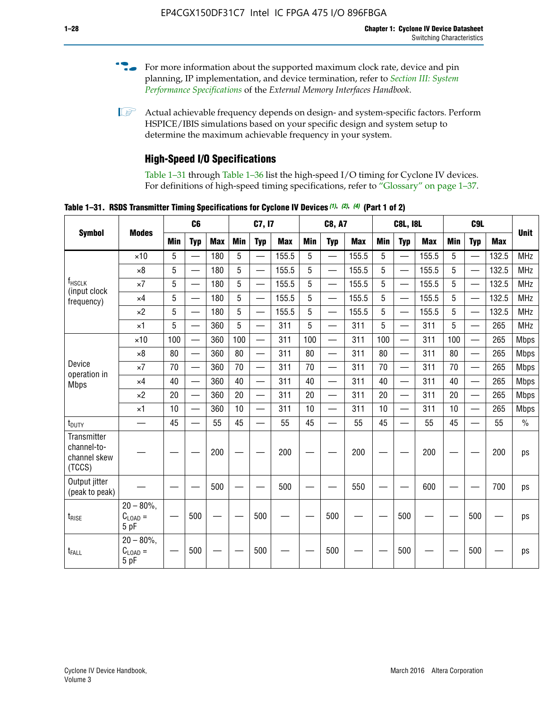- For more information about the supported maximum clock rate, device and pin planning, IP implementation, and device termination, refer to *[Section III: System](http://www.altera.com/literature/hb/external-memory/emi_intro_specs.pdf)  [Performance Specifications](http://www.altera.com/literature/hb/external-memory/emi_intro_specs.pdf)* of the *External Memory Interfaces Handbook*.
- **1 Actual achievable frequency depends on design- and system-specific factors. Perform** HSPICE/IBIS simulations based on your specific design and system setup to determine the maximum achievable frequency in your system.

### **High-Speed I/O Specifications**

Table 1–31 through Table 1–36 list the high-speed I/O timing for Cyclone IV devices. For definitions of high-speed timing specifications, refer to "Glossary" on page 1–37.

**Table 1–31. RSDS Transmitter Timing Specifications for Cyclone IV Devices** *(1)***,** *(2)***,** *(4)* **(Part 1 of 2)**

|                                                      |                                                     |                 | C6              |            |            | C7, I7                   |            |            | <b>C8, A7</b>            |            |            | <b>C8L, I8L</b>          |            |            | C <sub>9</sub> L         |            |               |
|------------------------------------------------------|-----------------------------------------------------|-----------------|-----------------|------------|------------|--------------------------|------------|------------|--------------------------|------------|------------|--------------------------|------------|------------|--------------------------|------------|---------------|
| <b>Symbol</b>                                        | <b>Modes</b>                                        | Min             | <b>Typ</b>      | <b>Max</b> | <b>Min</b> | <b>Typ</b>               | <b>Max</b> | <b>Min</b> | <b>Typ</b>               | <b>Max</b> | <b>Min</b> | <b>Typ</b>               | <b>Max</b> | <b>Min</b> | <b>Typ</b>               | <b>Max</b> | <b>Unit</b>   |
|                                                      | $\times$ 10                                         | 5               | —               | 180        | 5          | ÷,                       | 155.5      | 5          | $\overline{\phantom{0}}$ | 155.5      | 5          |                          | 155.5      | 5          |                          | 132.5      | <b>MHz</b>    |
|                                                      | $\times 8$                                          | 5               |                 | 180        | 5          |                          | 155.5      | 5          | $\overline{\phantom{0}}$ | 155.5      | 5          |                          | 155.5      | 5          |                          | 132.5      | <b>MHz</b>    |
| f <sub>HSCLK</sub><br>(input clock                   | $\times 7$                                          | 5               |                 | 180        | 5          |                          | 155.5      | 5          | $\overline{\phantom{0}}$ | 155.5      | 5          |                          | 155.5      | 5          |                          | 132.5      | <b>MHz</b>    |
| frequency)                                           | $\times$ 4                                          | 5               |                 | 180        | 5          | $\overline{\phantom{0}}$ | 155.5      | 5          | $\qquad \qquad$          | 155.5      | 5          |                          | 155.5      | 5          | $\overline{\phantom{0}}$ | 132.5      | <b>MHz</b>    |
|                                                      | $\times 2$                                          | 5               |                 | 180        | 5          |                          | 155.5      | 5          | $\equiv$                 | 155.5      | 5          | $\overline{\phantom{0}}$ | 155.5      | 5          | $\overline{\phantom{0}}$ | 132.5      | <b>MHz</b>    |
|                                                      | $\times$ 1                                          | 5               |                 | 360        | 5          |                          | 311        | 5          | $\overline{\phantom{0}}$ | 311        | 5          | $\equiv$                 | 311        | 5          | $\overline{\phantom{0}}$ | 265        | <b>MHz</b>    |
|                                                      | $\times$ 10                                         | 100             |                 | 360        | 100        |                          | 311        | 100        | $\equiv$                 | 311        | 100        |                          | 311        | 100        | $\overline{\phantom{0}}$ | 265        | <b>Mbps</b>   |
|                                                      | $\times 8$                                          | 80              |                 | 360        | 80         |                          | 311        | 80         | $\overline{\phantom{0}}$ | 311        | 80         |                          | 311        | 80         | $\overline{\phantom{0}}$ | 265        | <b>Mbps</b>   |
| Device<br>operation in                               | $\times 7$                                          | 70              |                 | 360        | 70         | $\overline{\phantom{0}}$ | 311        | 70         | $\overline{\phantom{0}}$ | 311        | 70         |                          | 311        | 70         | $\equiv$                 | 265        | <b>Mbps</b>   |
| <b>Mbps</b>                                          | $\times$ 4                                          | 40              |                 | 360        | 40         |                          | 311        | 40         | $\overline{\phantom{0}}$ | 311        | 40         |                          | 311        | 40         | $\overline{\phantom{0}}$ | 265        | <b>Mbps</b>   |
|                                                      | $\times 2$                                          | 20              |                 | 360        | 20         | $\overline{\phantom{0}}$ | 311        | 20         | $\overline{\phantom{0}}$ | 311        | 20         | $\qquad \qquad$          | 311        | 20         |                          | 265        | <b>Mbps</b>   |
|                                                      | $\times$ 1                                          | 10              |                 | 360        | 10         |                          | 311        | 10         | $\overline{\phantom{0}}$ | 311        | 10         | $\overline{\phantom{0}}$ | 311        | 10         | $\overline{\phantom{0}}$ | 265        | <b>Mbps</b>   |
| t <sub>DUTY</sub>                                    | —                                                   | 45              | $\qquad \qquad$ | 55         | 45         |                          | 55         | 45         | $\overline{\phantom{0}}$ | 55         | 45         |                          | 55         | 45         |                          | 55         | $\frac{0}{0}$ |
| Transmitter<br>channel-to-<br>channel skew<br>(TCCS) |                                                     |                 |                 | 200        |            |                          | 200        |            |                          | 200        |            |                          | 200        |            |                          | 200        | ps            |
| Output jitter<br>(peak to peak)                      |                                                     |                 |                 | 500        |            |                          | 500        |            |                          | 550        |            |                          | 600        |            |                          | 700        | ps            |
| t <sub>rise</sub>                                    | $20 - 80\%$<br>$\mathrm{C}_{\text{LOAD}}$ =<br>5 pF | $\qquad \qquad$ | 500             |            |            | 500                      |            |            | 500                      |            |            | 500                      |            |            | 500                      |            | ps            |
| t <sub>FALL</sub>                                    | $20 - 80\%$<br>$C_{LOAD} =$<br>5 pF                 |                 | 500             |            |            | 500                      |            |            | 500                      |            |            | 500                      |            |            | 500                      |            | ps            |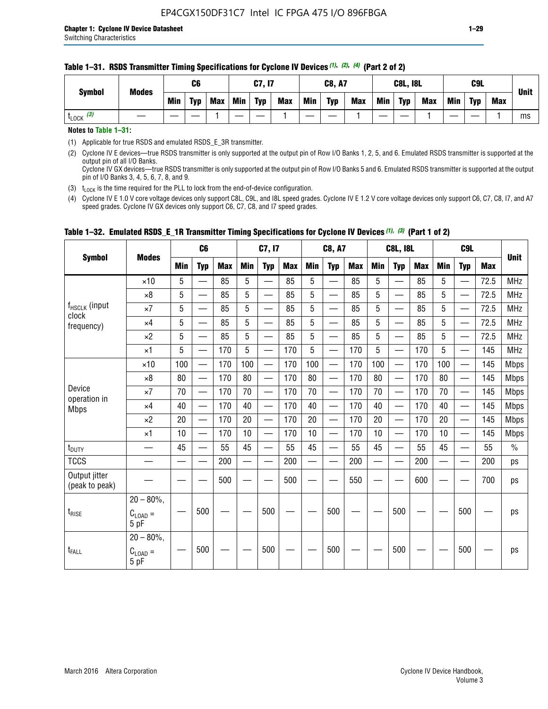| <b>Symbol</b> | <b>Modes</b> |            | C <sub>6</sub> |            |     | C7, I7     |            |     | <b>C8, A7</b> |            |            | <b>C8L, I8L</b> |     |     | <b>C9L</b> |     | <b>Unit</b> |
|---------------|--------------|------------|----------------|------------|-----|------------|------------|-----|---------------|------------|------------|-----------------|-----|-----|------------|-----|-------------|
|               |              | <b>Min</b> | <b>Typ</b>     | <b>Max</b> | Min | <b>Typ</b> | <b>Max</b> | Min | Typ           | <b>Max</b> | <b>Min</b> | <b>Typ</b>      | Max | Min | <b>Typ</b> | Max |             |
| $LOCK$ $(3)$  |              |            |                |            |     |            |            |     |               |            |            |                 |     |     |            |     | ms          |

#### **Table 1–31. RSDS Transmitter Timing Specifications for Cyclone IV Devices** *(1)***,** *(2)***,** *(4)* **(Part 2 of 2)**

**Notes to Table 1–31:**

(1) Applicable for true RSDS and emulated RSDS\_E\_3R transmitter.

(2) Cyclone IV E devices—true RSDS transmitter is only supported at the output pin of Row I/O Banks 1, 2, 5, and 6. Emulated RSDS transmitter is supported at the output pin of all I/O Banks. Cyclone IV GX devices—true RSDS transmitter is only supported at the output pin of Row I/O Banks 5 and 6. Emulated RSDS transmitter is supported at the output

pin of I/O Banks 3, 4, 5, 6, 7, 8, and 9. (3)  $t_{\text{LOCK}}$  is the time required for the PLL to lock from the end-of-device configuration.

(4) Cyclone IV E 1.0 V core voltage devices only support C8L, C9L, and I8L speed grades. Cyclone IV E 1.2 V core voltage devices only support C6, C7, C8, I7, and A7 speed grades. Cyclone IV GX devices only support C6, C7, C8, and I7 speed grades.

|                                 |                                              |     | C <sub>6</sub>           |     |            | C7, I7                   |            |                                                                                                                                                                                                                                | <b>C8, A7</b>                  |            |            | <b>C8L, I8L</b>          |            |            | C <sub>9</sub> L         |            | <b>Unit</b>   |
|---------------------------------|----------------------------------------------|-----|--------------------------|-----|------------|--------------------------|------------|--------------------------------------------------------------------------------------------------------------------------------------------------------------------------------------------------------------------------------|--------------------------------|------------|------------|--------------------------|------------|------------|--------------------------|------------|---------------|
| <b>Symbol</b>                   | <b>Modes</b>                                 | Min | <b>Typ</b>               | Max | <b>Min</b> | <b>Typ</b>               | <b>Max</b> | <b>Min</b>                                                                                                                                                                                                                     | <b>Typ</b>                     | <b>Max</b> | <b>Min</b> | <b>Typ</b>               | <b>Max</b> | <b>Min</b> | <b>Typ</b>               | <b>Max</b> |               |
|                                 | $\times$ 10                                  | 5   | $\equiv$                 | 85  | 5          |                          | 85         | 5                                                                                                                                                                                                                              | $\overline{\phantom{0}}$       | 85         | 5          | $\overline{\phantom{0}}$ | 85         | 5          |                          | 72.5       | <b>MHz</b>    |
|                                 | $\times 8$                                   | 5   | $\equiv$                 | 85  | 5          | $\sim$                   | 85         | 5                                                                                                                                                                                                                              | —                              | 85         | 5          | $\overline{\phantom{0}}$ | 85         | 5          |                          | 72.5       | <b>MHz</b>    |
| f <sub>HSCLK</sub> (input       | $\times 7$                                   | 5   | $\overline{\phantom{0}}$ | 85  | 5          |                          | 85         | 5                                                                                                                                                                                                                              | —                              | 85         | 5          | —                        | 85         | 5          |                          | 72.5       | <b>MHz</b>    |
| clock<br>frequency)             | $\times$ 4                                   | 5   | —                        | 85  | 5          | $\overline{\phantom{a}}$ | 85         | 5                                                                                                                                                                                                                              | $\overline{\phantom{0}}$       | 85         | 5          | $\overline{\phantom{0}}$ | 85         | 5          |                          | 72.5       | <b>MHz</b>    |
|                                 | $\times 2$                                   | 5   | $\overline{\phantom{0}}$ | 85  | 5          | $\sim$                   | 85         | 5                                                                                                                                                                                                                              | $\overline{\phantom{0}}$       | 85         | 5          | $\overline{\phantom{0}}$ | 85         | 5          |                          | 72.5       | <b>MHz</b>    |
|                                 | $\times$ 1                                   | 5   | —                        | 170 | 5          |                          | 170        | 5                                                                                                                                                                                                                              | $\overline{\phantom{0}}$       | 170        | 5          | $\overline{\phantom{0}}$ | 170        | 5          |                          | 145        | <b>MHz</b>    |
|                                 | $\times$ 10                                  | 100 | $\overline{\phantom{0}}$ | 170 | 100        |                          | 170        | 100                                                                                                                                                                                                                            | $\overline{\phantom{0}}$       | 170        | 100        | $\overline{\phantom{0}}$ | 170        | 100        |                          | 145        | <b>Mbps</b>   |
|                                 | $\times 8$                                   | 80  | $\overline{\phantom{0}}$ | 170 | 80         | $\overline{\phantom{0}}$ | 170        | 80                                                                                                                                                                                                                             | $\overline{\phantom{0}}$       | 170        | 80         | $\overline{\phantom{0}}$ | 170        | 80         |                          | 145        | <b>Mbps</b>   |
| Device                          | $\times 7$                                   | 70  | $\qquad \qquad$          | 170 | 70         | —                        | 170        | 70                                                                                                                                                                                                                             | $\qquad \qquad \longleftarrow$ | 170        | 70         | $\overline{\phantom{0}}$ | 170        | 70         | $\hspace{0.05cm}$        | 145        | <b>Mbps</b>   |
| operation in<br><b>Mbps</b>     | $\times$ 4                                   | 40  | $\qquad \qquad$          | 170 | 40         | —                        | 170        | 40                                                                                                                                                                                                                             | $\overline{\phantom{0}}$       | 170        | 40         | $\overline{\phantom{0}}$ | 170        | 40         |                          | 145        | <b>Mbps</b>   |
|                                 | $\times 2$                                   | 20  | $\overline{\phantom{0}}$ | 170 | 20         | —<br>—                   | 170        | 20                                                                                                                                                                                                                             | $\overline{\phantom{0}}$       | 170        | 20         | $\overline{\phantom{0}}$ | 170        | 20         | $\overline{\phantom{0}}$ | 145        | <b>Mbps</b>   |
|                                 | $\times$ 1                                   | 10  | $\overline{\phantom{0}}$ | 170 | 10         | $\overline{\phantom{0}}$ | 170        | 10                                                                                                                                                                                                                             | $\overline{\phantom{0}}$       | 170        | 10         | $\overline{\phantom{0}}$ | 170        | 10         | $\overline{\phantom{0}}$ | 145        | <b>Mbps</b>   |
| $t_{\text{DUTY}}$               |                                              | 45  |                          | 55  | 45         |                          | 55         | 45                                                                                                                                                                                                                             |                                | 55         | 45         | $\overline{\phantom{0}}$ | 55         | 45         |                          | 55         | $\frac{0}{0}$ |
| <b>TCCS</b>                     |                                              |     |                          | 200 |            |                          | 200        | e de la provincia de la provincia de la provincia de la provincia de la provincia de la provincia de la provincia de la provincia de la provincia de la provincia de la provincia de la provincia de la provincia de la provin |                                | 200        |            | $\overline{\phantom{0}}$ | 200        |            |                          | 200        | ps            |
| Output jitter<br>(peak to peak) |                                              |     |                          | 500 |            |                          | 500        |                                                                                                                                                                                                                                |                                | 550        |            |                          | 600        |            |                          | 700        | ps            |
| $t_{\text{RISE}}$               | $20 - 80\%$ ,<br>$C_{\text{LOAD}} =$<br>5 pF |     | 500                      |     |            | 500                      |            |                                                                                                                                                                                                                                | 500                            |            |            | 500                      |            |            | 500                      |            | ps            |
| $t_{FALL}$                      | $20 - 80\%$ ,<br>$C_{LOAD} =$<br>5 pF        |     | 500                      |     |            | 500                      |            |                                                                                                                                                                                                                                | 500                            |            |            | 500                      |            |            | 500                      |            | ps            |

#### **Table 1–32. Emulated RSDS\_E\_1R Transmitter Timing Specifications for Cyclone IV Devices** *(1), (3)* **(Part 1 of 2)**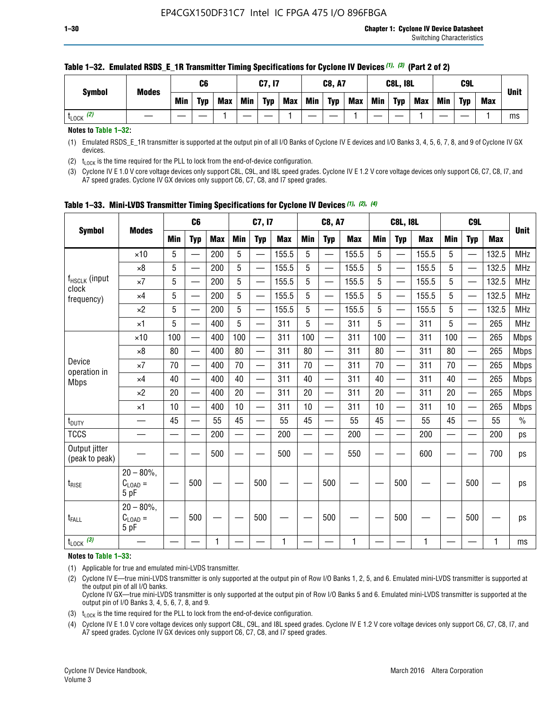|                      | <b>Modes</b> |            | C <sub>6</sub> |     |            | C7, I7     |            |            | <b>C8, A7</b> |            |            | <b>C8L, I8L</b> |            |     | C <sub>9</sub> L |            | <b>Unit</b> |
|----------------------|--------------|------------|----------------|-----|------------|------------|------------|------------|---------------|------------|------------|-----------------|------------|-----|------------------|------------|-------------|
| Symbol               |              | <b>Min</b> | Typ            | Max | <b>Min</b> | <b>Typ</b> | <b>Max</b> | <b>Min</b> | <b>Typ</b>    | <b>Max</b> | <b>Min</b> | <b>Typ</b>      | <b>Max</b> | Min | <b>Typ</b>       | <b>Max</b> |             |
| (2)<br><b>L</b> LOCK |              |            |                |     |            |            |            |            |               |            |            |                 |            |     |                  |            | ms          |

#### **Table 1–32. Emulated RSDS\_E\_1R Transmitter Timing Specifications for Cyclone IV Devices** *(1), (3)* **(Part 2 of 2)**

**Notes to Table 1–32:**

(1) Emulated RSDS\_E\_1R transmitter is supported at the output pin of all I/O Banks of Cyclone IV E devices and I/O Banks 3, 4, 5, 6, 7, 8, and 9 of Cyclone IV GX devices.

(2)  $t_{\text{LOCK}}$  is the time required for the PLL to lock from the end-of-device configuration.

(3) Cyclone IV E 1.0 V core voltage devices only support C8L, C9L, and I8L speed grades. Cyclone IV E 1.2 V core voltage devices only support C6, C7, C8, I7, and A7 speed grades. Cyclone IV GX devices only support C6, C7, C8, and I7 speed grades.

| <b>Symbol</b>                      |                                            |            | C <sub>6</sub>                            |            |                          | C7, I7                   |            |            | <b>C8, A7</b>            |              |                          | <b>C8L, I8L</b>          |            |            | C <sub>9</sub> L         |            |               |
|------------------------------------|--------------------------------------------|------------|-------------------------------------------|------------|--------------------------|--------------------------|------------|------------|--------------------------|--------------|--------------------------|--------------------------|------------|------------|--------------------------|------------|---------------|
|                                    | <b>Modes</b>                               | <b>Min</b> | <b>Typ</b>                                | <b>Max</b> | <b>Min</b>               | <b>Typ</b>               | <b>Max</b> | <b>Min</b> | <b>Typ</b>               | <b>Max</b>   | <b>Min</b>               | <b>Typ</b>               | <b>Max</b> | <b>Min</b> | <b>Typ</b>               | <b>Max</b> | <b>Unit</b>   |
|                                    | $\times$ 10                                | 5          |                                           | 200        | 5                        |                          | 155.5      | 5          | $\overline{\phantom{0}}$ | 155.5        | 5                        |                          | 155.5      | 5          |                          | 132.5      | <b>MHz</b>    |
|                                    | $\times 8$                                 | 5          |                                           | 200        | 5                        | —                        | 155.5      | 5          | —                        | 155.5        | 5                        |                          | 155.5      | 5          |                          | 132.5      | <b>MHz</b>    |
| f <sub>HSCLK</sub> (input<br>clock | $\times 7$                                 | 5          | $\overline{\phantom{0}}$                  | 200        | 5                        | —<br>——                  | 155.5      | 5          | —                        | 155.5        | 5                        | —                        | 155.5      | 5          |                          | 132.5      | <b>MHz</b>    |
| frequency)                         | $\times$ 4                                 | 5          |                                           | 200        | 5                        | —<br>——                  | 155.5      | 5          | $\qquad \qquad$          | 155.5        | 5                        |                          | 155.5      | 5          | —                        | 132.5      | MHz           |
|                                    | $\times 2$                                 | 5          | $\overline{\phantom{0}}$                  | 200        | 5                        | —                        | 155.5      | 5          | $\overline{\phantom{0}}$ | 155.5        | 5                        | $\overline{\phantom{0}}$ | 155.5      | 5          | $\overline{\phantom{0}}$ | 132.5      | <b>MHz</b>    |
|                                    | $\times$ 1                                 | 5          | $\overline{\phantom{0}}$                  | 400        | 5                        | $\overline{\phantom{0}}$ | 311        | 5          | $\overline{\phantom{0}}$ | 311          | 5                        |                          | 311        | 5          | —                        | 265        | MHz           |
|                                    | $\times$ 10                                | 100        | $\overline{\phantom{0}}$                  | 400        | 100                      | $\overline{\phantom{0}}$ | 311        | 100        | $\overline{\phantom{0}}$ | 311          | 100                      |                          | 311        | 100        |                          | 265        | <b>Mbps</b>   |
|                                    | $\times 8$                                 | 80         | $\overline{\phantom{0}}$                  | 400        | 80                       | $\overline{\phantom{0}}$ | 311        | 80         | $\overline{\phantom{0}}$ | 311          | 80                       | $\overline{\phantom{0}}$ | 311        | 80         |                          | 265        | <b>Mbps</b>   |
| Device                             | $\times 7$                                 | 70         | $\overline{\phantom{0}}$                  | 400        | 70                       | $\equiv$                 | 311        | 70         |                          | 311          | 70                       | —                        | 311        | 70         |                          | 265        | <b>Mbps</b>   |
| operation in<br><b>Mbps</b>        | $\times$ 4                                 | 40         |                                           | 400        | 40                       |                          | 311        | 40         | $\overline{\phantom{0}}$ | 311          | 40                       |                          | 311        | 40         |                          | 265        | <b>Mbps</b>   |
|                                    | $\times 2$                                 | 20         | $\qquad \qquad \overline{\qquad \qquad }$ | 400        | 20                       | —                        | 311        | 20         | $\overline{\phantom{0}}$ | 311          | 20                       | —                        | 311        | 20         |                          | 265        | <b>Mbps</b>   |
|                                    | ×1                                         | 10         |                                           | 400        | 10                       | —                        | 311        | 10         | —                        | 311          | 10                       | $\overline{\phantom{0}}$ | 311        | 10         |                          | 265        | <b>Mbps</b>   |
| $t_{\text{DUTY}}$                  | __                                         | 45         |                                           | 55         | 45                       | $\overline{\phantom{0}}$ | 55         | 45         | $\overline{\phantom{0}}$ | 55           | 45                       | $\overline{\phantom{0}}$ | 55         | 45         |                          | 55         | $\frac{0}{0}$ |
| <b>TCCS</b>                        |                                            |            |                                           | 200        | $\overline{\phantom{0}}$ |                          | 200        |            | e e                      | 200          | $\overline{\phantom{0}}$ |                          | 200        |            |                          | 200        | ps            |
| Output jitter<br>(peak to peak)    |                                            |            |                                           | 500        |                          |                          | 500        |            |                          | 550          |                          |                          | 600        |            |                          | 700        | ps            |
| $t_{\text{RISE}}$                  | $20 - 80\%$ ,<br>$C_{LOAD} =$<br>5 pF      |            | 500                                       |            |                          | 500                      |            |            | 500                      |              |                          | 500                      |            |            | 500                      |            | ps            |
| t <sub>FALL</sub>                  | $20 - 80\%$<br>$C_{\text{LOAD}} =$<br>5 pF |            | 500                                       |            |                          | 500                      |            |            | 500                      |              |                          | 500                      |            |            | 500                      |            | ps            |
| $t_{\text{LOCK}}$ (3)              |                                            |            |                                           | 1          |                          |                          | 1          |            |                          | $\mathbf{1}$ |                          |                          | 1          |            |                          | 1          | ms            |

**Table 1–33. Mini-LVDS Transmitter Timing Specifications for Cyclone IV Devices** *(1)***,** *(2)***,** *(4)*

**Notes to Table 1–33:**

(1) Applicable for true and emulated mini-LVDS transmitter.

(2) Cyclone IV E—true mini-LVDS transmitter is only supported at the output pin of Row I/O Banks 1, 2, 5, and 6. Emulated mini-LVDS transmitter is supported at the output pin of all I/O banks.

Cyclone IV GX—true mini-LVDS transmitter is only supported at the output pin of Row I/O Banks 5 and 6. Emulated mini-LVDS transmitter is supported at the output pin of I/O Banks 3, 4, 5, 6, 7, 8, and 9.

(3)  $t_{\text{LOCK}}$  is the time required for the PLL to lock from the end-of-device configuration.

(4) Cyclone IV E 1.0 V core voltage devices only support C8L, C9L, and I8L speed grades. Cyclone IV E 1.2 V core voltage devices only support C6, C7, C8, I7, and A7 speed grades. Cyclone IV GX devices only support C6, C7, C8, and I7 speed grades.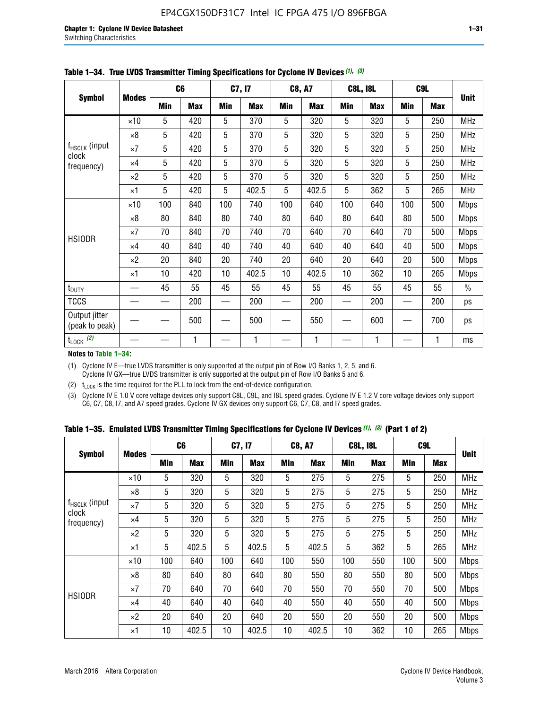|                                 |              |     | C <sub>6</sub> |     | C7, I7     |     | <b>C8, A7</b> |     | <b>C8L, I8L</b> |            | C <sub>9</sub> L |               |
|---------------------------------|--------------|-----|----------------|-----|------------|-----|---------------|-----|-----------------|------------|------------------|---------------|
| <b>Symbol</b>                   | <b>Modes</b> | Min | <b>Max</b>     | Min | <b>Max</b> | Min | <b>Max</b>    | Min | <b>Max</b>      | <b>Min</b> | <b>Max</b>       | <b>Unit</b>   |
|                                 | $\times$ 10  | 5   | 420            | 5   | 370        | 5   | 320           | 5   | 320             | 5          | 250              | <b>MHz</b>    |
|                                 | $\times 8$   | 5   | 420            | 5   | 370        | 5   | 320           | 5   | 320             | 5          | 250              | <b>MHz</b>    |
| f <sub>HSCLK</sub> (input       | $\times 7$   | 5   | 420            | 5   | 370        | 5   | 320           | 5   | 320             | 5          | 250              | MHz           |
| clock<br>frequency)             | $\times$ 4   | 5   | 420            | 5   | 370        | 5   | 320           | 5   | 320             | 5          | 250              | <b>MHz</b>    |
|                                 | $\times 2$   | 5   | 420            | 5   | 370        | 5   | 320           | 5   | 320             | 5          | 250              | <b>MHz</b>    |
|                                 | $\times$ 1   | 5   | 420            | 5   | 402.5      | 5   | 402.5         | 5   | 362             | 5          | 265              | <b>MHz</b>    |
|                                 | $\times$ 10  | 100 | 840            | 100 | 740        | 100 | 640           | 100 | 640             | 100        | 500              | <b>Mbps</b>   |
|                                 | $\times 8$   | 80  | 840            | 80  | 740        | 80  | 640           | 80  | 640             | 80         | 500              | <b>Mbps</b>   |
| <b>HSIODR</b>                   | $\times 7$   | 70  | 840            | 70  | 740        | 70  | 640           | 70  | 640             | 70         | 500              | <b>Mbps</b>   |
|                                 | $\times$ 4   | 40  | 840            | 40  | 740        | 40  | 640           | 40  | 640             | 40         | 500              | <b>Mbps</b>   |
|                                 | $\times 2$   | 20  | 840            | 20  | 740        | 20  | 640           | 20  | 640             | 20         | 500              | <b>Mbps</b>   |
|                                 | $\times$ 1   | 10  | 420            | 10  | 402.5      | 10  | 402.5         | 10  | 362             | 10         | 265              | <b>Mbps</b>   |
| t <sub>DUTY</sub>               |              | 45  | 55             | 45  | 55         | 45  | 55            | 45  | 55              | 45         | 55               | $\frac{0}{0}$ |
| <b>TCCS</b>                     |              |     | 200            |     | 200        |     | 200           |     | 200             |            | 200              | ps            |
| Output jitter<br>(peak to peak) |              |     | 500            |     | 500        |     | 550           |     | 600             |            | 700              | ps            |
| $t_{\text{LOCK}}$ (2)           |              |     | 1              |     | 1          |     | 1             |     | 1               |            | 1                | ms            |

**Table 1–34. True LVDS Transmitter Timing Specifications for Cyclone IV Devices** *(1)***,** *(3)*

**Notes to Table 1–34:**

(1) Cyclone IV E—true LVDS transmitter is only supported at the output pin of Row I/O Banks 1, 2, 5, and 6. Cyclone IV GX—true LVDS transmitter is only supported at the output pin of Row I/O Banks 5 and 6.

(2)  $t_{\text{LOCK}}$  is the time required for the PLL to lock from the end-of-device configuration.

(3) Cyclone IV E 1.0 V core voltage devices only support C8L, C9L, and I8L speed grades. Cyclone IV E 1.2 V core voltage devices only support C6, C7, C8, I7, and A7 speed grades. Cyclone IV GX devices only support C6, C7, C8, and I7 speed grades.

|  |  |  |  |  |  | Table 1–35. Emulated LVDS Transmitter Timing Specifications for Cyclone IV Devices <sup>(1),</sup> <sup>(3)</sup> (Part 1 of 2) |  |  |
|--|--|--|--|--|--|---------------------------------------------------------------------------------------------------------------------------------|--|--|
|--|--|--|--|--|--|---------------------------------------------------------------------------------------------------------------------------------|--|--|

|                             |              | C <sub>6</sub> |            | C7, I7     |            | <b>C8, A7</b> |            | <b>C8L, I8L</b> |            |            | C <sub>9</sub> L |             |
|-----------------------------|--------------|----------------|------------|------------|------------|---------------|------------|-----------------|------------|------------|------------------|-------------|
| <b>Symbol</b>               | <b>Modes</b> | Min            | <b>Max</b> | <b>Min</b> | <b>Max</b> | <b>Min</b>    | <b>Max</b> | <b>Min</b>      | <b>Max</b> | <b>Min</b> | <b>Max</b>       | <b>Unit</b> |
|                             | $\times$ 10  | 5              | 320        | 5          | 320        | 5             | 275        | 5               | 275        | 5          | 250              | <b>MHz</b>  |
|                             | $\times 8$   | 5              | 320        | 5          | 320        | 5             | 275        | 5               | 275        | 5          | 250              | <b>MHz</b>  |
| $f_{HSCLK}$ (input<br>clock | $\times 7$   | 5              | 320        | 5          | 320        | 5             | 275        | 5               | 275        | 5          | 250              | <b>MHz</b>  |
| frequency)                  | $\times$ 4   | 5              | 320        | 5          | 320        | 5             | 275        | 5               | 275        | 5          | 250              | <b>MHz</b>  |
|                             | $\times 2$   | 5              | 320        | 5          | 320        | 5             | 275        | 5               | 275        | 5          | 250              | <b>MHz</b>  |
|                             | $\times$ 1   | 5              | 402.5      | 5          | 402.5      | 5             | 402.5      | 5               | 362        | 5          | 265              | <b>MHz</b>  |
|                             | $\times$ 10  | 100            | 640        | 100        | 640        | 100           | 550        | 100             | 550        | 100        | 500              | <b>Mbps</b> |
|                             | $\times 8$   | 80             | 640        | 80         | 640        | 80            | 550        | 80              | 550        | 80         | 500              | <b>Mbps</b> |
| <b>HSIODR</b>               | $\times 7$   | 70             | 640        | 70         | 640        | 70            | 550        | 70              | 550        | 70         | 500              | <b>Mbps</b> |
|                             | $\times$ 4   | 40             | 640        | 40         | 640        | 40            | 550        | 40              | 550        | 40         | 500              | <b>Mbps</b> |
|                             | $\times 2$   | 20             | 640        | 20         | 640        | 20            | 550        | 20              | 550        | 20         | 500              | <b>Mbps</b> |
|                             | ×1           | 10             | 402.5      | 10         | 402.5      | 10            | 402.5      | 10              | 362        | 10         | 265              | <b>Mbps</b> |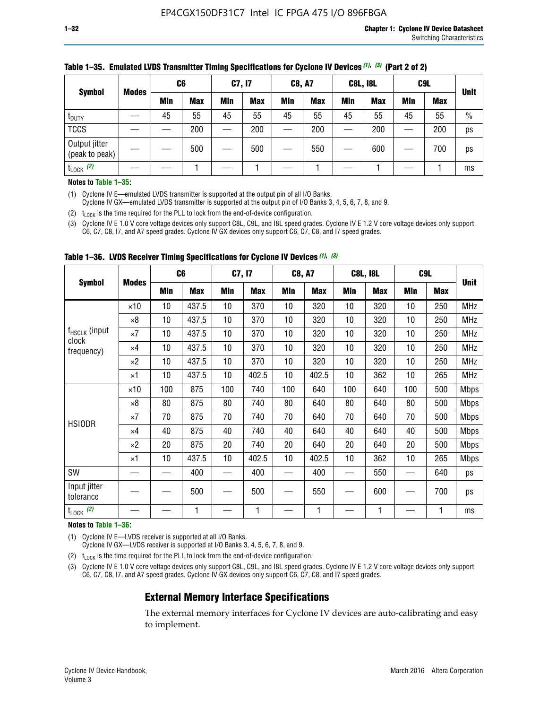|                                 |              | C <sub>6</sub> |            | C7, I7     |            | <b>C8, A7</b> |            | <b>C8L, I8L</b> |            |     | C <sub>9</sub> L |               |
|---------------------------------|--------------|----------------|------------|------------|------------|---------------|------------|-----------------|------------|-----|------------------|---------------|
| <b>Symbol</b>                   | <b>Modes</b> | Min            | <b>Max</b> | <b>Min</b> | <b>Max</b> | <b>Min</b>    | <b>Max</b> | Min             | <b>Max</b> | Min | <b>Max</b>       | <b>Unit</b>   |
| t <sub>DUTY</sub>               |              | 45             | 55         | 45         | 55         | 45            | 55         | 45              | 55         | 45  | 55               | $\frac{0}{0}$ |
| <b>TCCS</b>                     |              |                | 200        |            | 200        |               | 200        |                 | 200        | –   | 200              | ps            |
| Output jitter<br>(peak to peak) |              |                | 500        |            | 500        |               | 550        |                 | 600        | __  | 700              | ps            |
| $t_{\text{LOCK}}$ (2)           |              |                |            |            |            |               |            |                 |            |     |                  | ms            |

#### **Table 1–35. Emulated LVDS Transmitter Timing Specifications for Cyclone IV Devices** *(1)***,** *(3)* **(Part 2 of 2)**

#### **Notes to Table 1–35:**

(1) Cyclone IV E—emulated LVDS transmitter is supported at the output pin of all I/O Banks.

Cyclone IV GX—emulated LVDS transmitter is supported at the output pin of I/O Banks 3, 4, 5, 6, 7, 8, and 9.

(2)  $t_{\text{LOCK}}$  is the time required for the PLL to lock from the end-of-device configuration.

(3) Cyclone IV E 1.0 V core voltage devices only support C8L, C9L, and I8L speed grades. Cyclone IV E 1.2 V core voltage devices only support C6, C7, C8, I7, and A7 speed grades. Cyclone IV GX devices only support C6, C7, C8, and I7 speed grades.

|                                    |              | C <sub>6</sub> |            | C7, I7 |            | <b>C8, A7</b> |            |     | <b>C8L, I8L</b> | C <sub>9</sub> L         |     |             |
|------------------------------------|--------------|----------------|------------|--------|------------|---------------|------------|-----|-----------------|--------------------------|-----|-------------|
| <b>Symbol</b>                      | <b>Modes</b> | <b>Min</b>     | <b>Max</b> | Min    | <b>Max</b> | Min           | <b>Max</b> | Min | <b>Max</b>      | <b>Min</b>               | Max | <b>Unit</b> |
|                                    | $\times$ 10  | 10             | 437.5      | 10     | 370        | 10            | 320        | 10  | 320             | 10                       | 250 | <b>MHz</b>  |
|                                    | ×8           | 10             | 437.5      | 10     | 370        | 10            | 320        | 10  | 320             | 10                       | 250 | <b>MHz</b>  |
| f <sub>HSCLK</sub> (input<br>clock | ×7           | 10             | 437.5      | 10     | 370        | 10            | 320        | 10  | 320             | 10                       | 250 | <b>MHz</b>  |
| frequency)                         | $\times 4$   | 10             | 437.5      | 10     | 370        | 10            | 320        | 10  | 320             | 10                       | 250 | <b>MHz</b>  |
|                                    | $\times 2$   | 10             | 437.5      | 10     | 370        | 10            | 320        | 10  | 320             | 10                       | 250 | <b>MHz</b>  |
|                                    | ×1           | 10             | 437.5      | 10     | 402.5      | 10            | 402.5      | 10  | 362             | 10                       | 265 | <b>MHz</b>  |
|                                    | $\times$ 10  | 100            | 875        | 100    | 740        | 100           | 640        | 100 | 640             | 100                      | 500 | <b>Mbps</b> |
|                                    | $\times 8$   | 80             | 875        | 80     | 740        | 80            | 640        | 80  | 640             | 80                       | 500 | <b>Mbps</b> |
| <b>HSIODR</b>                      | ×7           | 70             | 875        | 70     | 740        | 70            | 640        | 70  | 640             | 70                       | 500 | <b>Mbps</b> |
|                                    | $\times 4$   | 40             | 875        | 40     | 740        | 40            | 640        | 40  | 640             | 40                       | 500 | <b>Mbps</b> |
|                                    | $\times 2$   | 20             | 875        | 20     | 740        | 20            | 640        | 20  | 640             | 20                       | 500 | <b>Mbps</b> |
|                                    | ×1           | 10             | 437.5      | 10     | 402.5      | 10            | 402.5      | 10  | 362             | 10                       | 265 | <b>Mbps</b> |
| SW                                 |              |                | 400        |        | 400        |               | 400        |     | 550             | —                        | 640 | ps          |
| Input jitter<br>tolerance          |              |                | 500        |        | 500        |               | 550        |     | 600             | $\overline{\phantom{0}}$ | 700 | ps          |
| $t_{\text{LOCK}}$ (2)              |              |                | 1          |        | 1          |               | 1          |     | 1               |                          |     | ms          |

**Table 1–36. LVDS Receiver Timing Specifications for Cyclone IV Devices** *(1)***,** *(3)*

#### **Notes to Table 1–36:**

(1) Cyclone IV E—LVDS receiver is supported at all I/O Banks.

Cyclone IV GX—LVDS receiver is supported at I/O Banks 3, 4, 5, 6, 7, 8, and 9.

(2)  $t_{\text{LOCK}}$  is the time required for the PLL to lock from the end-of-device configuration.

(3) Cyclone IV E 1.0 V core voltage devices only support C8L, C9L, and I8L speed grades. Cyclone IV E 1.2 V core voltage devices only support C6, C7, C8, I7, and A7 speed grades. Cyclone IV GX devices only support C6, C7, C8, and I7 speed grades.

#### **External Memory Interface Specifications**

The external memory interfaces for Cyclone IV devices are auto-calibrating and easy to implement.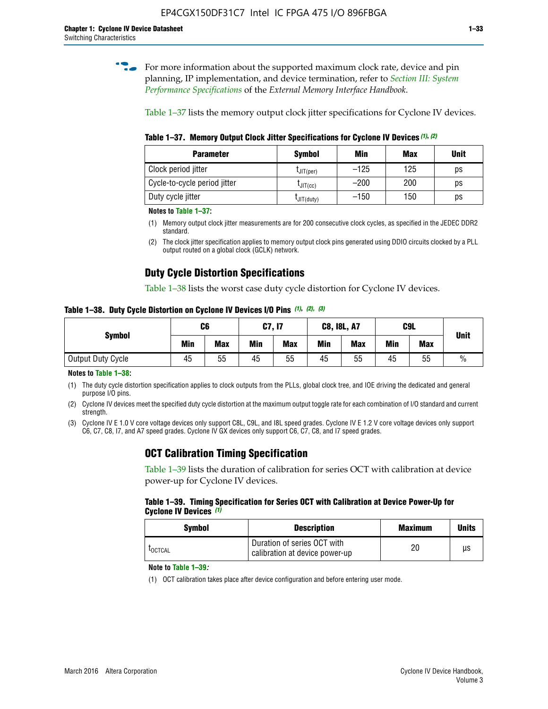**for more information about the supported maximum clock rate, device and pin** planning, IP implementation, and device termination, refer to *[Section III: System](http://www.altera.com/literature/hb/external-memory/emi_intro_specs.pdf)  [Performance Specifications](http://www.altera.com/literature/hb/external-memory/emi_intro_specs.pdf)* of the *External Memory Interface Handbook*.

Table 1–37 lists the memory output clock jitter specifications for Cyclone IV devices.

**Table 1–37. Memory Output Clock Jitter Specifications for Cyclone IV Devices** *(1)***,** *(2)*

| <b>Parameter</b>             | <b>Symbol</b>  | Min    | <b>Max</b> | <b>Unit</b> |
|------------------------------|----------------|--------|------------|-------------|
| Clock period jitter          | $L$ JIT(per)   | $-125$ | 125        | ps          |
| Cycle-to-cycle period jitter | $L$ JIT $(cc)$ | $-200$ | 200        | ps          |
| Duty cycle jitter            | LJIT(duty)     | $-150$ | 150        | рs          |

**Notes to Table 1–37:**

- (1) Memory output clock jitter measurements are for 200 consecutive clock cycles, as specified in the JEDEC DDR2 standard.
- (2) The clock jitter specification applies to memory output clock pins generated using DDIO circuits clocked by a PLL output routed on a global clock (GCLK) network.

### **Duty Cycle Distortion Specifications**

Table 1–38 lists the worst case duty cycle distortion for Cyclone IV devices.

**Table 1–38. Duty Cycle Distortion on Cyclone IV Devices I/O Pins** *(1)***,** *(2), (3)*

| <b>Symbol</b>     | C <sub>6</sub> |            | C7, I7     |            | <b>C8, I8L, A7</b> |            | C9L        |            | <b>Unit</b>   |
|-------------------|----------------|------------|------------|------------|--------------------|------------|------------|------------|---------------|
|                   | Min            | <b>Max</b> | <b>Min</b> | <b>Max</b> | Min                | <b>Max</b> | <b>Min</b> | <b>Max</b> |               |
| Output Duty Cycle | 45             | 55         | 45         | 55         | 45                 | 55         | 45         | 55         | $\frac{0}{0}$ |

**Notes to Table 1–38:**

(1) The duty cycle distortion specification applies to clock outputs from the PLLs, global clock tree, and IOE driving the dedicated and general purpose I/O pins.

(2) Cyclone IV devices meet the specified duty cycle distortion at the maximum output toggle rate for each combination of I/O standard and current strength.

(3) Cyclone IV E 1.0 V core voltage devices only support C8L, C9L, and I8L speed grades. Cyclone IV E 1.2 V core voltage devices only support C6, C7, C8, I7, and A7 speed grades. Cyclone IV GX devices only support C6, C7, C8, and I7 speed grades.

### **OCT Calibration Timing Specification**

Table 1–39 lists the duration of calibration for series OCT with calibration at device power-up for Cyclone IV devices.

#### **Table 1–39. Timing Specification for Series OCT with Calibration at Device Power-Up for Cyclone IV Devices** *(1)*

| Symbol  | <b>Description</b>                                            | <b>Maximum</b> | <b>Units</b> |
|---------|---------------------------------------------------------------|----------------|--------------|
| LOCTCAL | Duration of series OCT with<br>calibration at device power-up | 20             | μs           |

#### **Note to Table 1–39***:*

(1) OCT calibration takes place after device configuration and before entering user mode.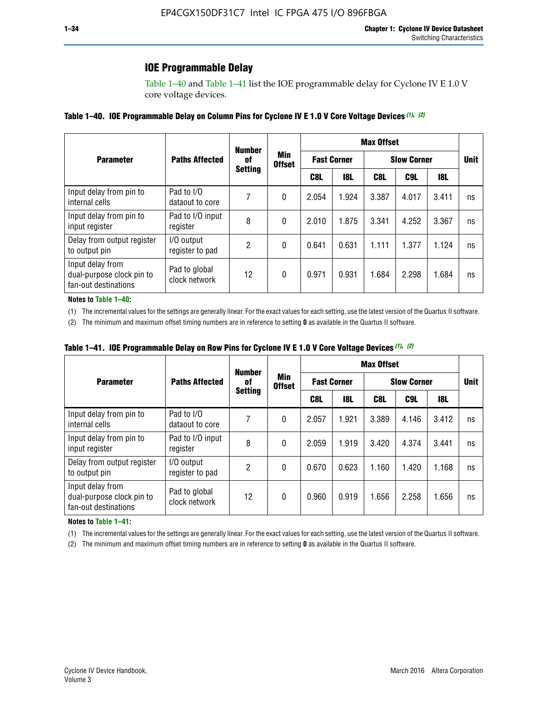### **IOE Programmable Delay**

Table 1–40 and Table 1–41 list the IOE programmable delay for Cyclone IV E 1.0 V core voltage devices.

#### **Table 1–40. IOE Programmable Delay on Column Pins for Cyclone IV E 1.0 V Core Voltage Devices** *(1)***,** *(2)*

|                                                                       |                                | <b>Number</b><br>0f | Min<br><b>Offset</b> | <b>Max Offset</b>  |            |                    |             |       |    |  |
|-----------------------------------------------------------------------|--------------------------------|---------------------|----------------------|--------------------|------------|--------------------|-------------|-------|----|--|
| <b>Parameter</b>                                                      | <b>Paths Affected</b>          |                     |                      | <b>Fast Corner</b> |            | <b>Slow Corner</b> | <b>Unit</b> |       |    |  |
|                                                                       | <b>Setting</b>                 |                     |                      | C8L                | <b>18L</b> | C8L                | C9L         | 18L   |    |  |
| Input delay from pin to<br>internal cells                             | Pad to I/O<br>dataout to core  |                     | 0                    | 2.054              | 1.924      | 3.387              | 4.017       | 3.411 | ns |  |
| Input delay from pin to<br>input register                             | Pad to I/O input<br>register   | 8                   | 0                    | 2.010              | 1.875      | 3.341              | 4.252       | 3.367 | ns |  |
| Delay from output register<br>to output pin                           | I/O output<br>register to pad  | 2                   | 0                    | 0.641              | 0.631      | 1.111              | 1.377       | 1.124 | ns |  |
| Input delay from<br>dual-purpose clock pin to<br>fan-out destinations | Pad to global<br>clock network | 12                  | 0                    | 0.971              | 0.931      | 1.684              | 2.298       | 1.684 | ns |  |

#### **Notes to Table 1–40:**

(1) The incremental values for the settings are generally linear. For the exact values for each setting, use the latest version of the Quartus II software.

(2) The minimum and maximum offset timing numbers are in reference to setting **0** as available in the Quartus II software.

| Table 1–41. IOE Programmable Delay on Row Pins for Cyclone IV E 1.0 V Core Voltage Devices (1), (2) |  |  |
|-----------------------------------------------------------------------------------------------------|--|--|
|-----------------------------------------------------------------------------------------------------|--|--|

|                                                                       |                                | <b>Number</b>  |                      | <b>Max Offset</b>  |            |                    |             |       |    |  |
|-----------------------------------------------------------------------|--------------------------------|----------------|----------------------|--------------------|------------|--------------------|-------------|-------|----|--|
| <b>Parameter</b>                                                      | <b>Paths Affected</b>          | 0f             | Min<br><b>Offset</b> | <b>Fast Corner</b> |            | <b>Slow Corner</b> | <b>Unit</b> |       |    |  |
|                                                                       |                                | <b>Setting</b> |                      | C8L                | <b>18L</b> | C8L                | C9L         | 18L   |    |  |
| Input delay from pin to<br>internal cells                             | Pad to I/O<br>dataout to core  |                | 0                    | 2.057              | 1.921      | 3.389              | 4.146       | 3.412 | ns |  |
| Input delay from pin to<br>input register                             | Pad to I/O input<br>register   | 8              | 0                    | 2.059              | 1.919      | 3.420              | 4.374       | 3.441 | ns |  |
| Delay from output register<br>to output pin                           | I/O output<br>register to pad  | 2              | 0                    | 0.670              | 0.623      | 1.160              | 1.420       | 1.168 | ns |  |
| Input delay from<br>dual-purpose clock pin to<br>fan-out destinations | Pad to global<br>clock network | 12             | 0                    | 0.960              | 0.919      | 1.656              | 2.258       | 1.656 | ns |  |

#### **Notes to Table 1–41:**

(1) The incremental values for the settings are generally linear. For the exact values for each setting, use the latest version of the Quartus II software.

(2) The minimum and maximum offset timing numbers are in reference to setting **0** as available in the Quartus II software.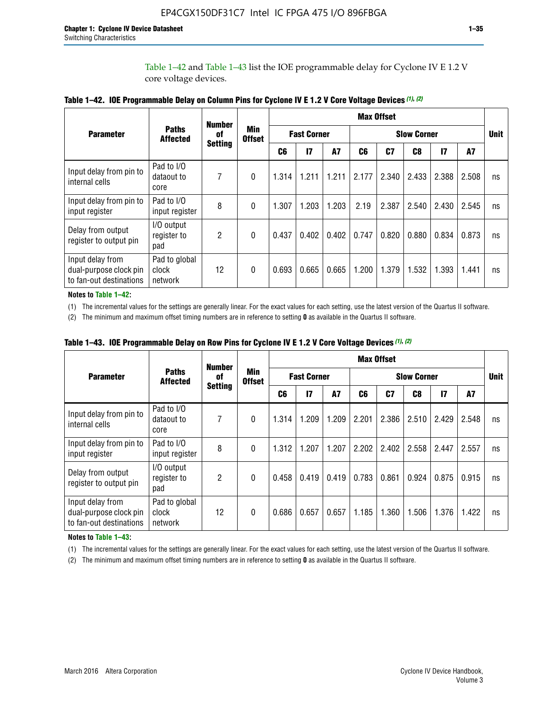Table 1–42 and Table 1–43 list the IOE programmable delay for Cyclone IV E 1.2 V core voltage devices.

|                                                                       |                                   | <b>Number</b>        | <b>Min</b><br><b>Offset</b> | <b>Max Offset</b> |                    |           |                    |       |       |               |       |             |
|-----------------------------------------------------------------------|-----------------------------------|----------------------|-----------------------------|-------------------|--------------------|-----------|--------------------|-------|-------|---------------|-------|-------------|
| <b>Parameter</b>                                                      | <b>Paths</b><br><b>Affected</b>   | of<br><b>Setting</b> |                             |                   | <b>Fast Corner</b> |           | <b>Slow Corner</b> |       |       |               |       | <b>Unit</b> |
|                                                                       |                                   |                      |                             | C <sub>6</sub>    | $\mathbf{I}$       | <b>A7</b> | C6                 | C7    | C8    | $\mathsf{I}7$ | A7    |             |
| Input delay from pin to<br>internal cells                             | Pad to I/O<br>dataout to<br>core  | 7                    | 0                           | 1.314             | 1.211              | 1.211     | 2.177              | 2.340 | 2.433 | 2.388         | 2.508 | ns          |
| Input delay from pin to<br>input register                             | Pad to I/O<br>input register      | 8                    | $\Omega$                    | 1.307             | 1.203              | 1.203     | 2.19               | 2.387 | 2.540 | 2.430         | 2.545 | ns          |
| Delay from output<br>register to output pin                           | I/O output<br>register to<br>pad  | 2                    | 0                           | 0.437             | 0.402              | 0.402     | 0.747              | 0.820 | 0.880 | 0.834         | 0.873 | ns          |
| Input delay from<br>dual-purpose clock pin<br>to fan-out destinations | Pad to global<br>clock<br>network | 12                   | 0                           | 0.693             | 0.665              | 0.665     | 1.200              | 1.379 | 1.532 | 1.393         | 1.441 | ns          |

**Table 1–42. IOE Programmable Delay on Column Pins for Cyclone IV E 1.2 V Core Voltage Devices** *(1)***,** *(2)*

**Notes to Table 1–42:**

(1) The incremental values for the settings are generally linear. For the exact values for each setting, use the latest version of the Quartus II software.

(2) The minimum and maximum offset timing numbers are in reference to setting **0** as available in the Quartus II software.

|                                                                       |                                   | <b>Number</b>  | <b>Min</b><br><b>Offset</b> | <b>Max Offset</b> |                    |           |                    |       |       |               |       |             |
|-----------------------------------------------------------------------|-----------------------------------|----------------|-----------------------------|-------------------|--------------------|-----------|--------------------|-------|-------|---------------|-------|-------------|
| <b>Parameter</b>                                                      | <b>Paths</b><br><b>Affected</b>   | 0f             |                             |                   | <b>Fast Corner</b> |           | <b>Slow Corner</b> |       |       |               |       | <b>Unit</b> |
|                                                                       |                                   | <b>Setting</b> |                             | C6                | $\mathbf{I}$       | <b>A7</b> | C6                 | C7    | C8    | $\mathsf{I}7$ | A7    |             |
| Input delay from pin to<br>internal cells                             | Pad to I/O<br>dataout to<br>core  | 7              | $\Omega$                    | 1.314             | 1.209              | 1.209     | 2.201              | 2.386 | 2.510 | 2.429         | 2.548 | ns          |
| Input delay from pin to<br>input register                             | Pad to I/O<br>input register      | 8              | $\Omega$                    | 1.312             | 1.207              | 1.207     | 2.202              | 2.402 | 2.558 | 2.447         | 2.557 | ns          |
| Delay from output<br>register to output pin                           | I/O output<br>register to<br>pad  | 2              | $\Omega$                    | 0.458             | 0.419              | 0.419     | 0.783              | 0.861 | 0.924 | 0.875         | 0.915 | ns          |
| Input delay from<br>dual-purpose clock pin<br>to fan-out destinations | Pad to global<br>clock<br>network | 12             | $\Omega$                    | 0.686             | 0.657              | 0.657     | 1.185              | 1.360 | 1.506 | 1.376         | 1.422 | ns          |

**Table 1–43. IOE Programmable Delay on Row Pins for Cyclone IV E 1.2 V Core Voltage Devices** *(1)***,** *(2)*

#### **Notes to Table 1–43:**

(1) The incremental values for the settings are generally linear. For the exact values for each setting, use the latest version of the Quartus II software.

(2) The minimum and maximum offset timing numbers are in reference to setting **0** as available in the Quartus II software.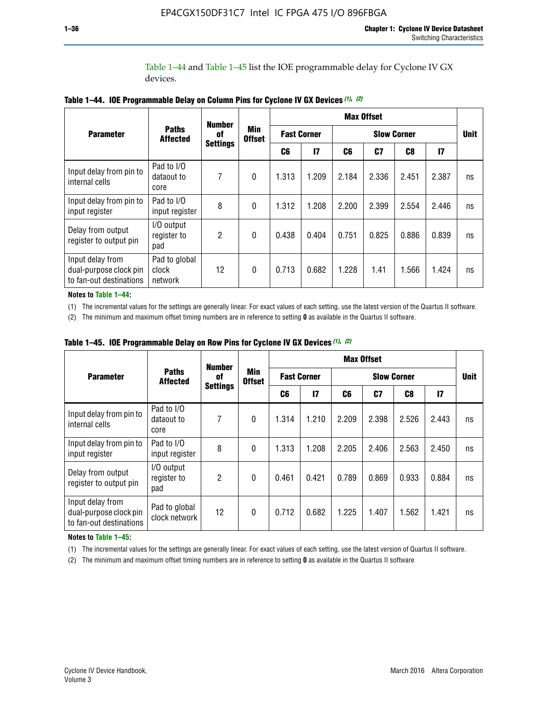Table 1–44 and Table 1–45 list the IOE programmable delay for Cyclone IV GX devices.

|                                                                       |                                   | <b>Number</b>   |                             | <b>Max Offset</b>  |              |                    |                |                |               |             |
|-----------------------------------------------------------------------|-----------------------------------|-----------------|-----------------------------|--------------------|--------------|--------------------|----------------|----------------|---------------|-------------|
| <b>Parameter</b>                                                      | <b>Paths</b><br><b>Affected</b>   | 0f              | <b>Min</b><br><b>Offset</b> | <b>Fast Corner</b> |              | <b>Slow Corner</b> |                |                |               | <b>Unit</b> |
|                                                                       |                                   | <b>Settings</b> |                             | C6                 | $\mathbf{I}$ | C6                 | C <sub>7</sub> | C <sub>8</sub> | $\mathsf{I}7$ |             |
| Input delay from pin to<br>internal cells                             | Pad to I/O<br>dataout to<br>core  | 7               | $\mathbf{0}$                | 1.313              | 1.209        | 2.184              | 2.336          | 2.451          | 2.387         | ns          |
| Input delay from pin to<br>input register                             | Pad to I/O<br>input register      | 8               | $\Omega$                    | 1.312              | 1.208        | 2.200              | 2.399          | 2.554          | 2.446         | ns          |
| Delay from output<br>register to output pin                           | I/O output<br>register to<br>pad  | 2               | $\mathbf{0}$                | 0.438              | 0.404        | 0.751              | 0.825          | 0.886          | 0.839         | ns          |
| Input delay from<br>dual-purpose clock pin<br>to fan-out destinations | Pad to global<br>clock<br>network | 12              | 0                           | 0.713              | 0.682        | 1.228              | 1.41           | 1.566          | 1.424         | ns          |

**Table 1–44. IOE Programmable Delay on Column Pins for Cyclone IV GX Devices** *(1)***,** *(2)*

**Notes to Table 1–44:**

(1) The incremental values for the settings are generally linear. For exact values of each setting, use the latest version of the Quartus II software.

(2) The minimum and maximum offset timing numbers are in reference to setting **0** as available in the Quartus II software.

|                                                                       |                                  | <b>Number</b>   | <b>Min</b><br><b>Offset</b> | <b>Max Offset</b>  |       |                    |       |       |              |             |  |
|-----------------------------------------------------------------------|----------------------------------|-----------------|-----------------------------|--------------------|-------|--------------------|-------|-------|--------------|-------------|--|
| <b>Parameter</b>                                                      | <b>Paths</b><br><b>Affected</b>  | 0f              |                             | <b>Fast Corner</b> |       | <b>Slow Corner</b> |       |       |              | <b>Unit</b> |  |
|                                                                       |                                  | <b>Settings</b> |                             | C6                 | 17    | C6                 | C7    | C8    | $\mathbf{I}$ |             |  |
| Input delay from pin to<br>internal cells                             | Pad to I/O<br>dataout to<br>core | 7               | $\mathbf{0}$                | 1.314              | 1.210 | 2.209              | 2.398 | 2.526 | 2.443        | ns          |  |
| Input delay from pin to<br>input register                             | Pad to I/O<br>input register     | 8               | $\mathbf{0}$                | 1.313              | 1.208 | 2.205              | 2.406 | 2.563 | 2.450        | ns          |  |
| Delay from output<br>register to output pin                           | I/O output<br>register to<br>pad | $\overline{2}$  | $\mathbf{0}$                | 0.461              | 0.421 | 0.789              | 0.869 | 0.933 | 0.884        | ns          |  |
| Input delay from<br>dual-purpose clock pin<br>to fan-out destinations | Pad to global<br>clock network   | 12              | 0                           | 0.712              | 0.682 | 1.225              | 1.407 | 1.562 | 1.421        | ns          |  |

**Table 1–45. IOE Programmable Delay on Row Pins for Cyclone IV GX Devices** *(1)***,** *(2)*

#### **Notes to Table 1–45:**

(1) The incremental values for the settings are generally linear. For exact values of each setting, use the latest version of Quartus II software.

(2) The minimum and maximum offset timing numbers are in reference to setting **0** as available in the Quartus II software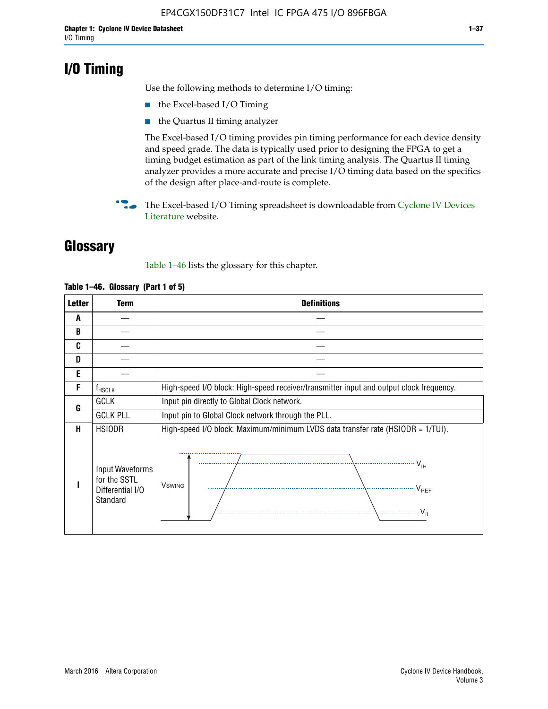# **I/O Timing**

Use the following methods to determine I/O timing:

- the Excel-based I/O Timing
- the Quartus II timing analyzer

The Excel-based I/O timing provides pin timing performance for each device density and speed grade. The data is typically used prior to designing the FPGA to get a timing budget estimation as part of the link timing analysis. The Quartus II timing analyzer provides a more accurate and precise I/O timing data based on the specifics of the design after place-and-route is complete.

**For The Excel-based I/O Timing spreadsheet is downloadable from Cyclone IV Devices** [Literature](http://www.altera.com/literature/lit-cyclone-iv.jsp) website.

# **Glossary**

Table 1–46 lists the glossary for this chapter.

| <b>Letter</b> | <b>Term</b>                                                     | <b>Definitions</b>                                                                                                                               |
|---------------|-----------------------------------------------------------------|--------------------------------------------------------------------------------------------------------------------------------------------------|
| A             |                                                                 |                                                                                                                                                  |
| B             |                                                                 |                                                                                                                                                  |
| C             |                                                                 |                                                                                                                                                  |
| D             |                                                                 |                                                                                                                                                  |
| E             |                                                                 |                                                                                                                                                  |
| F             | $f_{\sf HSCLK}$                                                 | High-speed I/O block: High-speed receiver/transmitter input and output clock frequency.                                                          |
| G             | <b>GCLK</b>                                                     | Input pin directly to Global Clock network.                                                                                                      |
|               | <b>GCLK PLL</b>                                                 | Input pin to Global Clock network through the PLL.                                                                                               |
| н             | <b>HSIODR</b>                                                   | High-speed I/O block: Maximum/minimum LVDS data transfer rate (HSIODR = 1/TUI).                                                                  |
|               | Input Waveforms<br>for the SSTL<br>Differential I/O<br>Standard | $\frac{1}{\sqrt{1+\frac{1}{2}}}\left\{ \frac{1}{\sqrt{1+\frac{1}{2}}}\right\}$<br><b>V</b> swing<br>$\cdots$ $V_{REF}$<br>\<br>$\sim V_{\rm IL}$ |

#### **Table 1–46. Glossary (Part 1 of 5)**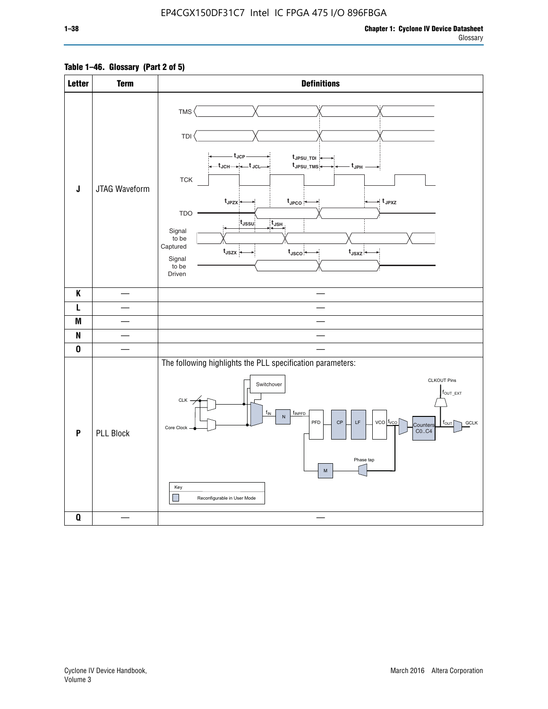#### **Table 1–46. Glossary (Part 2 of 5)**

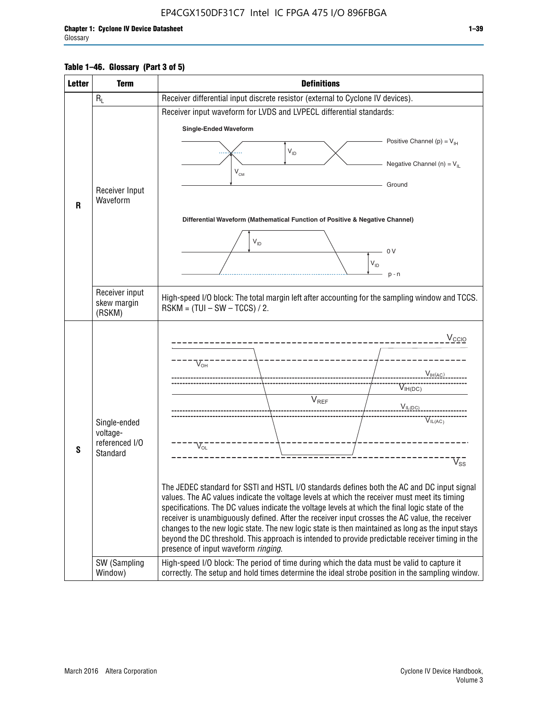#### **Table 1–46. Glossary (Part 3 of 5)**

| <b>Letter</b> | <b>Term</b>                | <b>Definitions</b>                                                                                                                                                                                |
|---------------|----------------------------|---------------------------------------------------------------------------------------------------------------------------------------------------------------------------------------------------|
|               | $R_L$                      | Receiver differential input discrete resistor (external to Cyclone IV devices).                                                                                                                   |
|               |                            | Receiver input waveform for LVDS and LVPECL differential standards:                                                                                                                               |
|               |                            | <b>Single-Ended Waveform</b>                                                                                                                                                                      |
|               |                            | Positive Channel (p) = $V_{\text{H}}$                                                                                                                                                             |
|               |                            | $\mathsf{V}_{\mathsf{ID}}$                                                                                                                                                                        |
|               |                            | Negative Channel (n) = $V_{\parallel}$<br>$\mathsf{V}_{\scriptscriptstyle \mathsf{CM}}$                                                                                                           |
|               | Receiver Input             | Ground                                                                                                                                                                                            |
| $\mathbf{R}$  | Waveform                   |                                                                                                                                                                                                   |
|               |                            | Differential Waveform (Mathematical Function of Positive & Negative Channel)                                                                                                                      |
|               |                            |                                                                                                                                                                                                   |
|               |                            | $V_{ID}$                                                                                                                                                                                          |
|               |                            | - 0 V<br>$V_{ID}$                                                                                                                                                                                 |
|               |                            | $p - n$                                                                                                                                                                                           |
|               | Receiver input             |                                                                                                                                                                                                   |
|               | skew margin                | High-speed I/O block: The total margin left after accounting for the sampling window and TCCS.<br>$RSKM = (TUI - SW - TCCS) / 2.$                                                                 |
|               | (RSKM)                     |                                                                                                                                                                                                   |
|               |                            | V <sub>CCIO</sub>                                                                                                                                                                                 |
|               |                            |                                                                                                                                                                                                   |
|               |                            | $\nabla_{\!\circ\mathsf{H}}^-$                                                                                                                                                                    |
|               |                            | V <sub>IH</sub> (AC)                                                                                                                                                                              |
|               |                            | $V_{IH(DC)}$<br>$V_{REF}$                                                                                                                                                                         |
|               |                            | $V_{I L (DC)}$                                                                                                                                                                                    |
|               | Single-ended               | VIL(AC)                                                                                                                                                                                           |
|               | voltage-<br>referenced I/O |                                                                                                                                                                                                   |
| S             | Standard                   | $V_{OL}$                                                                                                                                                                                          |
|               |                            | $\overline{\mathsf{V}}_\mathsf{SS}^-$                                                                                                                                                             |
|               |                            | The JEDEC standard for SSTI and HSTL I/O standards defines both the AC and DC input signal                                                                                                        |
|               |                            | values. The AC values indicate the voltage levels at which the receiver must meet its timing                                                                                                      |
|               |                            | specifications. The DC values indicate the voltage levels at which the final logic state of the<br>receiver is unambiguously defined. After the receiver input crosses the AC value, the receiver |
|               |                            | changes to the new logic state. The new logic state is then maintained as long as the input stays                                                                                                 |
|               |                            | beyond the DC threshold. This approach is intended to provide predictable receiver timing in the<br>presence of input waveform ringing.                                                           |
|               | SW (Sampling               | High-speed I/O block: The period of time during which the data must be valid to capture it                                                                                                        |
|               | Window)                    | correctly. The setup and hold times determine the ideal strobe position in the sampling window.                                                                                                   |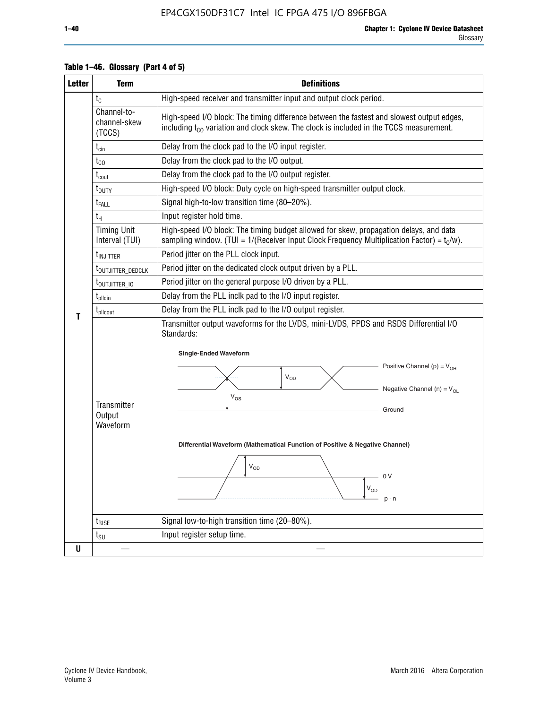| <b>Letter</b> | <b>Term</b>                              | <b>Definitions</b>                                                                                                                                                                                                                                                                                                                                                                                 |
|---------------|------------------------------------------|----------------------------------------------------------------------------------------------------------------------------------------------------------------------------------------------------------------------------------------------------------------------------------------------------------------------------------------------------------------------------------------------------|
|               | $t_{\rm C}$                              | High-speed receiver and transmitter input and output clock period.                                                                                                                                                                                                                                                                                                                                 |
|               | Channel-to-<br>channel-skew<br>(TCCS)    | High-speed I/O block: The timing difference between the fastest and slowest output edges,<br>including $t_{c0}$ variation and clock skew. The clock is included in the TCCS measurement.                                                                                                                                                                                                           |
|               | $t_{\text{cin}}$                         | Delay from the clock pad to the I/O input register.                                                                                                                                                                                                                                                                                                                                                |
|               | $t_{CO}$                                 | Delay from the clock pad to the I/O output.                                                                                                                                                                                                                                                                                                                                                        |
|               | $t_{\text{cout}}$                        | Delay from the clock pad to the I/O output register.                                                                                                                                                                                                                                                                                                                                               |
|               | $t_{\text{DUTY}}$                        | High-speed I/O block: Duty cycle on high-speed transmitter output clock.                                                                                                                                                                                                                                                                                                                           |
|               | t <sub>FALL</sub>                        | Signal high-to-low transition time (80-20%).                                                                                                                                                                                                                                                                                                                                                       |
|               | $t_H$                                    | Input register hold time.                                                                                                                                                                                                                                                                                                                                                                          |
|               | <b>Timing Unit</b><br>Interval (TUI)     | High-speed I/O block: The timing budget allowed for skew, propagation delays, and data<br>sampling window. (TUI = $1/($ Receiver Input Clock Frequency Multiplication Factor) = $tC/w$ ).                                                                                                                                                                                                          |
|               | t <sub>INJITTER</sub>                    | Period jitter on the PLL clock input.                                                                                                                                                                                                                                                                                                                                                              |
|               | t <sub>outjitter_dedclk</sub>            | Period jitter on the dedicated clock output driven by a PLL.                                                                                                                                                                                                                                                                                                                                       |
|               | t <sub>outjitter_io</sub>                | Period jitter on the general purpose I/O driven by a PLL.                                                                                                                                                                                                                                                                                                                                          |
|               | t <sub>plicin</sub>                      | Delay from the PLL inclk pad to the I/O input register.                                                                                                                                                                                                                                                                                                                                            |
| T             | t <sub>plicout</sub>                     | Delay from the PLL inclk pad to the I/O output register.                                                                                                                                                                                                                                                                                                                                           |
|               | <b>Transmitter</b><br>Output<br>Waveform | Transmitter output waveforms for the LVDS, mini-LVDS, PPDS and RSDS Differential I/O<br>Standards:<br><b>Single-Ended Waveform</b><br>Positive Channel (p) = $V_{OH}$<br><b>V<sub>OD</sub></b><br>Negative Channel (n) = $V_{OL}$<br>$V_{OS}$<br>Ground<br>Differential Waveform (Mathematical Function of Positive & Negative Channel)<br>$\mathsf{V}_{\mathsf{OD}}$<br>0V<br>$V_{OD}$<br>$p - n$ |
|               | $t_{\text{RISE}}$                        | Signal low-to-high transition time (20-80%).                                                                                                                                                                                                                                                                                                                                                       |
|               | $t_{\scriptstyle\text{SU}}$              | Input register setup time.                                                                                                                                                                                                                                                                                                                                                                         |
| $\mathsf{U}$  |                                          |                                                                                                                                                                                                                                                                                                                                                                                                    |

#### **Table 1–46. Glossary (Part 4 of 5)**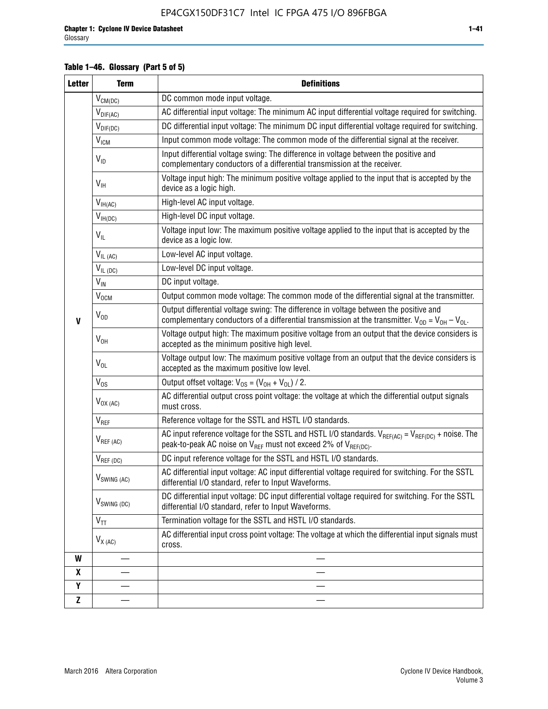#### **Table 1–46. Glossary (Part 5 of 5)**

| <b>Letter</b> | <b>Term</b>                             | <b>Definitions</b>                                                                                                                                                                                |  |  |
|---------------|-----------------------------------------|---------------------------------------------------------------------------------------------------------------------------------------------------------------------------------------------------|--|--|
|               | $V_{CM(DC)}$                            | DC common mode input voltage.                                                                                                                                                                     |  |  |
|               | $V_{DIF(AC)}$                           | AC differential input voltage: The minimum AC input differential voltage required for switching.                                                                                                  |  |  |
|               | $V_{DIF(DC)}$                           | DC differential input voltage: The minimum DC input differential voltage required for switching.                                                                                                  |  |  |
|               | V <sub>ICM</sub>                        | Input common mode voltage: The common mode of the differential signal at the receiver.                                                                                                            |  |  |
|               | $V_{ID}$                                | Input differential voltage swing: The difference in voltage between the positive and<br>complementary conductors of a differential transmission at the receiver.                                  |  |  |
|               | $V_{\text{IH}}$                         | Voltage input high: The minimum positive voltage applied to the input that is accepted by the<br>device as a logic high.                                                                          |  |  |
|               | $\mathsf{V}_{\mathsf{IH}(\mathsf{AC})}$ | High-level AC input voltage.                                                                                                                                                                      |  |  |
|               | $V_{IH(DC)}$                            | High-level DC input voltage.                                                                                                                                                                      |  |  |
|               | $V_{IL}$                                | Voltage input low: The maximum positive voltage applied to the input that is accepted by the<br>device as a logic low.                                                                            |  |  |
|               | $V_{IL(AC)}$                            | Low-level AC input voltage.                                                                                                                                                                       |  |  |
|               | $V_{IL(DC)}$                            | Low-level DC input voltage.                                                                                                                                                                       |  |  |
|               | $V_{\text{IN}}$                         | DC input voltage.                                                                                                                                                                                 |  |  |
|               | $\rm V_{\rm OCM}$                       | Output common mode voltage: The common mode of the differential signal at the transmitter.                                                                                                        |  |  |
| $\mathbf{V}$  | $V_{OD}$                                | Output differential voltage swing: The difference in voltage between the positive and<br>complementary conductors of a differential transmission at the transmitter. $V_{OD} = V_{OH} - V_{OL}$ . |  |  |
|               | $V_{OH}$                                | Voltage output high: The maximum positive voltage from an output that the device considers is<br>accepted as the minimum positive high level.                                                     |  |  |
|               | $V_{OL}$                                | Voltage output low: The maximum positive voltage from an output that the device considers is<br>accepted as the maximum positive low level.                                                       |  |  |
|               | $V_{OS}$                                | Output offset voltage: $V_{OS} = (V_{OH} + V_{OL}) / 2$ .                                                                                                                                         |  |  |
|               | $V_{OX (AC)}$                           | AC differential output cross point voltage: the voltage at which the differential output signals<br>must cross.                                                                                   |  |  |
|               | V <sub>REF</sub>                        | Reference voltage for the SSTL and HSTL I/O standards.                                                                                                                                            |  |  |
|               | $V_{REF\,(AC)}$                         | AC input reference voltage for the SSTL and HSTL I/O standards. $V_{REF(AC)} = V_{REF(DC)} +$ noise. The<br>peak-to-peak AC noise on $V_{REF}$ must not exceed 2% of $V_{REF(DC)}$ .              |  |  |
|               | $V_{REF(DC)}$                           | DC input reference voltage for the SSTL and HSTL I/O standards.                                                                                                                                   |  |  |
|               | $V_{\text{SWING (AC)}}$                 | AC differential input voltage: AC input differential voltage required for switching. For the SSTL<br>differential I/O standard, refer to Input Waveforms.                                         |  |  |
|               | $V_{SWING (DC)}$                        | DC differential input voltage: DC input differential voltage required for switching. For the SSTL<br>differential I/O standard, refer to Input Waveforms.                                         |  |  |
|               | $\text{V}_{\text{TT}}$                  | Termination voltage for the SSTL and HSTL I/O standards.                                                                                                                                          |  |  |
|               | $V_{X(AC)}$                             | AC differential input cross point voltage: The voltage at which the differential input signals must<br>cross.                                                                                     |  |  |
| W             |                                         |                                                                                                                                                                                                   |  |  |
| X             |                                         |                                                                                                                                                                                                   |  |  |
| Y             |                                         |                                                                                                                                                                                                   |  |  |
| Z             |                                         |                                                                                                                                                                                                   |  |  |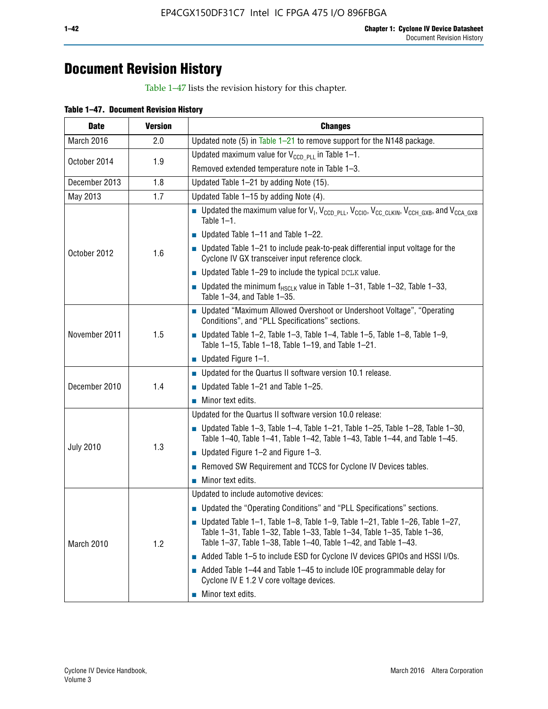# **Document Revision History**

Table 1–47 lists the revision history for this chapter.

| <b>Date</b>      | <b>Version</b> | <b>Changes</b>                                                                                                                                                                                                                            |
|------------------|----------------|-------------------------------------------------------------------------------------------------------------------------------------------------------------------------------------------------------------------------------------------|
| March 2016       | 2.0            | Updated note (5) in Table $1-21$ to remove support for the N148 package.                                                                                                                                                                  |
| October 2014     | 1.9            | Updated maximum value for $V_{CCD, PL}$ in Table 1-1.                                                                                                                                                                                     |
|                  |                | Removed extended temperature note in Table 1-3.                                                                                                                                                                                           |
| December 2013    | 1.8            | Updated Table 1-21 by adding Note (15).                                                                                                                                                                                                   |
| May 2013         | 1.7            | Updated Table 1-15 by adding Note (4).                                                                                                                                                                                                    |
|                  | 1.6            | <b>D</b> Updated the maximum value for $V_1$ , $V_{CCD}$ <sub>PLL</sub> , $V_{CC10}$ , $V_{CC_1CLKIN}$ , $V_{CCH_GXB}$ , and $V_{CCA_GXB}$<br>Table $1-1$ .                                                                               |
|                  |                | $\blacksquare$ Updated Table 1-11 and Table 1-22.                                                                                                                                                                                         |
| October 2012     |                | $\blacksquare$ Updated Table 1-21 to include peak-to-peak differential input voltage for the<br>Cyclone IV GX transceiver input reference clock.                                                                                          |
|                  |                | $\blacksquare$ Updated Table 1-29 to include the typical DCLK value.                                                                                                                                                                      |
|                  |                | <b>Updated the minimum f<sub>HSCLK</sub></b> value in Table 1-31, Table 1-32, Table 1-33,<br>Table 1-34, and Table 1-35.                                                                                                                  |
|                  | 1.5            | ■ Updated "Maximum Allowed Overshoot or Undershoot Voltage", "Operating<br>Conditions", and "PLL Specifications" sections.                                                                                                                |
| November 2011    |                | Updated Table 1-2, Table 1-3, Table 1-4, Table 1-5, Table 1-8, Table 1-9,<br>Table 1-15, Table 1-18, Table 1-19, and Table 1-21.                                                                                                          |
|                  |                | ■ Updated Figure $1-1$ .                                                                                                                                                                                                                  |
|                  | 1.4            | • Updated for the Quartus II software version 10.1 release.                                                                                                                                                                               |
| December 2010    |                | $\blacksquare$ Updated Table 1-21 and Table 1-25.                                                                                                                                                                                         |
|                  |                | $\blacksquare$ Minor text edits.                                                                                                                                                                                                          |
|                  | 1.3            | Updated for the Quartus II software version 10.0 release:                                                                                                                                                                                 |
|                  |                | Updated Table 1-3, Table 1-4, Table 1-21, Table 1-25, Table 1-28, Table 1-30,<br>Table 1-40, Table 1-41, Table 1-42, Table 1-43, Table 1-44, and Table 1-45.                                                                              |
| <b>July 2010</b> |                | ■ Updated Figure $1-2$ and Figure $1-3$ .                                                                                                                                                                                                 |
|                  |                | Removed SW Requirement and TCCS for Cyclone IV Devices tables.                                                                                                                                                                            |
|                  |                | $\blacksquare$ Minor text edits.                                                                                                                                                                                                          |
|                  | 1.2            | Updated to include automotive devices:                                                                                                                                                                                                    |
|                  |                | • Updated the "Operating Conditions" and "PLL Specifications" sections.                                                                                                                                                                   |
| March 2010       |                | $\blacksquare$ Updated Table 1-1, Table 1-8, Table 1-9, Table 1-21, Table 1-26, Table 1-27,<br>Table 1-31, Table 1-32, Table 1-33, Table 1-34, Table 1-35, Table 1-36,<br>Table 1-37, Table 1-38, Table 1-40, Table 1-42, and Table 1-43. |
|                  |                | Added Table 1-5 to include ESD for Cyclone IV devices GPIOs and HSSI I/Os.                                                                                                                                                                |
|                  |                | Added Table 1-44 and Table 1-45 to include IOE programmable delay for<br>Cyclone IV E 1.2 V core voltage devices.                                                                                                                         |
|                  |                | Minor text edits.                                                                                                                                                                                                                         |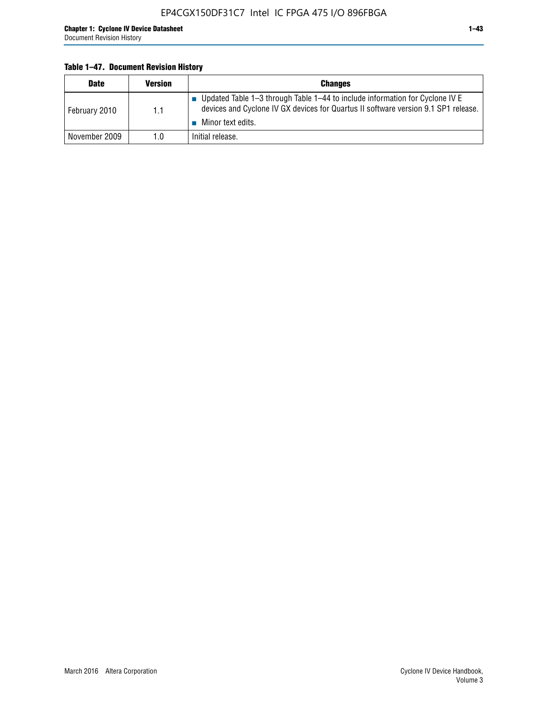#### **Table 1–47. Document Revision History**

| <b>Date</b>   | <b>Version</b> | <b>Changes</b>                                                                                                                                                                          |
|---------------|----------------|-----------------------------------------------------------------------------------------------------------------------------------------------------------------------------------------|
| February 2010 | 1.1            | Updated Table 1-3 through Table 1-44 to include information for Cyclone IV E<br>devices and Cyclone IV GX devices for Quartus II software version 9.1 SP1 release.<br>Minor text edits. |
| November 2009 | 1.0            | Initial release.                                                                                                                                                                        |